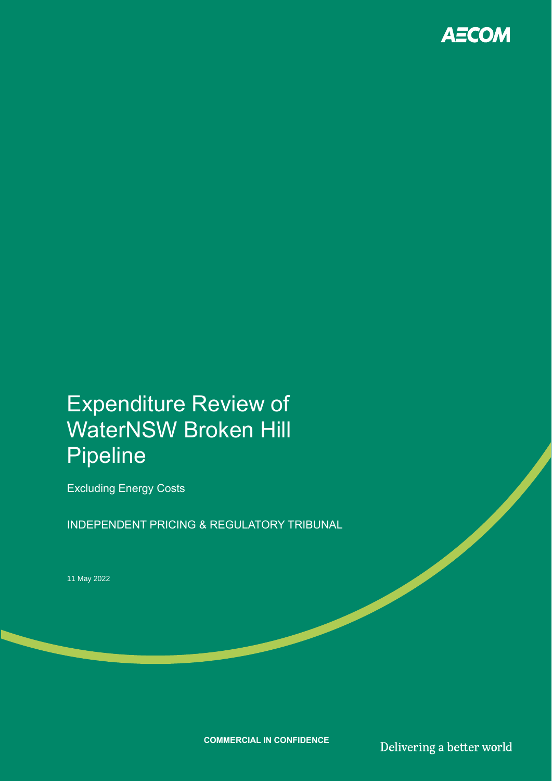

# Expenditure Review of WaterNSW Broken Hill Pipeline

Excluding Energy Costs

INDEPENDENT PRICING & REGULATORY TRIBUNAL

11 May 2022

**COMMERCIAL IN CONFIDENCE**

Delivering a better world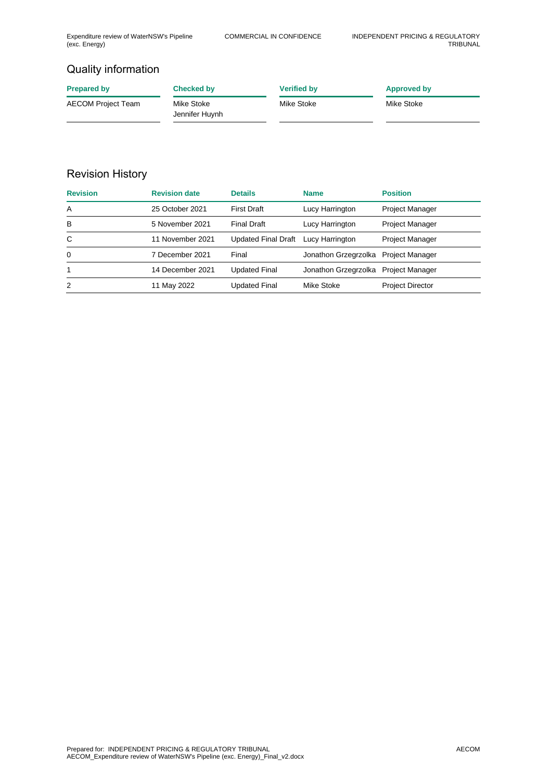# Quality information

| <b>Prepared by</b>        | Checked by                   | <b>Verified by</b> | <b>Approved by</b> |
|---------------------------|------------------------------|--------------------|--------------------|
| <b>AECOM Project Team</b> | Mike Stoke<br>Jennifer Huynh | Mike Stoke         | Mike Stoke         |

# Revision History

| <b>Revision</b> | <b>Revision date</b> | <b>Details</b>             | <b>Name</b>                          | <b>Position</b>         |
|-----------------|----------------------|----------------------------|--------------------------------------|-------------------------|
| A               | 25 October 2021      | <b>First Draft</b>         | Lucy Harrington                      | Project Manager         |
| B               | 5 November 2021      | <b>Final Draft</b>         | Lucy Harrington                      | <b>Project Manager</b>  |
| C               | 11 November 2021     | <b>Updated Final Draft</b> | Lucy Harrington                      | <b>Project Manager</b>  |
| 0               | 7 December 2021      | Final                      | Jonathon Grzegrzolka Project Manager |                         |
| 1               | 14 December 2021     | <b>Updated Final</b>       | Jonathon Grzegrzolka                 | <b>Project Manager</b>  |
| 2               | 11 May 2022          | <b>Updated Final</b>       | Mike Stoke                           | <b>Project Director</b> |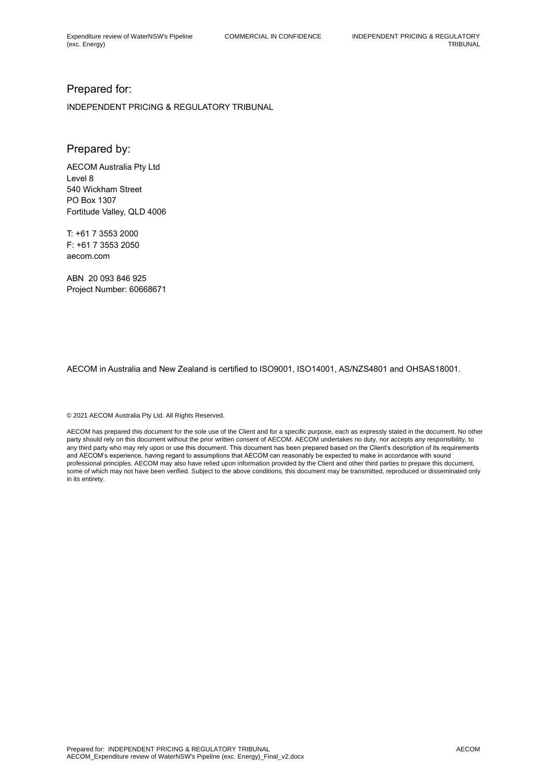## Prepared for:

INDEPENDENT PRICING & REGULATORY TRIBUNAL

## Prepared by:

AECOM Australia Pty Ltd Level 8 540 Wickham Street PO Box 1307 Fortitude Valley, QLD 4006

T: +61 7 3553 2000 F: +61 7 3553 2050 aecom.com

ABN 20 093 846 925 Project Number: 60668671

AECOM in Australia and New Zealand is certified to ISO9001, ISO14001, AS/NZS4801 and OHSAS18001.

#### © 2021 AECOM Australia Pty Ltd. All Rights Reserved.

AECOM has prepared this document for the sole use of the Client and for a specific purpose, each as expressly stated in the document. No other party should rely on this document without the prior written consent of AECOM. AECOM undertakes no duty, nor accepts any responsibility, to any third party who may rely upon or use this document. This document has been prepared based on the Client's description of its requirements and AECOM's experience, having regard to assumptions that AECOM can reasonably be expected to make in accordance with sound professional principles. AECOM may also have relied upon information provided by the Client and other third parties to prepare this document, some of which may not have been verified. Subject to the above conditions, this document may be transmitted, reproduced or disseminated only in its entirety.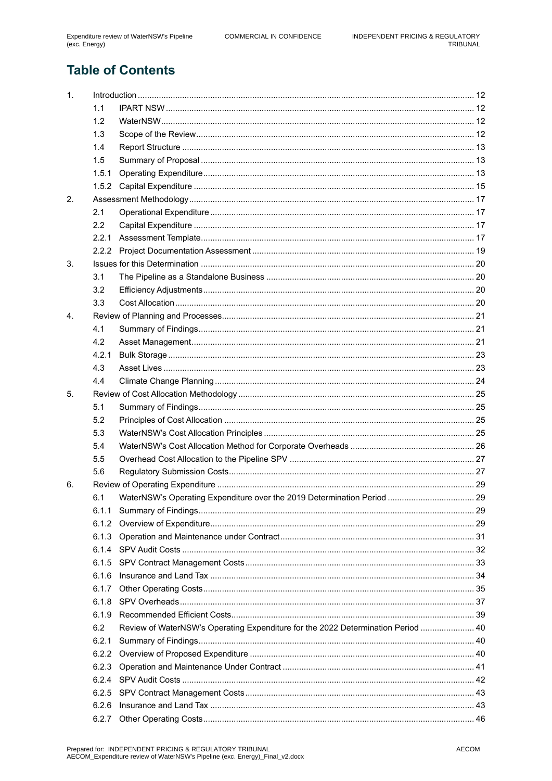# **Table of Contents**

| 1. |                |                                                                                  |  |
|----|----------------|----------------------------------------------------------------------------------|--|
|    | 1.1            |                                                                                  |  |
|    | 1.2            |                                                                                  |  |
|    | 1.3            |                                                                                  |  |
|    | 1.4            |                                                                                  |  |
|    | 1.5            |                                                                                  |  |
|    | 1.5.1          |                                                                                  |  |
|    | 1.5.2          |                                                                                  |  |
| 2. |                |                                                                                  |  |
|    | 2.1            |                                                                                  |  |
|    | 2.2            |                                                                                  |  |
|    | 2.2.1          |                                                                                  |  |
|    |                |                                                                                  |  |
| 3. |                |                                                                                  |  |
|    | 3.1            |                                                                                  |  |
|    | 3.2            |                                                                                  |  |
|    | 3.3            |                                                                                  |  |
| 4. |                |                                                                                  |  |
|    | 4.1            |                                                                                  |  |
|    | 4.2            |                                                                                  |  |
|    | 4.2.1          |                                                                                  |  |
|    | 4.3            |                                                                                  |  |
|    | 4.4            |                                                                                  |  |
| 5. |                |                                                                                  |  |
|    | 5.1            |                                                                                  |  |
|    | 5.2            |                                                                                  |  |
|    | 5.3            |                                                                                  |  |
|    | 5.4            |                                                                                  |  |
|    | 5.5            |                                                                                  |  |
|    | 5.6            |                                                                                  |  |
| 6. |                |                                                                                  |  |
|    | 6.1            | WaterNSW's Operating Expenditure over the 2019 Determination Period  29          |  |
|    |                |                                                                                  |  |
|    |                |                                                                                  |  |
|    |                |                                                                                  |  |
|    | 6.1.3          |                                                                                  |  |
|    | 6.1.4<br>6.1.5 |                                                                                  |  |
|    |                |                                                                                  |  |
|    | 6.1.6          |                                                                                  |  |
|    | 6.1.7          |                                                                                  |  |
|    | 6.1.8          |                                                                                  |  |
|    | 6.1.9          |                                                                                  |  |
|    | 6.2            | Review of WaterNSW's Operating Expenditure for the 2022 Determination Period  40 |  |
|    | 6.2.1          |                                                                                  |  |
|    | 6.2.2          |                                                                                  |  |
|    | 6.2.3          |                                                                                  |  |
|    | 6.2.4          |                                                                                  |  |
|    | 6.2.5          |                                                                                  |  |
|    | 6.2.6          |                                                                                  |  |
|    | 6.2.7          |                                                                                  |  |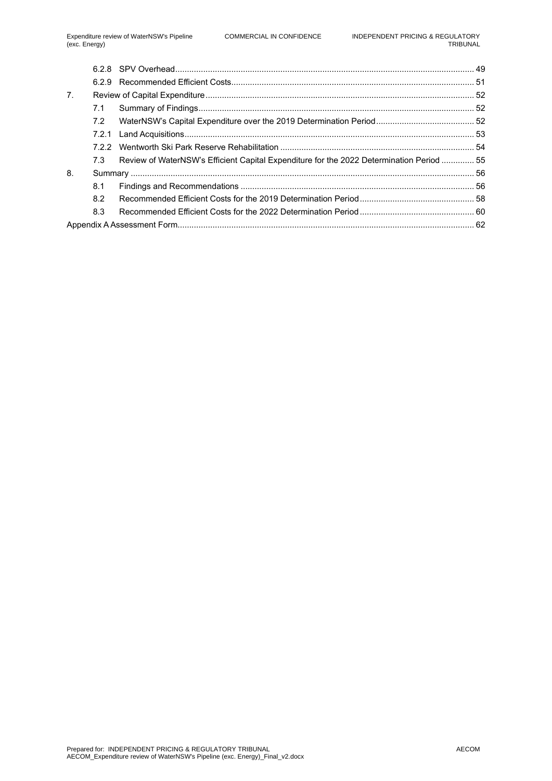| 7. |     |                                                                                          |  |
|----|-----|------------------------------------------------------------------------------------------|--|
|    | 7.1 |                                                                                          |  |
|    | 7.2 |                                                                                          |  |
|    |     |                                                                                          |  |
|    |     |                                                                                          |  |
|    | 7.3 | Review of WaterNSW's Efficient Capital Expenditure for the 2022 Determination Period  55 |  |
| 8. |     |                                                                                          |  |
|    | 8.1 |                                                                                          |  |
|    | 8.2 |                                                                                          |  |
|    | 8.3 |                                                                                          |  |
|    |     |                                                                                          |  |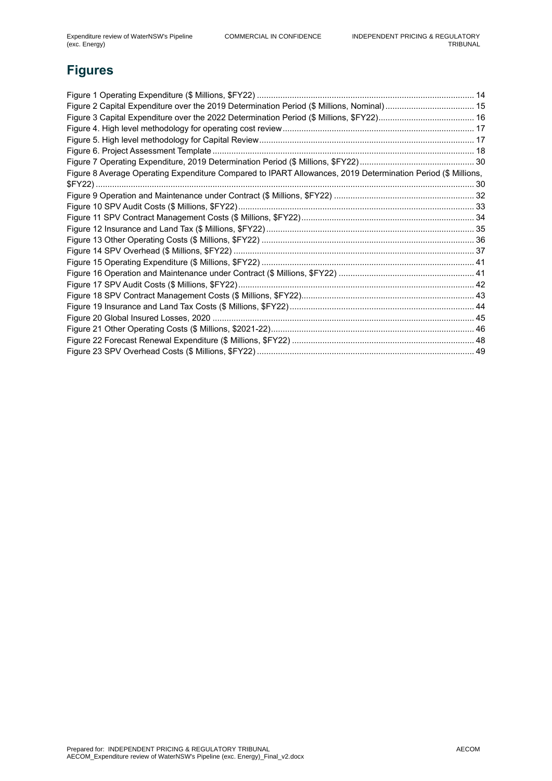# **Figures**

| Figure 2 Capital Expenditure over the 2019 Determination Period (\$ Millions, Nominal)  15                   |  |
|--------------------------------------------------------------------------------------------------------------|--|
|                                                                                                              |  |
|                                                                                                              |  |
|                                                                                                              |  |
|                                                                                                              |  |
|                                                                                                              |  |
| Figure 8 Average Operating Expenditure Compared to IPART Allowances, 2019 Determination Period (\$ Millions, |  |
|                                                                                                              |  |
|                                                                                                              |  |
|                                                                                                              |  |
|                                                                                                              |  |
|                                                                                                              |  |
|                                                                                                              |  |
|                                                                                                              |  |
|                                                                                                              |  |
|                                                                                                              |  |
|                                                                                                              |  |
|                                                                                                              |  |
|                                                                                                              |  |
|                                                                                                              |  |
|                                                                                                              |  |
|                                                                                                              |  |
|                                                                                                              |  |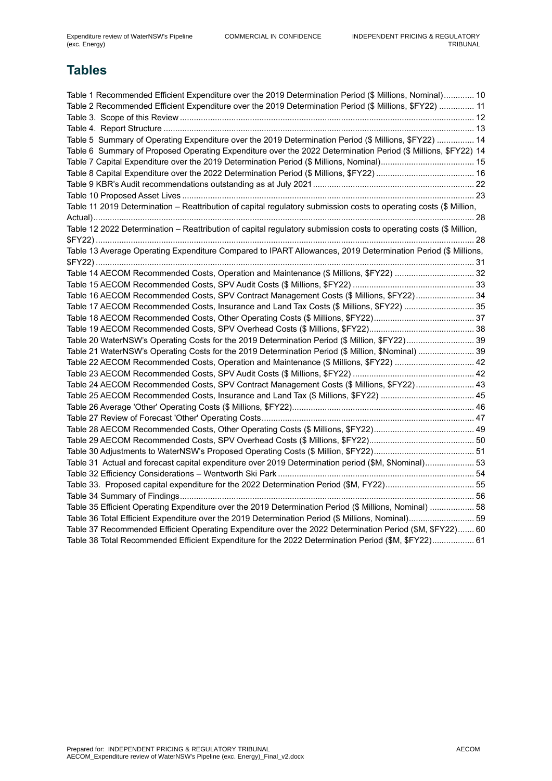# **Tables**

| Table 1 Recommended Efficient Expenditure over the 2019 Determination Period (\$ Millions, Nominal) 10             |  |
|--------------------------------------------------------------------------------------------------------------------|--|
| Table 2 Recommended Efficient Expenditure over the 2019 Determination Period (\$ Millions, \$FY22)  11             |  |
|                                                                                                                    |  |
|                                                                                                                    |  |
| Table 5 Summary of Operating Expenditure over the 2019 Determination Period (\$ Millions, \$FY22)  14              |  |
| Table 6 Summary of Proposed Operating Expenditure over the 2022 Determination Period (\$ Millions, \$FY22) 14      |  |
| Table 7 Capital Expenditure over the 2019 Determination Period (\$ Millions, Nominal) 15                           |  |
|                                                                                                                    |  |
|                                                                                                                    |  |
|                                                                                                                    |  |
| Table 11 2019 Determination - Reattribution of capital regulatory submission costs to operating costs (\$ Million, |  |
|                                                                                                                    |  |
| Table 12 2022 Determination - Reattribution of capital regulatory submission costs to operating costs (\$ Million, |  |
|                                                                                                                    |  |
| Table 13 Average Operating Expenditure Compared to IPART Allowances, 2019 Determination Period (\$ Millions,       |  |
|                                                                                                                    |  |
| 32. Table 14 AECOM Recommended Costs, Operation and Maintenance (\$ Millions, \$FY22)  32                          |  |
|                                                                                                                    |  |
| Table 16 AECOM Recommended Costs, SPV Contract Management Costs (\$ Millions, \$FY22) 34                           |  |
| Table 17 AECOM Recommended Costs, Insurance and Land Tax Costs (\$ Millions, \$FY22)  35                           |  |
|                                                                                                                    |  |
|                                                                                                                    |  |
| Table 20 WaterNSW's Operating Costs for the 2019 Determination Period (\$ Million, \$FY22) 39                      |  |
| Table 21 WaterNSW's Operating Costs for the 2019 Determination Period (\$ Million, \$Nominal)  39                  |  |
| 42. Table 22 AECOM Recommended Costs, Operation and Maintenance (\$ Millions, \$FY22)  42                          |  |
|                                                                                                                    |  |
| Table 24 AECOM Recommended Costs, SPV Contract Management Costs (\$ Millions, \$FY22) 43                           |  |
|                                                                                                                    |  |
|                                                                                                                    |  |
|                                                                                                                    |  |
|                                                                                                                    |  |
|                                                                                                                    |  |
|                                                                                                                    |  |
| Table 31 Actual and forecast capital expenditure over 2019 Determination period (\$M, \$Nominal) 53                |  |
|                                                                                                                    |  |
| Table 33. Proposed capital expenditure for the 2022 Determination Period (\$M, FY22)55                             |  |
|                                                                                                                    |  |
| Table 35 Efficient Operating Expenditure over the 2019 Determination Period (\$ Millions, Nominal)  58             |  |
| Table 36 Total Efficient Expenditure over the 2019 Determination Period (\$ Millions, Nominal) 59                  |  |
| Table 37 Recommended Efficient Operating Expenditure over the 2022 Determination Period (\$M, \$FY22) 60           |  |
| Table 38 Total Recommended Efficient Expenditure for the 2022 Determination Period (\$M, \$FY22) 61                |  |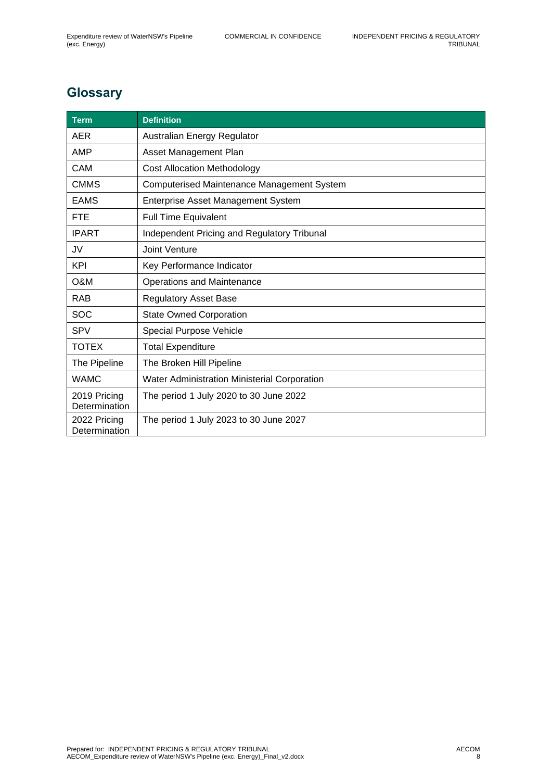# **Glossary**

| <b>Term</b>                   | <b>Definition</b>                                   |
|-------------------------------|-----------------------------------------------------|
| <b>AER</b>                    | Australian Energy Regulator                         |
| <b>AMP</b>                    | Asset Management Plan                               |
| <b>CAM</b>                    | <b>Cost Allocation Methodology</b>                  |
| <b>CMMS</b>                   | Computerised Maintenance Management System          |
| <b>EAMS</b>                   | Enterprise Asset Management System                  |
| <b>FTE</b>                    | <b>Full Time Equivalent</b>                         |
| <b>IPART</b>                  | Independent Pricing and Regulatory Tribunal         |
| JV                            | <b>Joint Venture</b>                                |
| <b>KPI</b>                    | Key Performance Indicator                           |
| O&M                           | Operations and Maintenance                          |
| <b>RAB</b>                    | <b>Regulatory Asset Base</b>                        |
| SOC                           | <b>State Owned Corporation</b>                      |
| <b>SPV</b>                    | Special Purpose Vehicle                             |
| <b>TOTEX</b>                  | <b>Total Expenditure</b>                            |
| The Pipeline                  | The Broken Hill Pipeline                            |
| <b>WAMC</b>                   | <b>Water Administration Ministerial Corporation</b> |
| 2019 Pricing<br>Determination | The period 1 July 2020 to 30 June 2022              |
| 2022 Pricing<br>Determination | The period 1 July 2023 to 30 June 2027              |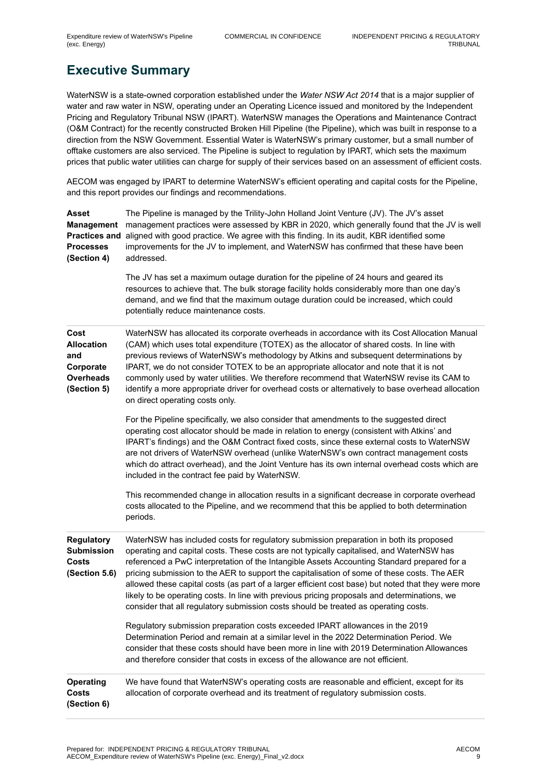# **Executive Summary**

WaterNSW is a state-owned corporation established under the *Water NSW Act 2014* that is a major supplier of water and raw water in NSW, operating under an Operating Licence issued and monitored by the Independent Pricing and Regulatory Tribunal NSW (IPART). WaterNSW manages the Operations and Maintenance Contract (O&M Contract) for the recently constructed Broken Hill Pipeline (the Pipeline), which was built in response to a direction from the NSW Government. Essential Water is WaterNSW's primary customer, but a small number of offtake customers are also serviced. The Pipeline is subject to regulation by IPART, which sets the maximum prices that public water utilities can charge for supply of their services based on an assessment of efficient costs.

AECOM was engaged by IPART to determine WaterNSW's efficient operating and capital costs for the Pipeline, and this report provides our findings and recommendations.

| Asset<br><b>Management</b><br><b>Practices and</b><br><b>Processes</b><br>(Section 4) | The Pipeline is managed by the Trility-John Holland Joint Venture (JV). The JV's asset<br>management practices were assessed by KBR in 2020, which generally found that the JV is well<br>aligned with good practice. We agree with this finding. In its audit, KBR identified some<br>improvements for the JV to implement, and WaterNSW has confirmed that these have been<br>addressed.                                                                                                                                                                                                                                                                                     |
|---------------------------------------------------------------------------------------|--------------------------------------------------------------------------------------------------------------------------------------------------------------------------------------------------------------------------------------------------------------------------------------------------------------------------------------------------------------------------------------------------------------------------------------------------------------------------------------------------------------------------------------------------------------------------------------------------------------------------------------------------------------------------------|
|                                                                                       | The JV has set a maximum outage duration for the pipeline of 24 hours and geared its<br>resources to achieve that. The bulk storage facility holds considerably more than one day's<br>demand, and we find that the maximum outage duration could be increased, which could<br>potentially reduce maintenance costs.                                                                                                                                                                                                                                                                                                                                                           |
| Cost<br><b>Allocation</b><br>and<br>Corporate<br><b>Overheads</b><br>(Section 5)      | WaterNSW has allocated its corporate overheads in accordance with its Cost Allocation Manual<br>(CAM) which uses total expenditure (TOTEX) as the allocator of shared costs. In line with<br>previous reviews of WaterNSW's methodology by Atkins and subsequent determinations by<br>IPART, we do not consider TOTEX to be an appropriate allocator and note that it is not<br>commonly used by water utilities. We therefore recommend that WaterNSW revise its CAM to<br>identify a more appropriate driver for overhead costs or alternatively to base overhead allocation<br>on direct operating costs only.                                                              |
|                                                                                       | For the Pipeline specifically, we also consider that amendments to the suggested direct<br>operating cost allocator should be made in relation to energy (consistent with Atkins' and<br>IPART's findings) and the O&M Contract fixed costs, since these external costs to WaterNSW<br>are not drivers of WaterNSW overhead (unlike WaterNSW's own contract management costs<br>which do attract overhead), and the Joint Venture has its own internal overhead costs which are<br>included in the contract fee paid by WaterNSW.                                                                                                                                              |
|                                                                                       | This recommended change in allocation results in a significant decrease in corporate overhead<br>costs allocated to the Pipeline, and we recommend that this be applied to both determination<br>periods.                                                                                                                                                                                                                                                                                                                                                                                                                                                                      |
| <b>Regulatory</b><br><b>Submission</b><br>Costs<br>(Section 5.6)                      | WaterNSW has included costs for regulatory submission preparation in both its proposed<br>operating and capital costs. These costs are not typically capitalised, and WaterNSW has<br>referenced a PwC interpretation of the Intangible Assets Accounting Standard prepared for a<br>pricing submission to the AER to support the capitalisation of some of these costs. The AER<br>allowed these capital costs (as part of a larger efficient cost base) but noted that they were more<br>likely to be operating costs. In line with previous pricing proposals and determinations, we<br>consider that all regulatory submission costs should be treated as operating costs. |
|                                                                                       | Regulatory submission preparation costs exceeded IPART allowances in the 2019<br>Determination Period and remain at a similar level in the 2022 Determination Period. We<br>consider that these costs should have been more in line with 2019 Determination Allowances<br>and therefore consider that costs in excess of the allowance are not efficient.                                                                                                                                                                                                                                                                                                                      |
| <b>Operating</b><br><b>Costs</b><br>(Section 6)                                       | We have found that WaterNSW's operating costs are reasonable and efficient, except for its<br>allocation of corporate overhead and its treatment of regulatory submission costs.                                                                                                                                                                                                                                                                                                                                                                                                                                                                                               |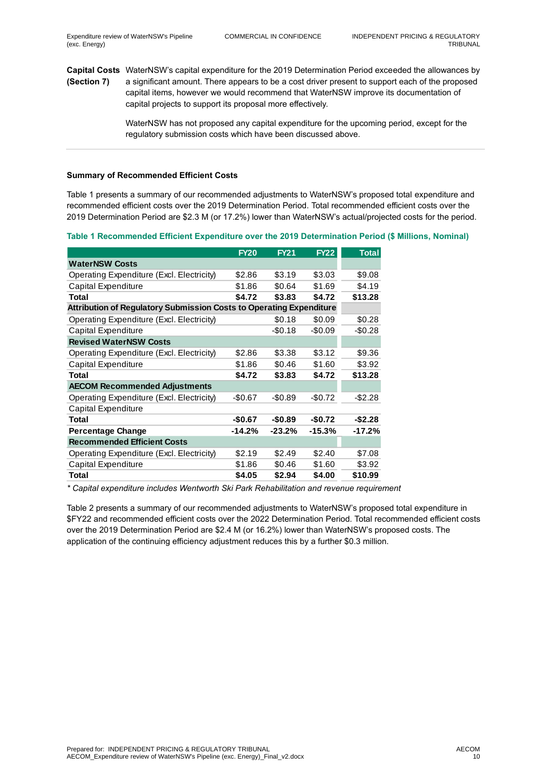**Capital Costs** WaterNSW's capital expenditure for the 2019 Determination Period exceeded the allowances by **(Section 7)** a significant amount. There appears to be a cost driver present to support each of the proposed capital items, however we would recommend that WaterNSW improve its documentation of capital projects to support its proposal more effectively.

> WaterNSW has not proposed any capital expenditure for the upcoming period, except for the regulatory submission costs which have been discussed above.

#### **Summary of Recommended Efficient Costs**

[Table 1](#page-9-0) presents a summary of our recommended adjustments to WaterNSW's proposed total expenditure and recommended efficient costs over the 2019 Determination Period. Total recommended efficient costs over the 2019 Determination Period are \$2.3 M (or 17.2%) lower than WaterNSW's actual/projected costs for the period.

#### <span id="page-9-0"></span>**Table 1 Recommended Efficient Expenditure over the 2019 Determination Period (\$ Millions, Nominal)**

|                                                                            | <b>FY20</b> | <b>FY21</b> | <b>FY22</b> | <b>Total</b> |
|----------------------------------------------------------------------------|-------------|-------------|-------------|--------------|
| <b>WaterNSW Costs</b>                                                      |             |             |             |              |
| Operating Expenditure (Excl. Electricity)                                  | \$2.86      | \$3.19      | \$3.03      | \$9.08       |
| Capital Expenditure                                                        | \$1.86      | \$0.64      | \$1.69      | \$4.19       |
| Total                                                                      | \$4.72      | \$3.83      | \$4.72      | \$13.28      |
| <b>Attribution of Regulatory Submission Costs to Operating Expenditure</b> |             |             |             |              |
| Operating Expenditure (Excl. Electricity)                                  |             | \$0.18      | \$0.09      | \$0.28       |
| Capital Expenditure                                                        |             | $-$0.18$    | $-$0.09$    | $-$0.28$     |
| <b>Revised WaterNSW Costs</b>                                              |             |             |             |              |
| Operating Expenditure (Excl. Electricity)                                  | \$2.86      | \$3.38      | \$3.12      | \$9.36       |
| Capital Expenditure                                                        | \$1.86      | \$0.46      | \$1.60      | \$3.92       |
| Total                                                                      | \$4.72      | \$3.83      | \$4.72      | \$13.28      |
| <b>AECOM Recommended Adjustments</b>                                       |             |             |             |              |
| Operating Expenditure (Excl. Electricity)                                  | $-$0.67$    | -\$0.89     | $-$0.72$    | -\$2.28      |
| Capital Expenditure                                                        |             |             |             |              |
| Total                                                                      | -\$0.67     | -\$0.89     | $-$0.72$    | $-$2.28$     |
| <b>Percentage Change</b>                                                   | $-14.2%$    | $-23.2%$    | $-15.3%$    | $-17.2%$     |
| <b>Recommended Efficient Costs</b>                                         |             |             |             |              |
| Operating Expenditure (Excl. Electricity)                                  | \$2.19      | \$2.49      | \$2.40      | \$7.08       |
| Capital Expenditure                                                        | \$1.86      | \$0.46      | \$1.60      | \$3.92       |
| Total                                                                      | \$4.05      | \$2.94      | \$4.00      | \$10.99      |

*\* Capital expenditure includes Wentworth Ski Park Rehabilitation and revenue requirement*

[Table 2](#page-10-0) presents a summary of our recommended adjustments to WaterNSW's proposed total expenditure in \$FY22 and recommended efficient costs over the 2022 Determination Period. Total recommended efficient costs over the 2019 Determination Period are \$2.4 M (or 16.2%) lower than WaterNSW's proposed costs. The application of the continuing efficiency adjustment reduces this by a further \$0.3 million.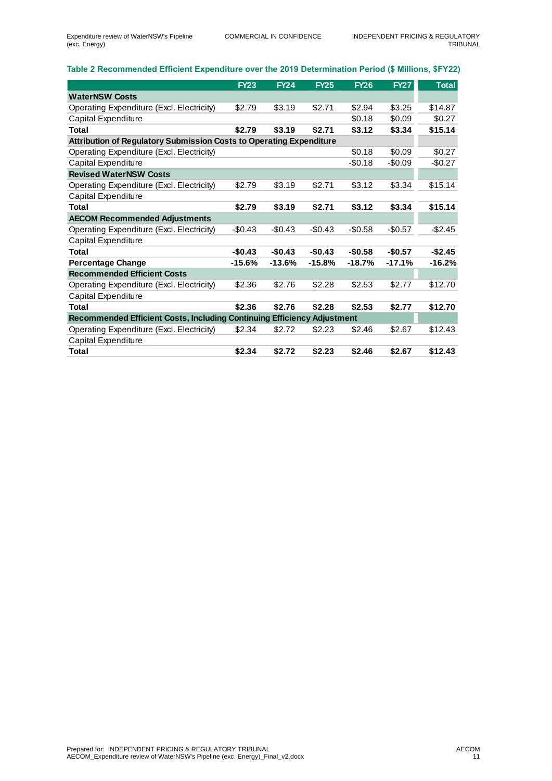## <span id="page-10-0"></span>**Table 2 Recommended Efficient Expenditure over the 2019 Determination Period (\$ Millions, \$FY22)**

|                                                                            | <b>FY23</b> | <b>FY24</b> | <b>FY25</b> | <b>FY26</b> | <b>FY27</b> | <b>Total</b> |
|----------------------------------------------------------------------------|-------------|-------------|-------------|-------------|-------------|--------------|
| <b>WaterNSW Costs</b>                                                      |             |             |             |             |             |              |
| Operating Expenditure (Excl. Electricity)                                  | \$2.79      | \$3.19      | \$2.71      | \$2.94      | \$3.25      | \$14.87      |
| Capital Expenditure                                                        |             |             |             | \$0.18      | \$0.09      | \$0.27       |
| Total                                                                      | \$2.79      | \$3.19      | \$2.71      | \$3.12      | \$3.34      | \$15.14      |
| <b>Attribution of Regulatory Submission Costs to Operating Expenditure</b> |             |             |             |             |             |              |
| Operating Expenditure (Excl. Electricity)                                  |             |             |             | \$0.18      | \$0.09      | \$0.27       |
| Capital Expenditure                                                        |             |             |             | $-$0.18$    | $-$0.09$    | $-$0.27$     |
| <b>Revised WaterNSW Costs</b>                                              |             |             |             |             |             |              |
| Operating Expenditure (Excl. Electricity)                                  | \$2.79      | \$3.19      | \$2.71      | \$3.12      | \$3.34      | \$15.14      |
| Capital Expenditure                                                        |             |             |             |             |             |              |
| <b>Total</b>                                                               | \$2.79      | \$3.19      | \$2.71      | \$3.12      | \$3.34      | \$15.14      |
| <b>AECOM Recommended Adjustments</b>                                       |             |             |             |             |             |              |
| Operating Expenditure (Excl. Electricity)                                  | $-$0.43$    | $-$0.43$    | $-$0.43$    | -\$0.58     | $-$0.57$    | $-$2.45$     |
| Capital Expenditure                                                        |             |             |             |             |             |              |
| Total                                                                      | $-$0.43$    | $-$0.43$    | $-$0.43$    | $-$0.58$    | $-$0.57$    | $-$2.45$     |
| <b>Percentage Change</b>                                                   | $-15.6%$    | $-13.6%$    | $-15.8%$    | $-18.7%$    | $-17.1%$    | $-16.2%$     |
| <b>Recommended Efficient Costs</b>                                         |             |             |             |             |             |              |
| Operating Expenditure (Excl. Electricity)                                  | \$2.36      | \$2.76      | \$2.28      | \$2.53      | \$2.77      | \$12.70      |
| Capital Expenditure                                                        |             |             |             |             |             |              |
| Total                                                                      | \$2.36      | \$2.76      | \$2.28      | \$2.53      | \$2.77      | \$12.70      |
| Recommended Efficient Costs, Including Continuing Efficiency Adjustment    |             |             |             |             |             |              |
| Operating Expenditure (Excl. Electricity)                                  | \$2.34      | \$2.72      | \$2.23      | \$2.46      | \$2.67      | \$12.43      |
| Capital Expenditure                                                        |             |             |             |             |             |              |
| Total                                                                      | \$2.34      | \$2.72      | \$2.23      | \$2.46      | \$2.67      | \$12.43      |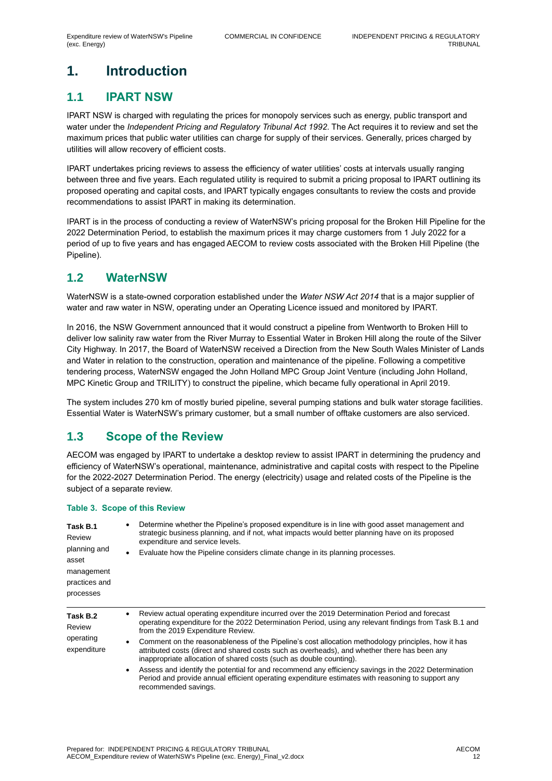# **1. Introduction**

# **1.1 IPART NSW**

IPART NSW is charged with regulating the prices for monopoly services such as energy, public transport and water under the *Independent Pricing and Regulatory Tribunal Act 1992*. The Act requires it to review and set the maximum prices that public water utilities can charge for supply of their services. Generally, prices charged by utilities will allow recovery of efficient costs.

IPART undertakes pricing reviews to assess the efficiency of water utilities' costs at intervals usually ranging between three and five years. Each regulated utility is required to submit a pricing proposal to IPART outlining its proposed operating and capital costs, and IPART typically engages consultants to review the costs and provide recommendations to assist IPART in making its determination.

IPART is in the process of conducting a review of WaterNSW's pricing proposal for the Broken Hill Pipeline for the 2022 Determination Period, to establish the maximum prices it may charge customers from 1 July 2022 for a period of up to five years and has engaged AECOM to review costs associated with the Broken Hill Pipeline (the Pipeline).

# **1.2 WaterNSW**

WaterNSW is a state-owned corporation established under the *Water NSW Act 2014* that is a major supplier of water and raw water in NSW, operating under an Operating Licence issued and monitored by IPART.

In 2016, the NSW Government announced that it would construct a pipeline from Wentworth to Broken Hill to deliver low salinity raw water from the River Murray to Essential Water in Broken Hill along the route of the Silver City Highway. In 2017, the Board of WaterNSW received a Direction from the New South Wales Minister of Lands and Water in relation to the construction, operation and maintenance of the pipeline. Following a competitive tendering process, WaterNSW engaged the John Holland MPC Group Joint Venture (including John Holland, MPC Kinetic Group and TRILITY) to construct the pipeline, which became fully operational in April 2019.

The system includes 270 km of mostly buried pipeline, several pumping stations and bulk water storage facilities. Essential Water is WaterNSW's primary customer, but a small number of offtake customers are also serviced.

# **1.3 Scope of the Review**

AECOM was engaged by IPART to undertake a desktop review to assist IPART in determining the prudency and efficiency of WaterNSW's operational, maintenance, administrative and capital costs with respect to the Pipeline for the 2022-2027 Determination Period. The energy (electricity) usage and related costs of the Pipeline is the subject of a separate review.

## **Table 3. Scope of this Review**

| Task B.1<br><b>Review</b><br>planning and<br>asset<br>management<br>practices and<br>processes | Determine whether the Pipeline's proposed expenditure is in line with good asset management and<br>strategic business planning, and if not, what impacts would better planning have on its proposed<br>expenditure and service levels.<br>Evaluate how the Pipeline considers climate change in its planning processes. |
|------------------------------------------------------------------------------------------------|-------------------------------------------------------------------------------------------------------------------------------------------------------------------------------------------------------------------------------------------------------------------------------------------------------------------------|
| Task B.2<br><b>Review</b><br>operating<br>expenditure                                          | Review actual operating expenditure incurred over the 2019 Determination Period and forecast<br>operating expenditure for the 2022 Determination Period, using any relevant findings from Task B.1 and<br>from the 2019 Expenditure Review.                                                                             |
|                                                                                                | Comment on the reasonableness of the Pipeline's cost allocation methodology principles, how it has<br>attributed costs (direct and shared costs such as overheads), and whether there has been any<br>inappropriate allocation of shared costs (such as double counting).                                               |
|                                                                                                | Assess and identify the potential for and recommend any efficiency savings in the 2022 Determination<br>Period and provide annual efficient operating expenditure estimates with reasoning to support any<br>recommended savings.                                                                                       |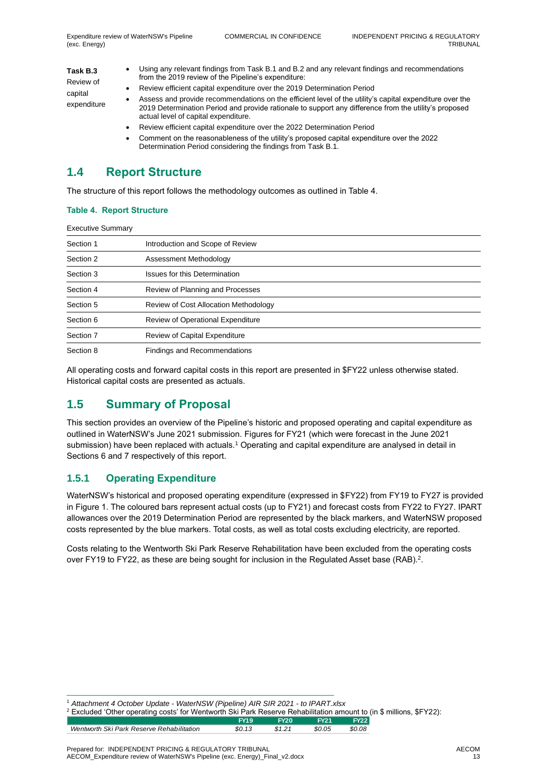| Task B.3<br>Review of  | Using any relevant findings from Task B.1 and B.2 and any relevant findings and recommendations<br>from the 2019 review of the Pipeline's expenditure:                                                                                                   |
|------------------------|----------------------------------------------------------------------------------------------------------------------------------------------------------------------------------------------------------------------------------------------------------|
|                        | Review efficient capital expenditure over the 2019 Determination Period                                                                                                                                                                                  |
| capital<br>expenditure | Assess and provide recommendations on the efficient level of the utility's capital expenditure over the<br>2019 Determination Period and provide rationale to support any difference from the utility's proposed<br>actual level of capital expenditure. |
|                        | Review efficient capital expenditure over the 2022 Determination Period                                                                                                                                                                                  |

• Comment on the reasonableness of the utility's proposed capital expenditure over the 2022 Determination Period considering the findings from Task B.1.

# **1.4 Report Structure**

The structure of this report follows the methodology outcomes as outlined in [Table 4.](#page-12-0)

#### <span id="page-12-0"></span>**Table 4. Report Structure**

Executive Summary

| Section 1 | Introduction and Scope of Review      |
|-----------|---------------------------------------|
| Section 2 | Assessment Methodology                |
| Section 3 | <b>Issues for this Determination</b>  |
| Section 4 | Review of Planning and Processes      |
| Section 5 | Review of Cost Allocation Methodology |
| Section 6 | Review of Operational Expenditure     |
| Section 7 | Review of Capital Expenditure         |
| Section 8 | <b>Findings and Recommendations</b>   |

All operating costs and forward capital costs in this report are presented in \$FY22 unless otherwise stated. Historical capital costs are presented as actuals.

## **1.5 Summary of Proposal**

This section provides an overview of the Pipeline's historic and proposed operating and capital expenditure as outlined in WaterNSW's June 2021 submission. Figures for FY21 (which were forecast in the June 2021 submission) have been replaced with actuals.<sup>1</sup> Operating and capital expenditure are analysed in detail in Sections [6](#page-28-0) and [7](#page-50-0) respectively of this report.

## <span id="page-12-1"></span>**1.5.1 Operating Expenditure**

WaterNSW's historical and proposed operating expenditure (expressed in \$FY22) from FY19 to FY27 is provided in [Figure 1.](#page-13-0) The coloured bars represent actual costs (up to FY21) and forecast costs from FY22 to FY27. IPART allowances over the 2019 Determination Period are represented by the black markers, and WaterNSW proposed costs represented by the blue markers. Total costs, as well as total costs excluding electricity, are reported.

Costs relating to the Wentworth Ski Park Reserve Rehabilitation have been excluded from the operating costs over FY19 to FY22, as these are being sought for inclusion in the Regulated Asset base (RAB).<sup>2</sup>.

<sup>2</sup> Excluded 'Other operating costs' for Wentworth Ski Park Reserve Rehabilitation amount to (in \$ millions, \$FY22): **FY19 FY20 FY21 FY22** *Wentworth Ski Park Reserve Rehabilitation \$0.13 \$1.21 \$0.05 \$0.08*

Prepared for: INDEPENDENT PRICING & REGULATORY TRIBUNAL AECOM\_Expenditure review of WaterNSW's Pipeline (exc. Energy)\_Final\_v2.docx

<sup>1</sup> *Attachment 4 October Update - WaterNSW (Pipeline) AIR SIR 2021 - to IPART.xlsx*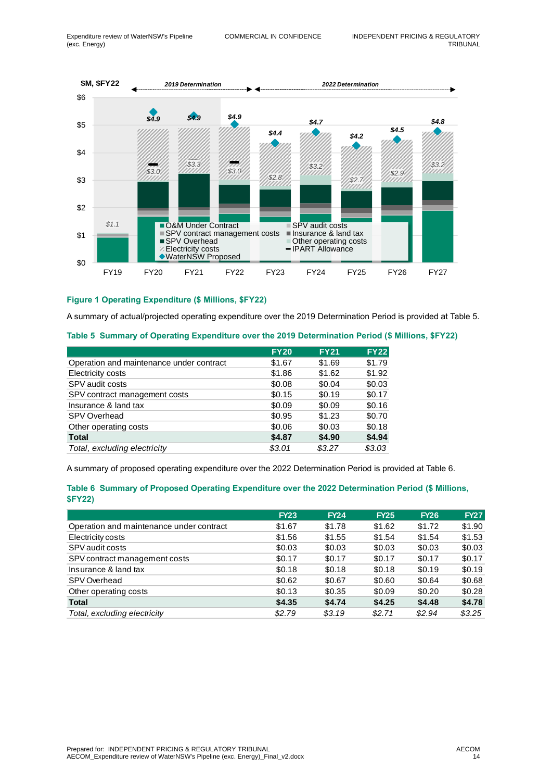

#### <span id="page-13-0"></span>**Figure 1 Operating Expenditure (\$ Millions, \$FY22)**

A summary of actual/projected operating expenditure over the 2019 Determination Period is provided a[t Table 5.](#page-13-1)

<span id="page-13-1"></span>**Table 5 Summary of Operating Expenditure over the 2019 Determination Period (\$ Millions, \$FY22)**

| <b>FY20</b> | <b>FY21</b> | FY22   |
|-------------|-------------|--------|
| \$1.67      | \$1.69      | \$1.79 |
| \$1.86      | \$1.62      | \$1.92 |
| \$0.08      | \$0.04      | \$0.03 |
| \$0.15      | \$0.19      | \$0.17 |
| \$0.09      | \$0.09      | \$0.16 |
| \$0.95      | \$1.23      | \$0.70 |
| \$0.06      | \$0.03      | \$0.18 |
| \$4.87      | \$4.90      | \$4.94 |
| \$3.01      | \$3.27      | \$3.03 |
|             |             |        |

A summary of proposed operating expenditure over the 2022 Determination Period is provided a[t Table 6.](#page-13-2)

<span id="page-13-2"></span>

|                | Table 6 Summary of Proposed Operating Expenditure over the 2022 Determination Period (\$ Millions, |  |  |
|----------------|----------------------------------------------------------------------------------------------------|--|--|
| <b>\$FY22)</b> |                                                                                                    |  |  |

|                                          | <b>FY23</b> | <b>FY24</b> | <b>FY25</b> | <b>FY26</b> | <b>FY27</b> |
|------------------------------------------|-------------|-------------|-------------|-------------|-------------|
| Operation and maintenance under contract | \$1.67      | \$1.78      | \$1.62      | \$1.72      | \$1.90      |
| Electricity costs                        | \$1.56      | \$1.55      | \$1.54      | \$1.54      | \$1.53      |
| SPV audit costs                          | \$0.03      | \$0.03      | \$0.03      | \$0.03      | \$0.03      |
| SPV contract management costs            | \$0.17      | \$0.17      | \$0.17      | \$0.17      | \$0.17      |
| Insurance & land tax                     | \$0.18      | \$0.18      | \$0.18      | \$0.19      | \$0.19      |
| SPV Overhead                             | \$0.62      | \$0.67      | \$0.60      | \$0.64      | \$0.68      |
| Other operating costs                    | \$0.13      | \$0.35      | \$0.09      | \$0.20      | \$0.28      |
| Total                                    | \$4.35      | \$4.74      | \$4.25      | \$4.48      | \$4.78      |
| Total, excluding electricity             | \$2.79      | \$3.19      | \$2.71      | \$2.94      | \$3.25      |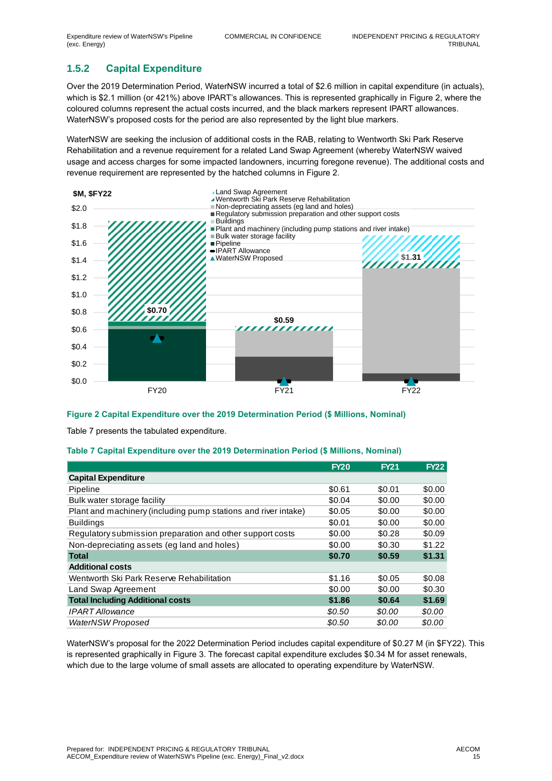# **1.5.2 Capital Expenditure**

Over the 2019 Determination Period, WaterNSW incurred a total of \$2.6 million in capital expenditure (in actuals), which is \$2.1 million (or 421%) above IPART's allowances. This is represented graphically in [Figure 2,](#page-14-0) where the coloured columns represent the actual costs incurred, and the black markers represent IPART allowances. WaterNSW's proposed costs for the period are also represented by the light blue markers.

WaterNSW are seeking the inclusion of additional costs in the RAB, relating to Wentworth Ski Park Reserve Rehabilitation and a revenue requirement for a related Land Swap Agreement (whereby WaterNSW waived usage and access charges for some impacted landowners, incurring foregone revenue). The additional costs and revenue requirement are represented by the hatched columns i[n Figure 2.](#page-14-0)



## <span id="page-14-0"></span>**Figure 2 Capital Expenditure over the 2019 Determination Period (\$ Millions, Nominal)**

[Table 7](#page-14-1) presents the tabulated expenditure.

## <span id="page-14-1"></span>**Table 7 Capital Expenditure over the 2019 Determination Period (\$ Millions, Nominal)**

|                                                                | <b>FY20</b> | <b>FY21</b> | <b>FY22</b> |
|----------------------------------------------------------------|-------------|-------------|-------------|
| <b>Capital Expenditure</b>                                     |             |             |             |
| Pipeline                                                       | \$0.61      | \$0.01      | \$0.00      |
| Bulk water storage facility                                    | \$0.04      | \$0.00      | \$0.00      |
| Plant and machinery (including pump stations and river intake) | \$0.05      | \$0.00      | \$0.00      |
| <b>Buildings</b>                                               | \$0.01      | \$0.00      | \$0.00      |
| Regulatory submission preparation and other support costs      | \$0.00      | \$0.28      | \$0.09      |
| Non-depreciating assets (eg land and holes)                    | \$0.00      | \$0.30      | \$1.22      |
| <b>Total</b>                                                   | \$0.70      | \$0.59      | \$1.31      |
| <b>Additional costs</b>                                        |             |             |             |
| Wentworth Ski Park Reserve Rehabilitation                      | \$1.16      | \$0.05      | \$0.08      |
| Land Swap Agreement                                            | \$0.00      | \$0.00      | \$0.30      |
| <b>Total Including Additional costs</b>                        | \$1.86      | \$0.64      | \$1.69      |
| <b>IPART Allowance</b>                                         | \$0.50      | \$0.00      | \$0.00      |
| WaterNSW Proposed                                              | \$0.50      | \$0.00      | \$0.00      |

WaterNSW's proposal for the 2022 Determination Period includes capital expenditure of \$0.27 M (in \$FY22). This is represented graphically in [Figure 3.](#page-15-0) The forecast capital expenditure excludes \$0.34 M for asset renewals, which due to the large volume of small assets are allocated to operating expenditure by WaterNSW.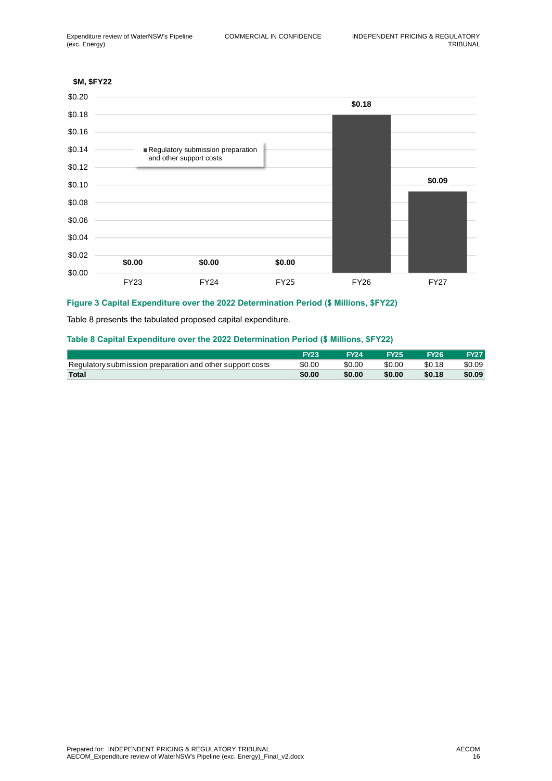#### **\$M, \$FY22**



## <span id="page-15-0"></span>**Figure 3 Capital Expenditure over the 2022 Determination Period (\$ Millions, \$FY22)**

[Table 8](#page-15-1) presents the tabulated proposed capital expenditure.

#### <span id="page-15-1"></span>**Table 8 Capital Expenditure over the 2022 Determination Period (\$ Millions, \$FY22)**

|                                                           | <b>FY23</b> | <b>FY24</b> | <b>FY25</b> | <b>FY26</b> | <b>FY27</b> |
|-----------------------------------------------------------|-------------|-------------|-------------|-------------|-------------|
| Regulatory submission preparation and other support costs | \$0.00      | \$0.00      | \$0.00      | \$0.18      | \$0.09      |
| <b>Total</b>                                              | \$0.00      | \$0.00      | \$0.00      | \$0.18      | \$0.09      |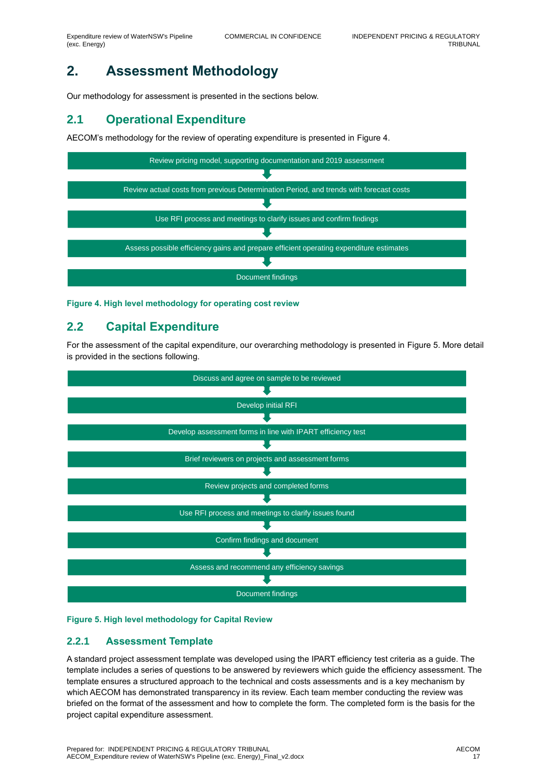# **2. Assessment Methodology**

Our methodology for assessment is presented in the sections below.

# **2.1 Operational Expenditure**

AECOM's methodology for the review of operating expenditure is presented in [Figure 4.](#page-16-0)



<span id="page-16-0"></span>

# **2.2 Capital Expenditure**

For the assessment of the capital expenditure, our overarching methodology is presented in [Figure 5.](#page-16-1) More detail is provided in the sections following.



## <span id="page-16-1"></span>**Figure 5. High level methodology for Capital Review**

## **2.2.1 Assessment Template**

A standard project assessment template was developed using the IPART efficiency test criteria as a guide. The template includes a series of questions to be answered by reviewers which guide the efficiency assessment. The template ensures a structured approach to the technical and costs assessments and is a key mechanism by which AECOM has demonstrated transparency in its review. Each team member conducting the review was briefed on the format of the assessment and how to complete the form. The completed form is the basis for the project capital expenditure assessment.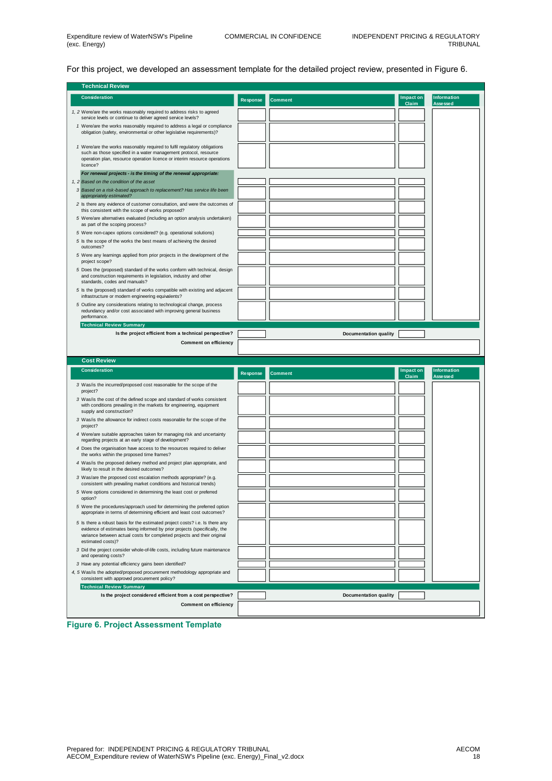For this project, we developed an assessment template for the detailed project review, presented in [Figure 6.](#page-17-0)

| Technical Review                                                                                                                                                                                                                     |                 |                              |                    |                                |
|--------------------------------------------------------------------------------------------------------------------------------------------------------------------------------------------------------------------------------------|-----------------|------------------------------|--------------------|--------------------------------|
| <b>Consideration</b>                                                                                                                                                                                                                 | Response        | <b>Comment</b>               | Impact on          | <b>Information</b>             |
| 1, 2 Were/are the works reasonably required to address risks to agreed                                                                                                                                                               |                 |                              | Claim              | Assessed                       |
| service levels or continue to deliver agreed service levels?                                                                                                                                                                         |                 |                              |                    |                                |
| 1 Were/are the works reasonably required to address a legal or compliance<br>obligation (safety, environmental or other legislative requirements)?                                                                                   |                 |                              |                    |                                |
| 1 Were/are the works reasonably required to fulfil regulatory obligations                                                                                                                                                            |                 |                              |                    |                                |
| such as those specified in a water management protocol, resource<br>operation plan, resource operation licence or interim resource operations                                                                                        |                 |                              |                    |                                |
| licence?<br>For renewal projects - is the timing of the renewal appropriate:                                                                                                                                                         |                 |                              |                    |                                |
| 1, 2 Based on the condition of the asset                                                                                                                                                                                             |                 |                              |                    |                                |
| 3 Based on a risk-based approach to replacement? Has service life been                                                                                                                                                               |                 |                              |                    |                                |
| appropriately estimated?<br>2 Is there any evidence of customer consultation, and were the outcomes of                                                                                                                               |                 |                              |                    |                                |
| this consistent with the scope of works proposed?                                                                                                                                                                                    |                 |                              |                    |                                |
| 5 Were/are alternatives evaluated (including an option analysis undertaken)<br>as part of the scoping process?                                                                                                                       |                 |                              |                    |                                |
| 5 Were non-capex options considered? (e.g. operational solutions)                                                                                                                                                                    |                 |                              |                    |                                |
| 5 Is the scope of the works the best means of achieving the desired<br>outcomes?                                                                                                                                                     |                 |                              |                    |                                |
| 5 Were any learnings applied from prior projects in the development of the<br>project scope?                                                                                                                                         |                 |                              |                    |                                |
| 5 Does the (proposed) standard of the works conform with technical, design<br>and construction requirements in legislation, industry and other<br>standards, codes and manuals?                                                      |                 |                              |                    |                                |
| 5 Is the (proposed) standard of works compatible with existing and adjacent<br>infrastructure or modern engineering equivalents?                                                                                                     |                 |                              |                    |                                |
| 5 Outline any considerations relating to technological change, process<br>redundancy and/or cost associated with improving general business                                                                                          |                 |                              |                    |                                |
| performance.<br><b>Technical Review Summary</b>                                                                                                                                                                                      |                 |                              |                    |                                |
| Is the project efficient from a technical perspective?                                                                                                                                                                               |                 | <b>Documentation quality</b> |                    |                                |
| <b>Comment on efficiency</b>                                                                                                                                                                                                         |                 |                              |                    |                                |
|                                                                                                                                                                                                                                      |                 |                              |                    |                                |
|                                                                                                                                                                                                                                      |                 |                              |                    |                                |
| <b>Cost Review</b>                                                                                                                                                                                                                   |                 |                              |                    |                                |
| <b>Consideration</b>                                                                                                                                                                                                                 | <b>Response</b> | <b>Comment</b>               | Impact on<br>Claim | <b>Information</b><br>Assessed |
| 3 Was/is the incurred/proposed cost reasonable for the scope of the<br>project?                                                                                                                                                      |                 |                              |                    |                                |
| 3 Was/is the cost of the defined scope and standard of works consistent<br>with conditions prevailing in the markets for engineering, equipment<br>supply and construction?                                                          |                 |                              |                    |                                |
| 3 Was/is the allowance for indirect costs reasonable for the scope of the<br>project?                                                                                                                                                |                 |                              |                    |                                |
| 4 Were/are suitable approaches taken for managing risk and uncertainty<br>regarding projects at an early stage of development?                                                                                                       |                 |                              |                    |                                |
| 4 Does the organisation have access to the resources required to deliver<br>the works within the proposed time frames?                                                                                                               |                 |                              |                    |                                |
| 4 Was/is the proposed delivery method and project plan appropriate, and<br>likely to result in the desired outcomes?                                                                                                                 |                 |                              |                    |                                |
| 3 Was/are the proposed cost escalation methods appropriate? (e.g.<br>consistent with prevailing market conditions and historical trends)                                                                                             |                 |                              |                    |                                |
| 5 Were options considered in determining the least cost or preferred<br>option?                                                                                                                                                      |                 |                              |                    |                                |
| 5 Were the procedures/approach used for determining the preferred option<br>appropriate in terms of determining efficient and least cost outcomes?                                                                                   |                 |                              |                    |                                |
| 5 Is there a robust basis for the estimated project costs? i.e. Is there any<br>evidence of estimates being informed by prior projects (specifically, the<br>variance between actual costs for completed projects and their original |                 |                              |                    |                                |
| estimated costs)?<br>3 Did the project consider whole-of-life costs, including future maintenance<br>and operating costs?                                                                                                            |                 |                              |                    |                                |
| 3 Have any potential efficiency gains been identified?                                                                                                                                                                               |                 |                              |                    |                                |
| 4, 5 Was/is the adopted/proposed procurement methodology appropriate and<br>consistent with approved procurement policy?                                                                                                             |                 |                              |                    |                                |
| <b>Technical Review Summary</b>                                                                                                                                                                                                      |                 |                              |                    |                                |
| Is the project considered efficient from a cost perspective?<br><b>Comment on efficiency</b>                                                                                                                                         |                 | <b>Documentation quality</b> |                    |                                |

<span id="page-17-0"></span>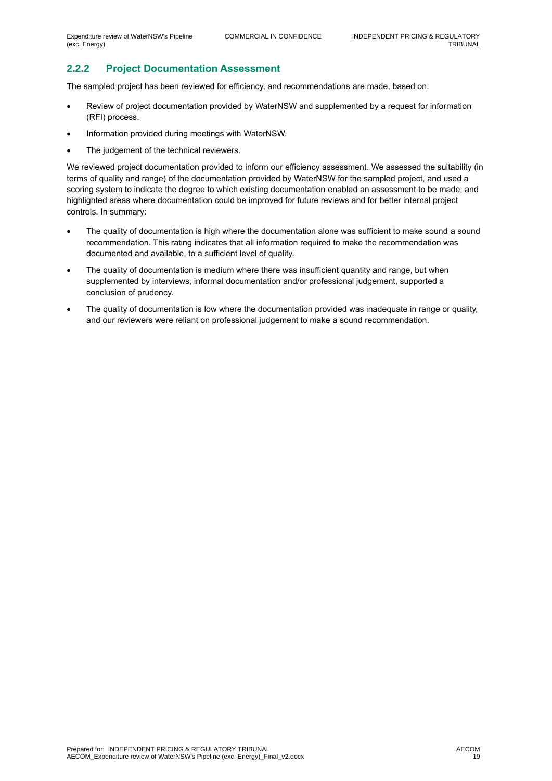# **2.2.2 Project Documentation Assessment**

The sampled project has been reviewed for efficiency, and recommendations are made, based on:

- Review of project documentation provided by WaterNSW and supplemented by a request for information (RFI) process.
- Information provided during meetings with WaterNSW.
- The judgement of the technical reviewers.

We reviewed project documentation provided to inform our efficiency assessment. We assessed the suitability (in terms of quality and range) of the documentation provided by WaterNSW for the sampled project, and used a scoring system to indicate the degree to which existing documentation enabled an assessment to be made; and highlighted areas where documentation could be improved for future reviews and for better internal project controls. In summary:

- The quality of documentation is high where the documentation alone was sufficient to make sound a sound recommendation. This rating indicates that all information required to make the recommendation was documented and available, to a sufficient level of quality.
- The quality of documentation is medium where there was insufficient quantity and range, but when supplemented by interviews, informal documentation and/or professional judgement, supported a conclusion of prudency.
- The quality of documentation is low where the documentation provided was inadequate in range or quality, and our reviewers were reliant on professional judgement to make a sound recommendation.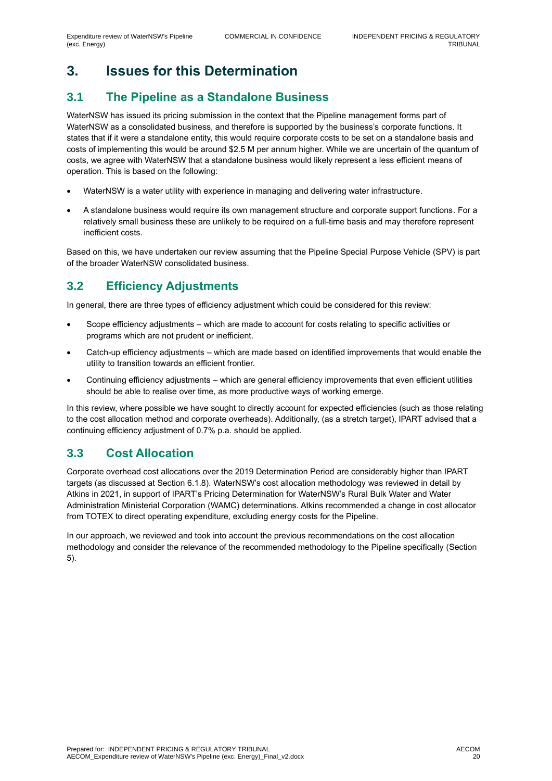# **3. Issues for this Determination**

# **3.1 The Pipeline as a Standalone Business**

WaterNSW has issued its pricing submission in the context that the Pipeline management forms part of WaterNSW as a consolidated business, and therefore is supported by the business's corporate functions. It states that if it were a standalone entity, this would require corporate costs to be set on a standalone basis and costs of implementing this would be around \$2.5 M per annum higher. While we are uncertain of the quantum of costs, we agree with WaterNSW that a standalone business would likely represent a less efficient means of operation. This is based on the following:

- WaterNSW is a water utility with experience in managing and delivering water infrastructure.
- A standalone business would require its own management structure and corporate support functions. For a relatively small business these are unlikely to be required on a full-time basis and may therefore represent inefficient costs.

Based on this, we have undertaken our review assuming that the Pipeline Special Purpose Vehicle (SPV) is part of the broader WaterNSW consolidated business.

# **3.2 Efficiency Adjustments**

In general, there are three types of efficiency adjustment which could be considered for this review:

- Scope efficiency adjustments which are made to account for costs relating to specific activities or programs which are not prudent or inefficient.
- Catch-up efficiency adjustments which are made based on identified improvements that would enable the utility to transition towards an efficient frontier.
- Continuing efficiency adjustments which are general efficiency improvements that even efficient utilities should be able to realise over time, as more productive ways of working emerge.

In this review, where possible we have sought to directly account for expected efficiencies (such as those relating to the cost allocation method and corporate overheads). Additionally, (as a stretch target), IPART advised that a continuing efficiency adjustment of 0.7% p.a. should be applied.

# **3.3 Cost Allocation**

Corporate overhead cost allocations over the 2019 Determination Period are considerably higher than IPART targets (as discussed at Section [6.1.8\)](#page-35-0). WaterNSW's cost allocation methodology was reviewed in detail by Atkins in 2021, in support of IPART's Pricing Determination for WaterNSW's Rural Bulk Water and Water Administration Ministerial Corporation (WAMC) determinations. Atkins recommended a change in cost allocator from TOTEX to direct operating expenditure, excluding energy costs for the Pipeline.

In our approach, we reviewed and took into account the previous recommendations on the cost allocation methodology and consider the relevance of the recommended methodology to the Pipeline specifically (Section [5\)](#page-24-0).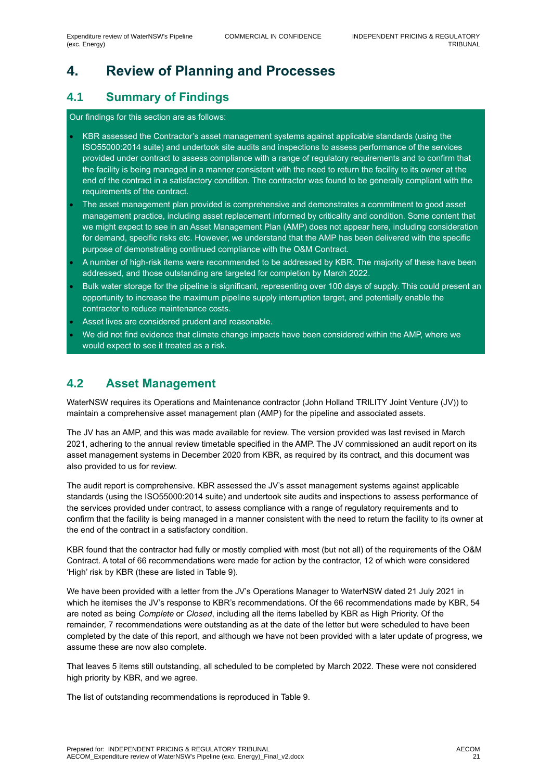# **4. Review of Planning and Processes**

# **4.1 Summary of Findings**

Our findings for this section are as follows:

- KBR assessed the Contractor's asset management systems against applicable standards (using the ISO55000:2014 suite) and undertook site audits and inspections to assess performance of the services provided under contract to assess compliance with a range of regulatory requirements and to confirm that the facility is being managed in a manner consistent with the need to return the facility to its owner at the end of the contract in a satisfactory condition. The contractor was found to be generally compliant with the requirements of the contract.
- The asset management plan provided is comprehensive and demonstrates a commitment to good asset management practice, including asset replacement informed by criticality and condition. Some content that we might expect to see in an Asset Management Plan (AMP) does not appear here, including consideration for demand, specific risks etc. However, we understand that the AMP has been delivered with the specific purpose of demonstrating continued compliance with the O&M Contract.
- A number of high-risk items were recommended to be addressed by KBR. The majority of these have been addressed, and those outstanding are targeted for completion by March 2022.
- Bulk water storage for the pipeline is significant, representing over 100 days of supply. This could present an opportunity to increase the maximum pipeline supply interruption target, and potentially enable the contractor to reduce maintenance costs.
- Asset lives are considered prudent and reasonable.
- We did not find evidence that climate change impacts have been considered within the AMP, where we would expect to see it treated as a risk.

# **4.2 Asset Management**

WaterNSW requires its Operations and Maintenance contractor (John Holland TRILITY Joint Venture (JV)) to maintain a comprehensive asset management plan (AMP) for the pipeline and associated assets.

The JV has an AMP, and this was made available for review. The version provided was last revised in March 2021, adhering to the annual review timetable specified in the AMP. The JV commissioned an audit report on its asset management systems in December 2020 from KBR, as required by its contract, and this document was also provided to us for review.

The audit report is comprehensive. KBR assessed the JV's asset management systems against applicable standards (using the ISO55000:2014 suite) and undertook site audits and inspections to assess performance of the services provided under contract, to assess compliance with a range of regulatory requirements and to confirm that the facility is being managed in a manner consistent with the need to return the facility to its owner at the end of the contract in a satisfactory condition.

KBR found that the contractor had fully or mostly complied with most (but not all) of the requirements of the O&M Contract. A total of 66 recommendations were made for action by the contractor, 12 of which were considered 'High' risk by KBR (these are listed in [Table 9\)](#page-21-0).

We have been provided with a letter from the JV's Operations Manager to WaterNSW dated 21 July 2021 in which he itemises the JV's response to KBR's recommendations. Of the 66 recommendations made by KBR, 54 are noted as being *Complete* or *Closed*, including all the items labelled by KBR as High Priority. Of the remainder, 7 recommendations were outstanding as at the date of the letter but were scheduled to have been completed by the date of this report, and although we have not been provided with a later update of progress, we assume these are now also complete.

That leaves 5 items still outstanding, all scheduled to be completed by March 2022. These were not considered high priority by KBR, and we agree.

The list of outstanding recommendations is reproduced in [Table 9.](#page-21-0)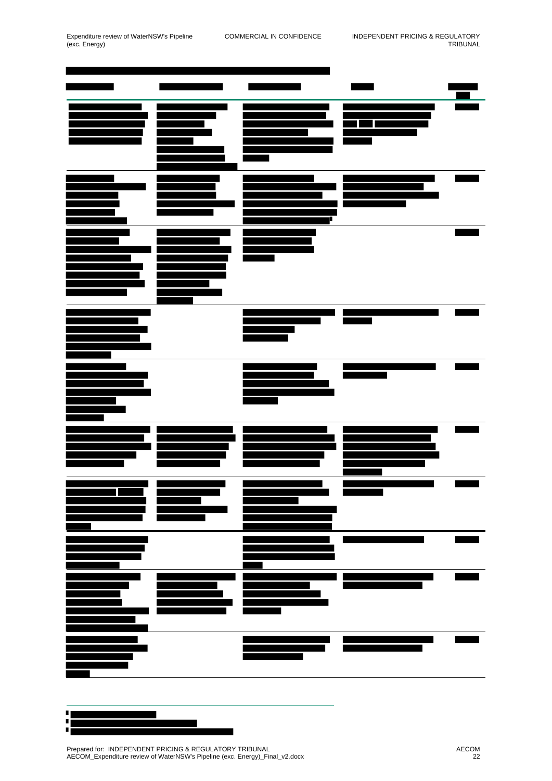Prepared for: INDEPENDENT PRICING & REGULATORY TRIBUNAL AECOM\_Expenditure review of WaterNSW's Pipeline (exc. Energy)\_Final\_v2.docx

 $\blacksquare$ 

<span id="page-21-0"></span>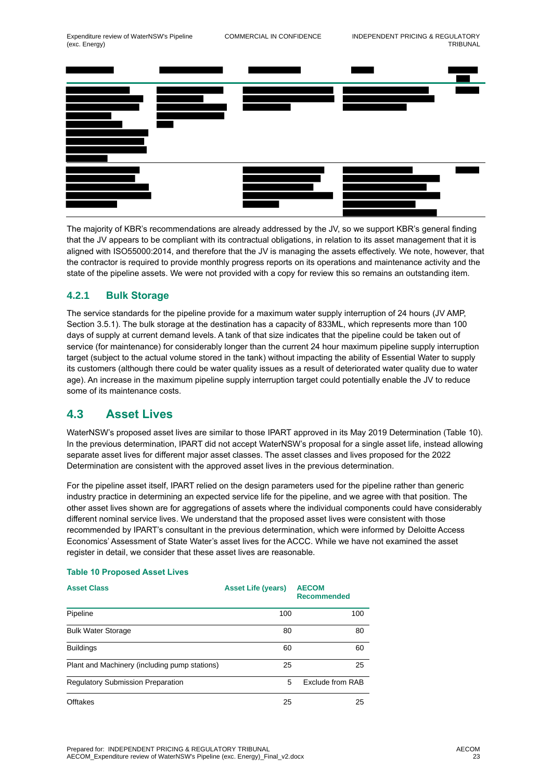Expenditure review of WaterNSW's Pipeline (exc. Energy)



The majority of KBR's recommendations are already addressed by the JV, so we support KBR's general finding that the JV appears to be compliant with its contractual obligations, in relation to its asset management that it is aligned with ISO55000:2014, and therefore that the JV is managing the assets effectively. We note, however, that the contractor is required to provide monthly progress reports on its operations and maintenance activity and the state of the pipeline assets. We were not provided with a copy for review this so remains an outstanding item.

## **4.2.1 Bulk Storage**

The service standards for the pipeline provide for a maximum water supply interruption of 24 hours (JV AMP, Section 3.5.1). The bulk storage at the destination has a capacity of 833ML, which represents more than 100 days of supply at current demand levels. A tank of that size indicates that the pipeline could be taken out of service (for maintenance) for considerably longer than the current 24 hour maximum pipeline supply interruption target (subject to the actual volume stored in the tank) without impacting the ability of Essential Water to supply its customers (although there could be water quality issues as a result of deteriorated water quality due to water age). An increase in the maximum pipeline supply interruption target could potentially enable the JV to reduce some of its maintenance costs.

## **4.3 Asset Lives**

WaterNSW's proposed asset lives are similar to those IPART approved in its May 2019 Determination [\(Table 10\)](#page-22-0). In the previous determination, IPART did not accept WaterNSW's proposal for a single asset life, instead allowing separate asset lives for different major asset classes. The asset classes and lives proposed for the 2022 Determination are consistent with the approved asset lives in the previous determination.

For the pipeline asset itself, IPART relied on the design parameters used for the pipeline rather than generic industry practice in determining an expected service life for the pipeline, and we agree with that position. The other asset lives shown are for aggregations of assets where the individual components could have considerably different nominal service lives. We understand that the proposed asset lives were consistent with those recommended by IPART's consultant in the previous determination, which were informed by Deloitte Access Economics' Assessment of State Water's asset lives for the ACCC. While we have not examined the asset register in detail, we consider that these asset lives are reasonable.

#### <span id="page-22-0"></span>**Table 10 Proposed Asset Lives**

| <b>Asset Class</b>                            | <b>Asset Life (years)</b> | <b>AECOM</b><br><b>Recommended</b> |
|-----------------------------------------------|---------------------------|------------------------------------|
| Pipeline                                      | 100                       | 100                                |
| <b>Bulk Water Storage</b>                     | 80                        | 80                                 |
| <b>Buildings</b>                              | 60                        | 60                                 |
| Plant and Machinery (including pump stations) | 25                        | 25                                 |
| <b>Regulatory Submission Preparation</b>      | 5                         | Exclude from RAB                   |
| Offtakes                                      | 25                        | 25                                 |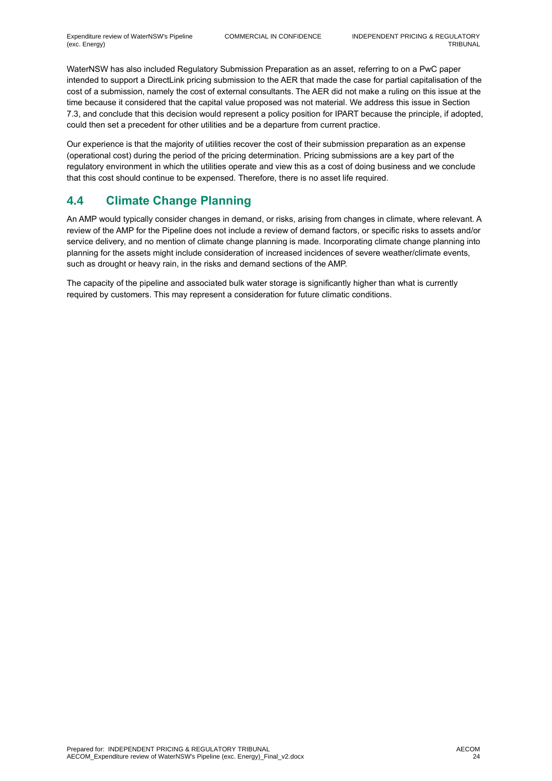WaterNSW has also included Regulatory Submission Preparation as an asset, referring to on a PwC paper intended to support a DirectLink pricing submission to the AER that made the case for partial capitalisation of the cost of a submission, namely the cost of external consultants. The AER did not make a ruling on this issue at the time because it considered that the capital value proposed was not material. We address this issue in Section [7.3,](#page-53-0) and conclude that this decision would represent a policy position for IPART because the principle, if adopted, could then set a precedent for other utilities and be a departure from current practice.

Our experience is that the majority of utilities recover the cost of their submission preparation as an expense (operational cost) during the period of the pricing determination. Pricing submissions are a key part of the regulatory environment in which the utilities operate and view this as a cost of doing business and we conclude that this cost should continue to be expensed. Therefore, there is no asset life required.

# **4.4 Climate Change Planning**

An AMP would typically consider changes in demand, or risks, arising from changes in climate, where relevant. A review of the AMP for the Pipeline does not include a review of demand factors, or specific risks to assets and/or service delivery, and no mention of climate change planning is made. Incorporating climate change planning into planning for the assets might include consideration of increased incidences of severe weather/climate events, such as drought or heavy rain, in the risks and demand sections of the AMP.

The capacity of the pipeline and associated bulk water storage is significantly higher than what is currently required by customers. This may represent a consideration for future climatic conditions.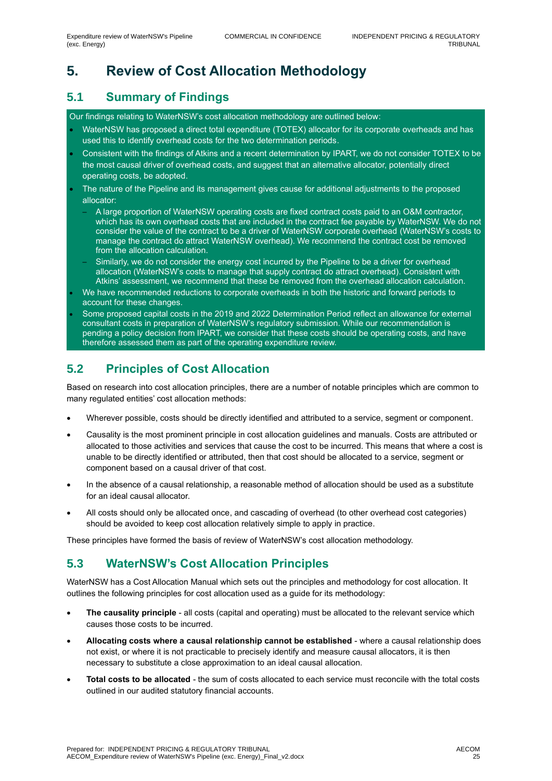# <span id="page-24-0"></span>**5. Review of Cost Allocation Methodology**

# **5.1 Summary of Findings**

Our findings relating to WaterNSW's cost allocation methodology are outlined below:

- WaterNSW has proposed a direct total expenditure (TOTEX) allocator for its corporate overheads and has used this to identify overhead costs for the two determination periods.
- Consistent with the findings of Atkins and a recent determination by IPART, we do not consider TOTEX to be the most causal driver of overhead costs, and suggest that an alternative allocator, potentially direct operating costs, be adopted.
- The nature of the Pipeline and its management gives cause for additional adjustments to the proposed allocator:
	- ─ A large proportion of WaterNSW operating costs are fixed contract costs paid to an O&M contractor, which has its own overhead costs that are included in the contract fee payable by WaterNSW. We do not consider the value of the contract to be a driver of WaterNSW corporate overhead (WaterNSW's costs to manage the contract do attract WaterNSW overhead). We recommend the contract cost be removed from the allocation calculation.
	- Similarly, we do not consider the energy cost incurred by the Pipeline to be a driver for overhead allocation (WaterNSW's costs to manage that supply contract do attract overhead). Consistent with Atkins' assessment, we recommend that these be removed from the overhead allocation calculation.
- We have recommended reductions to corporate overheads in both the historic and forward periods to account for these changes.
- Some proposed capital costs in the 2019 and 2022 Determination Period reflect an allowance for external consultant costs in preparation of WaterNSW's regulatory submission. While our recommendation is pending a policy decision from IPART, we consider that these costs should be operating costs, and have therefore assessed them as part of the operating expenditure review.

# **5.2 Principles of Cost Allocation**

Based on research into cost allocation principles, there are a number of notable principles which are common to many regulated entities' cost allocation methods:

- Wherever possible, costs should be directly identified and attributed to a service, segment or component.
- Causality is the most prominent principle in cost allocation guidelines and manuals. Costs are attributed or allocated to those activities and services that cause the cost to be incurred. This means that where a cost is unable to be directly identified or attributed, then that cost should be allocated to a service, segment or component based on a causal driver of that cost.
- In the absence of a causal relationship, a reasonable method of allocation should be used as a substitute for an ideal causal allocator.
- All costs should only be allocated once, and cascading of overhead (to other overhead cost categories) should be avoided to keep cost allocation relatively simple to apply in practice.

These principles have formed the basis of review of WaterNSW's cost allocation methodology.

# **5.3 WaterNSW's Cost Allocation Principles**

WaterNSW has a Cost Allocation Manual which sets out the principles and methodology for cost allocation. It outlines the following principles for cost allocation used as a guide for its methodology:

- **The causality principle** all costs (capital and operating) must be allocated to the relevant service which causes those costs to be incurred.
- **Allocating costs where a causal relationship cannot be established** where a causal relationship does not exist, or where it is not practicable to precisely identify and measure causal allocators, it is then necessary to substitute a close approximation to an ideal causal allocation.
- **Total costs to be allocated** the sum of costs allocated to each service must reconcile with the total costs outlined in our audited statutory financial accounts.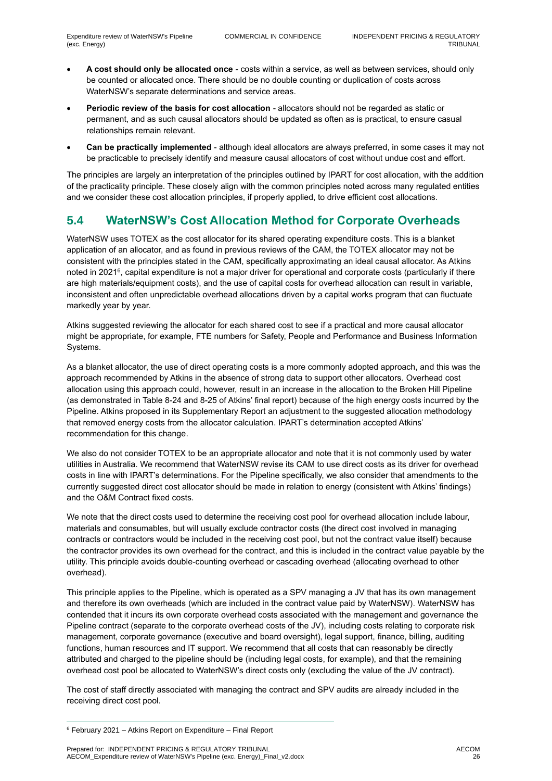- **A cost should only be allocated once** costs within a service, as well as between services, should only be counted or allocated once. There should be no double counting or duplication of costs across WaterNSW's separate determinations and service areas.
- **Periodic review of the basis for cost allocation** allocators should not be regarded as static or permanent, and as such causal allocators should be updated as often as is practical, to ensure casual relationships remain relevant.
- **Can be practically implemented** although ideal allocators are always preferred, in some cases it may not be practicable to precisely identify and measure causal allocators of cost without undue cost and effort.

The principles are largely an interpretation of the principles outlined by IPART for cost allocation, with the addition of the practicality principle. These closely align with the common principles noted across many regulated entities and we consider these cost allocation principles, if properly applied, to drive efficient cost allocations.

# <span id="page-25-0"></span>**5.4 WaterNSW's Cost Allocation Method for Corporate Overheads**

WaterNSW uses TOTEX as the cost allocator for its shared operating expenditure costs. This is a blanket application of an allocator, and as found in previous reviews of the CAM, the TOTEX allocator may not be consistent with the principles stated in the CAM, specifically approximating an ideal causal allocator. As Atkins noted in 2021<sup>6</sup>, capital expenditure is not a major driver for operational and corporate costs (particularly if there are high materials/equipment costs), and the use of capital costs for overhead allocation can result in variable, inconsistent and often unpredictable overhead allocations driven by a capital works program that can fluctuate markedly year by year.

Atkins suggested reviewing the allocator for each shared cost to see if a practical and more causal allocator might be appropriate, for example, FTE numbers for Safety, People and Performance and Business Information Systems.

As a blanket allocator, the use of direct operating costs is a more commonly adopted approach, and this was the approach recommended by Atkins in the absence of strong data to support other allocators. Overhead cost allocation using this approach could, however, result in an increase in the allocation to the Broken Hill Pipeline (as demonstrated in Table 8-24 and 8-25 of Atkins' final report) because of the high energy costs incurred by the Pipeline. Atkins proposed in its Supplementary Report an adjustment to the suggested allocation methodology that removed energy costs from the allocator calculation. IPART's determination accepted Atkins' recommendation for this change.

We also do not consider TOTEX to be an appropriate allocator and note that it is not commonly used by water utilities in Australia. We recommend that WaterNSW revise its CAM to use direct costs as its driver for overhead costs in line with IPART's determinations. For the Pipeline specifically, we also consider that amendments to the currently suggested direct cost allocator should be made in relation to energy (consistent with Atkins' findings) and the O&M Contract fixed costs.

We note that the direct costs used to determine the receiving cost pool for overhead allocation include labour, materials and consumables, but will usually exclude contractor costs (the direct cost involved in managing contracts or contractors would be included in the receiving cost pool, but not the contract value itself) because the contractor provides its own overhead for the contract, and this is included in the contract value payable by the utility. This principle avoids double-counting overhead or cascading overhead (allocating overhead to other overhead).

This principle applies to the Pipeline, which is operated as a SPV managing a JV that has its own management and therefore its own overheads (which are included in the contract value paid by WaterNSW). WaterNSW has contended that it incurs its own corporate overhead costs associated with the management and governance the Pipeline contract (separate to the corporate overhead costs of the JV), including costs relating to corporate risk management, corporate governance (executive and board oversight), legal support, finance, billing, auditing functions, human resources and IT support. We recommend that all costs that can reasonably be directly attributed and charged to the pipeline should be (including legal costs, for example), and that the remaining overhead cost pool be allocated to WaterNSW's direct costs only (excluding the value of the JV contract).

The cost of staff directly associated with managing the contract and SPV audits are already included in the receiving direct cost pool.

<sup>6</sup> February 2021 – Atkins Report on Expenditure – Final Report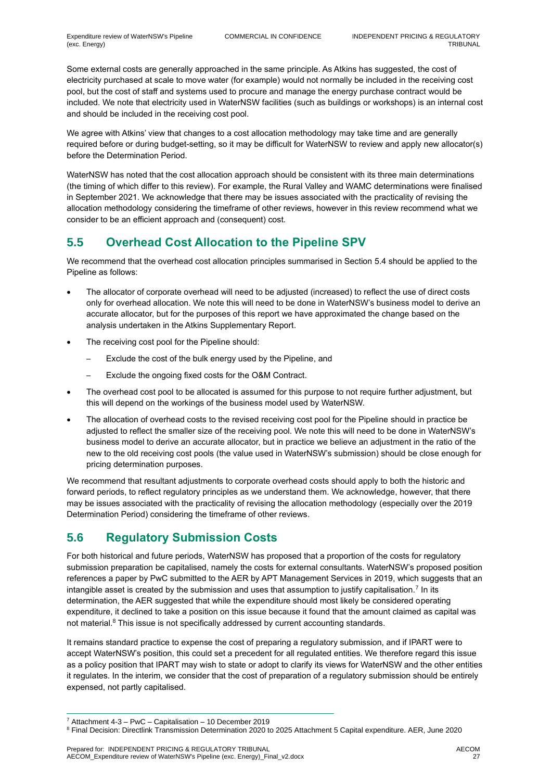Some external costs are generally approached in the same principle. As Atkins has suggested, the cost of electricity purchased at scale to move water (for example) would not normally be included in the receiving cost pool, but the cost of staff and systems used to procure and manage the energy purchase contract would be included. We note that electricity used in WaterNSW facilities (such as buildings or workshops) is an internal cost and should be included in the receiving cost pool.

We agree with Atkins' view that changes to a cost allocation methodology may take time and are generally required before or during budget-setting, so it may be difficult for WaterNSW to review and apply new allocator(s) before the Determination Period.

WaterNSW has noted that the cost allocation approach should be consistent with its three main determinations (the timing of which differ to this review). For example, the Rural Valley and WAMC determinations were finalised in September 2021. We acknowledge that there may be issues associated with the practicality of revising the allocation methodology considering the timeframe of other reviews, however in this review recommend what we consider to be an efficient approach and (consequent) cost.

# <span id="page-26-1"></span>**5.5 Overhead Cost Allocation to the Pipeline SPV**

We recommend that the overhead cost allocation principles summarised in Section [5.4](#page-25-0) should be applied to the Pipeline as follows:

- The allocator of corporate overhead will need to be adjusted (increased) to reflect the use of direct costs only for overhead allocation. We note this will need to be done in WaterNSW's business model to derive an accurate allocator, but for the purposes of this report we have approximated the change based on the analysis undertaken in the Atkins Supplementary Report.
- The receiving cost pool for the Pipeline should:
	- Exclude the cost of the bulk energy used by the Pipeline, and
	- Exclude the ongoing fixed costs for the O&M Contract.
- The overhead cost pool to be allocated is assumed for this purpose to not require further adjustment, but this will depend on the workings of the business model used by WaterNSW.
- The allocation of overhead costs to the revised receiving cost pool for the Pipeline should in practice be adjusted to reflect the smaller size of the receiving pool. We note this will need to be done in WaterNSW's business model to derive an accurate allocator, but in practice we believe an adjustment in the ratio of the new to the old receiving cost pools (the value used in WaterNSW's submission) should be close enough for pricing determination purposes.

We recommend that resultant adjustments to corporate overhead costs should apply to both the historic and forward periods, to reflect regulatory principles as we understand them. We acknowledge, however, that there may be issues associated with the practicality of revising the allocation methodology (especially over the 2019 Determination Period) considering the timeframe of other reviews.

# <span id="page-26-0"></span>**5.6 Regulatory Submission Costs**

For both historical and future periods, WaterNSW has proposed that a proportion of the costs for regulatory submission preparation be capitalised, namely the costs for external consultants. WaterNSW's proposed position references a paper by PwC submitted to the AER by APT Management Services in 2019, which suggests that an intangible asset is created by the submission and uses that assumption to justify capitalisation.<sup>7</sup> In its determination, the AER suggested that while the expenditure should most likely be considered operating expenditure, it declined to take a position on this issue because it found that the amount claimed as capital was not material.<sup>8</sup> This issue is not specifically addressed by current accounting standards.

It remains standard practice to expense the cost of preparing a regulatory submission, and if IPART were to accept WaterNSW's position, this could set a precedent for all regulated entities. We therefore regard this issue as a policy position that IPART may wish to state or adopt to clarify its views for WaterNSW and the other entities it regulates. In the interim, we consider that the cost of preparation of a regulatory submission should be entirely expensed, not partly capitalised.

<sup>7</sup> Attachment 4-3 – PwC – Capitalisation – 10 December 2019

<sup>8</sup> Final Decision: Directlink Transmission Determination 2020 to 2025 Attachment 5 Capital expenditure. AER, June 2020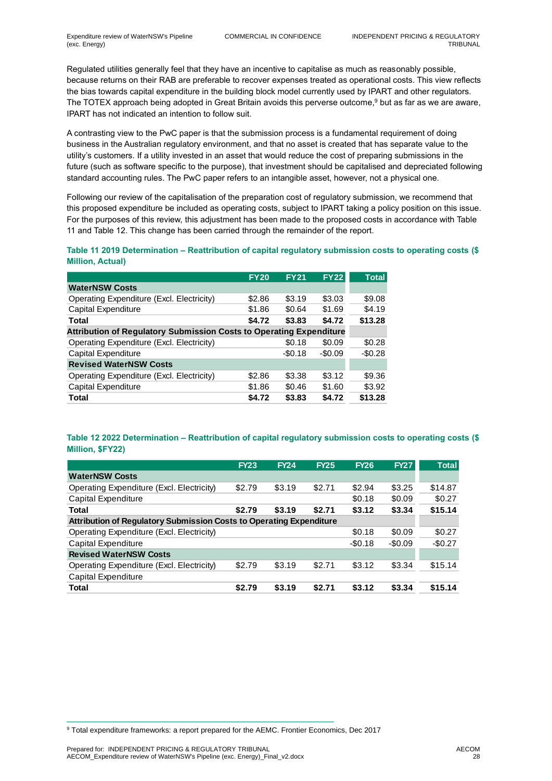Regulated utilities generally feel that they have an incentive to capitalise as much as reasonably possible, because returns on their RAB are preferable to recover expenses treated as operational costs. This view reflects the bias towards capital expenditure in the building block model currently used by IPART and other regulators. The TOTEX approach being adopted in Great Britain avoids this perverse outcome,<sup>9</sup> but as far as we are aware, IPART has not indicated an intention to follow suit.

A contrasting view to the PwC paper is that the submission process is a fundamental requirement of doing business in the Australian regulatory environment, and that no asset is created that has separate value to the utility's customers. If a utility invested in an asset that would reduce the cost of preparing submissions in the future (such as software specific to the purpose), that investment should be capitalised and depreciated following standard accounting rules. The PwC paper refers to an intangible asset, however, not a physical one.

Following our review of the capitalisation of the preparation cost of regulatory submission, we recommend that this proposed expenditure be included as operating costs, subject to IPART taking a policy position on this issue. For the purposes of this review, this adjustment has been made to the proposed costs in accordance wit[h Table](#page-27-0)  [11](#page-27-0) and [Table 12.](#page-27-1) This change has been carried through the remainder of the report.

<span id="page-27-0"></span>**Table 11 2019 Determination – Reattribution of capital regulatory submission costs to operating costs (\$ Million, Actual)**

|                                                                            | <b>FY20</b> | <b>FY21</b> | <b>FY22</b> | <b>Total</b> |
|----------------------------------------------------------------------------|-------------|-------------|-------------|--------------|
| <b>WaterNSW Costs</b>                                                      |             |             |             |              |
| Operating Expenditure (Excl. Electricity)                                  | \$2.86      | \$3.19      | \$3.03      | \$9.08       |
| Capital Expenditure                                                        | \$1.86      | \$0.64      | \$1.69      | \$4.19       |
| <b>Total</b>                                                               | \$4.72      | \$3.83      | \$4.72      | \$13.28      |
| <b>Attribution of Regulatory Submission Costs to Operating Expenditure</b> |             |             |             |              |
| Operating Expenditure (Excl. Electricity)                                  |             | \$0.18      | \$0.09      | \$0.28       |
| Capital Expenditure                                                        |             | $-$0.18$    | $-$0.09$    | $-$0.28$     |
| <b>Revised WaterNSW Costs</b>                                              |             |             |             |              |
| Operating Expenditure (Excl. Electricity)                                  | \$2.86      | \$3.38      | \$3.12      | \$9.36       |
| Capital Expenditure                                                        | \$1.86      | \$0.46      | \$1.60      | \$3.92       |
| <b>Total</b>                                                               | \$4.72      | \$3.83      | \$4.72      | \$13.28      |

## <span id="page-27-1"></span>**Table 12 2022 Determination – Reattribution of capital regulatory submission costs to operating costs (\$ Million, \$FY22)**

|                                                                            | <b>FY23</b> | <b>FY24</b> | <b>FY25</b> | <b>FY26</b> | <b>FY27</b> | <b>Total</b> |
|----------------------------------------------------------------------------|-------------|-------------|-------------|-------------|-------------|--------------|
| <b>WaterNSW Costs</b>                                                      |             |             |             |             |             |              |
| Operating Expenditure (Excl. Electricity)                                  | \$2.79      | \$3.19      | \$2.71      | \$2.94      | \$3.25      | \$14.87      |
| Capital Expenditure                                                        |             |             |             | \$0.18      | \$0.09      | \$0.27       |
| <b>Total</b>                                                               | \$2.79      | \$3.19      | \$2.71      | \$3.12      | \$3.34      | \$15.14      |
| <b>Attribution of Regulatory Submission Costs to Operating Expenditure</b> |             |             |             |             |             |              |
| Operating Expenditure (Excl. Electricity)                                  |             |             |             | \$0.18      | \$0.09      | \$0.27       |
| Capital Expenditure                                                        |             |             |             | $-$0.18$    | $-$0.09$    | $-$0.27$     |
| <b>Revised WaterNSW Costs</b>                                              |             |             |             |             |             |              |
| Operating Expenditure (Excl. Electricity)                                  | \$2.79      | \$3.19      | \$2.71      | \$3.12      | \$3.34      | \$15.14      |
| Capital Expenditure                                                        |             |             |             |             |             |              |
| <b>Total</b>                                                               | \$2.79      | \$3.19      | \$2.71      | \$3.12      | \$3.34      | \$15.14      |

<sup>9</sup> Total expenditure frameworks: a report prepared for the AEMC. Frontier Economics, Dec 2017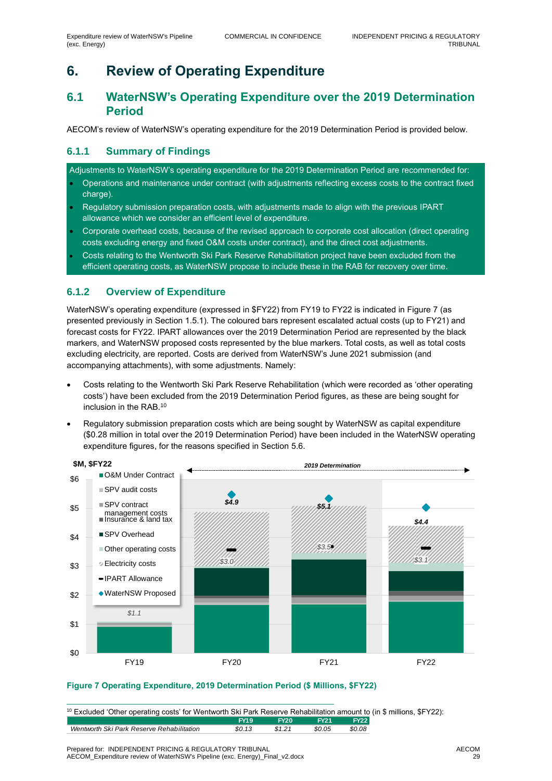# <span id="page-28-0"></span>**6. Review of Operating Expenditure**

# **6.1 WaterNSW's Operating Expenditure over the 2019 Determination Period**

AECOM's review of WaterNSW's operating expenditure for the 2019 Determination Period is provided below.

## **6.1.1 Summary of Findings**

Adjustments to WaterNSW's operating expenditure for the 2019 Determination Period are recommended for:

- Operations and maintenance under contract (with adjustments reflecting excess costs to the contract fixed charge).
- Regulatory submission preparation costs, with adjustments made to align with the previous IPART allowance which we consider an efficient level of expenditure.
- Corporate overhead costs, because of the revised approach to corporate cost allocation (direct operating costs excluding energy and fixed O&M costs under contract), and the direct cost adjustments.
- Costs relating to the Wentworth Ski Park Reserve Rehabilitation project have been excluded from the efficient operating costs, as WaterNSW propose to include these in the RAB for recovery over time.

## **6.1.2 Overview of Expenditure**

WaterNSW's operating expenditure (expressed in \$FY22) from FY19 to FY22 is indicated in [Figure 7](#page-28-1) (as presented previously in Sectio[n 1.5.1\)](#page-12-1). The coloured bars represent escalated actual costs (up to FY21) and forecast costs for FY22. IPART allowances over the 2019 Determination Period are represented by the black markers, and WaterNSW proposed costs represented by the blue markers. Total costs, as well as total costs excluding electricity, are reported. Costs are derived from WaterNSW's June 2021 submission (and accompanying attachments), with some adjustments. Namely:

- Costs relating to the Wentworth Ski Park Reserve Rehabilitation (which were recorded as 'other operating costs') have been excluded from the 2019 Determination Period figures, as these are being sought for inclusion in the RAB.<sup>10</sup>
- Regulatory submission preparation costs which are being sought by WaterNSW as capital expenditure (\$0.28 million in total over the 2019 Determination Period) have been included in the WaterNSW operating expenditure figures, for the reasons specified in Section [5.6.](#page-26-0)



## <span id="page-28-1"></span>**Figure 7 Operating Expenditure, 2019 Determination Period (\$ Millions, \$FY22)**

| <sup>10</sup> Excluded 'Other operating costs' for Wentworth Ski Park Reserve Rehabilitation amount to (in \$ millions, \$FY22): |                  |        |             |             |  |
|----------------------------------------------------------------------------------------------------------------------------------|------------------|--------|-------------|-------------|--|
|                                                                                                                                  | FY <sub>19</sub> | FY20.  | <b>FY21</b> | <b>FY22</b> |  |
| Wentworth Ski Park Reserve Rehabilitation                                                                                        | \$0.13           | \$1.21 | \$0.05      | \$0.08      |  |

Prepared for: INDEPENDENT PRICING & REGULATORY TRIBUNAL AECOM\_Expenditure review of WaterNSW's Pipeline (exc. Energy)\_Final\_v2.docx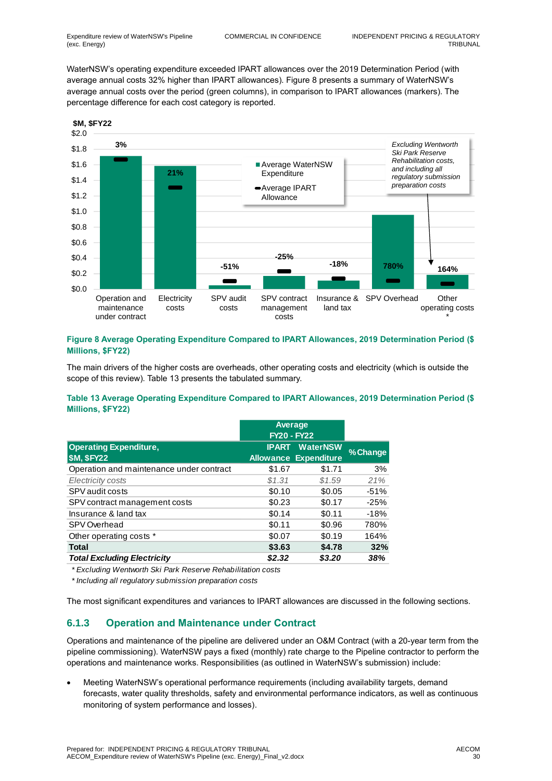WaterNSW's operating expenditure exceeded IPART allowances over the 2019 Determination Period (with average annual costs 32% higher than IPART allowances)[. Figure 8](#page-29-0) presents a summary of WaterNSW's average annual costs over the period (green columns), in comparison to IPART allowances (markers). The percentage difference for each cost category is reported.



## <span id="page-29-0"></span>**Figure 8 Average Operating Expenditure Compared to IPART Allowances, 2019 Determination Period (\$ Millions, \$FY22)**

The main drivers of the higher costs are overheads, other operating costs and electricity (which is outside the scope of this review). [Table 13](#page-29-1) presents the tabulated summary.

#### <span id="page-29-1"></span>**Table 13 Average Operating Expenditure Compared to IPART Allowances, 2019 Determination Period (\$ Millions, \$FY22)**

|                                                                | <b>Average</b><br><b>FY20 - FY22</b> |                                                 |          |
|----------------------------------------------------------------|--------------------------------------|-------------------------------------------------|----------|
| <b>Operating Expenditure,</b><br>$\mathsf{SM}, \mathsf{SFY22}$ | <b>IPART</b>                         | <b>WaterNSW</b><br><b>Allowance Expenditure</b> | % Change |
| Operation and maintenance under contract                       | \$1.67                               | \$1.71                                          | 3%       |
| <b>Electricity costs</b>                                       | \$1.31                               | \$1.59                                          | 21%      |
| SPV audit costs                                                | \$0.10                               | \$0.05                                          | $-51%$   |
| SPV contract management costs                                  | \$0.23                               | \$0.17                                          | $-25%$   |
| Insurance & land tax                                           | \$0.14                               | \$0.11                                          | $-18%$   |
| SPV Overhead                                                   | \$0.11                               | \$0.96                                          | 780%     |
| Other operating costs *                                        | \$0.07                               | \$0.19                                          | 164%     |
| Total                                                          | \$3.63                               | \$4.78                                          | 32%      |
| <b>Total Excluding Electricity</b>                             | \$2.32                               | \$3.20                                          | 38%      |

*\* Excluding Wentworth Ski Park Reserve Rehabilitation costs*

*\* Including all regulatory submission preparation costs*

The most significant expenditures and variances to IPART allowances are discussed in the following sections.

## <span id="page-29-2"></span>**6.1.3 Operation and Maintenance under Contract**

Operations and maintenance of the pipeline are delivered under an O&M Contract (with a 20-year term from the pipeline commissioning). WaterNSW pays a fixed (monthly) rate charge to the Pipeline contractor to perform the operations and maintenance works. Responsibilities (as outlined in WaterNSW's submission) include:

• Meeting WaterNSW's operational performance requirements (including availability targets, demand forecasts, water quality thresholds, safety and environmental performance indicators, as well as continuous monitoring of system performance and losses).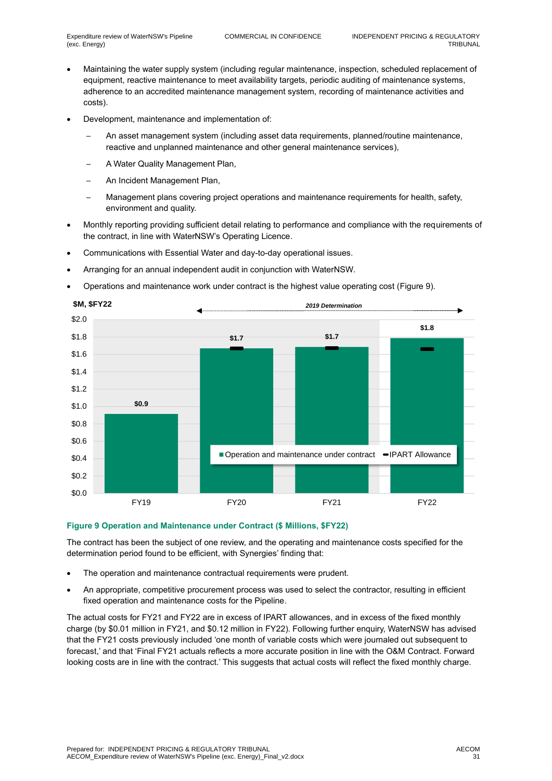- Maintaining the water supply system (including regular maintenance, inspection, scheduled replacement of equipment, reactive maintenance to meet availability targets, periodic auditing of maintenance systems, adherence to an accredited maintenance management system, recording of maintenance activities and costs).
- Development, maintenance and implementation of:
	- An asset management system (including asset data requirements, planned/routine maintenance, reactive and unplanned maintenance and other general maintenance services),
	- A Water Quality Management Plan,
	- An Incident Management Plan,
	- Management plans covering project operations and maintenance requirements for health, safety, environment and quality.
- Monthly reporting providing sufficient detail relating to performance and compliance with the requirements of the contract, in line with WaterNSW's Operating Licence.
- Communications with Essential Water and day-to-day operational issues.
- Arranging for an annual independent audit in conjunction with WaterNSW.



• Operations and maintenance work under contract is the highest value operating cost [\(Figure 9\)](#page-30-0).

## <span id="page-30-0"></span>**Figure 9 Operation and Maintenance under Contract (\$ Millions, \$FY22)**

The contract has been the subject of one review, and the operating and maintenance costs specified for the determination period found to be efficient, with Synergies' finding that:

- The operation and maintenance contractual requirements were prudent.
- An appropriate, competitive procurement process was used to select the contractor, resulting in efficient fixed operation and maintenance costs for the Pipeline.

The actual costs for FY21 and FY22 are in excess of IPART allowances, and in excess of the fixed monthly charge (by \$0.01 million in FY21, and \$0.12 million in FY22). Following further enquiry, WaterNSW has advised that the FY21 costs previously included 'one month of variable costs which were journaled out subsequent to forecast,' and that 'Final FY21 actuals reflects a more accurate position in line with the O&M Contract. Forward looking costs are in line with the contract.' This suggests that actual costs will reflect the fixed monthly charge.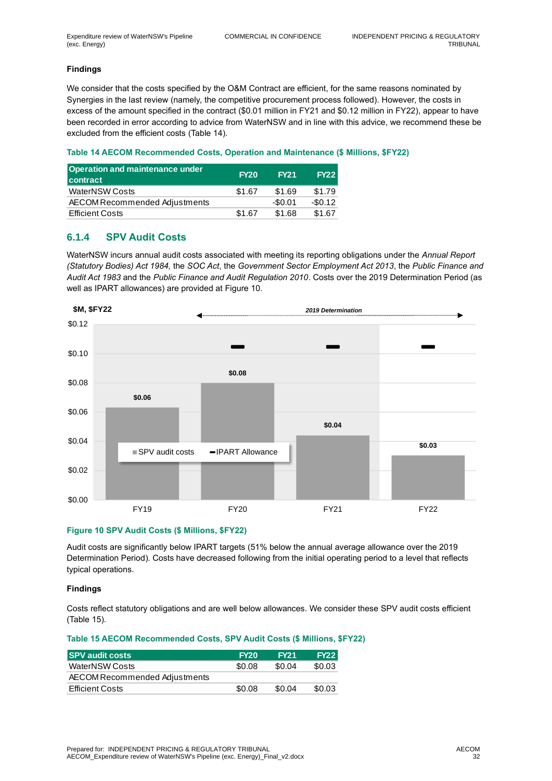## **Findings**

We consider that the costs specified by the O&M Contract are efficient, for the same reasons nominated by Synergies in the last review (namely, the competitive procurement process followed). However, the costs in excess of the amount specified in the contract (\$0.01 million in FY21 and \$0.12 million in FY22), appear to have been recorded in error according to advice from WaterNSW and in line with this advice, we recommend these be excluded from the efficient costs [\(Table 14\)](#page-31-0).

## <span id="page-31-0"></span>**Table 14 AECOM Recommended Costs, Operation and Maintenance (\$ Millions, \$FY22)**

| <b>Operation and maintenance under</b><br>contract <sup>1</sup> | <b>FY20</b> | <b>FY21</b> | FY22     |
|-----------------------------------------------------------------|-------------|-------------|----------|
| <b>WaterNSW Costs</b>                                           | \$1.67      | \$1.69      | \$1.79   |
| AECOM Recommended Adjustments                                   |             | $-$0.01$    | $-$0.12$ |
| <b>Efficient Costs</b>                                          | \$1.67      | \$1.68      | \$1.67   |

## <span id="page-31-3"></span>**6.1.4 SPV Audit Costs**

WaterNSW incurs annual audit costs associated with meeting its reporting obligations under the *Annual Report (Statutory Bodies) Act 1984,* the *SOC Act*, the *Government Sector Employment Act 2013*, the *Public Finance and Audit Act 1983* and the *Public Finance and Audit Regulation 2010*. Costs over the 2019 Determination Period (as well as IPART allowances) are provided a[t Figure 10.](#page-31-1)



## <span id="page-31-1"></span>**Figure 10 SPV Audit Costs (\$ Millions, \$FY22)**

Audit costs are significantly below IPART targets (51% below the annual average allowance over the 2019 Determination Period). Costs have decreased following from the initial operating period to a level that reflects typical operations.

## **Findings**

Costs reflect statutory obligations and are well below allowances. We consider these SPV audit costs efficient [\(Table 15\)](#page-31-2).

<span id="page-31-2"></span>

| Table 15 AECOM Recommended Costs, SPV Audit Costs (\$ Millions, \$FY22) |  |  |  |
|-------------------------------------------------------------------------|--|--|--|
|-------------------------------------------------------------------------|--|--|--|

| <b>ISPV audit costs</b>       | <b>FY20</b> | <b>FY21</b> | FY22   |
|-------------------------------|-------------|-------------|--------|
| <b>WaterNSW Costs</b>         | \$0.08      | \$0.04      | \$0.03 |
| AECOM Recommended Adjustments |             |             |        |
| <b>Efficient Costs</b>        | \$0.08      | \$0.04      | \$0.03 |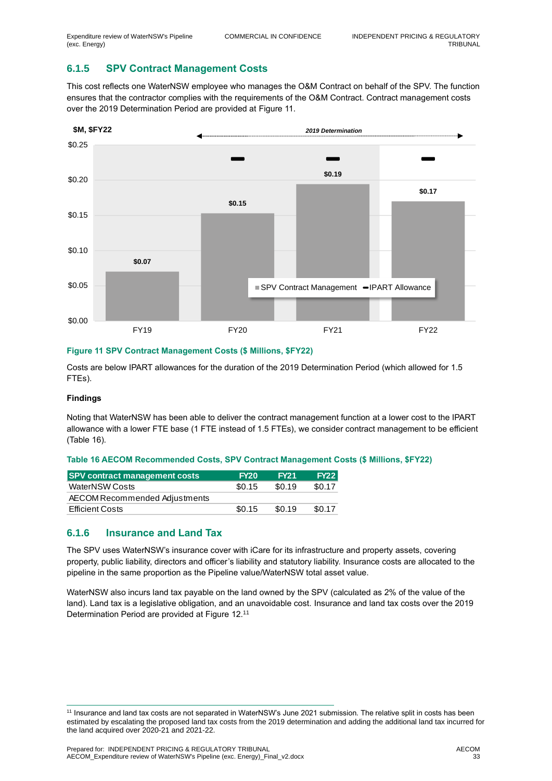## **6.1.5 SPV Contract Management Costs**

This cost reflects one WaterNSW employee who manages the O&M Contract on behalf of the SPV. The function ensures that the contractor complies with the requirements of the O&M Contract. Contract management costs over the 2019 Determination Period are provided at [Figure 11.](#page-32-0)



#### <span id="page-32-0"></span>**Figure 11 SPV Contract Management Costs (\$ Millions, \$FY22)**

Costs are below IPART allowances for the duration of the 2019 Determination Period (which allowed for 1.5 FTEs).

## **Findings**

Noting that WaterNSW has been able to deliver the contract management function at a lower cost to the IPART allowance with a lower FTE base (1 FTE instead of 1.5 FTEs), we consider contract management to be efficient [\(Table 16\)](#page-32-1).

#### <span id="page-32-1"></span>**Table 16 AECOM Recommended Costs, SPV Contract Management Costs (\$ Millions, \$FY22)**

| <b>SPV</b> contract management costs | <b>FY20</b> | <b>FY21</b> | FY22   |
|--------------------------------------|-------------|-------------|--------|
| <b>WaterNSW Costs</b>                | \$0.15      | \$0.19      | \$0.17 |
| AECOM Recommended Adjustments        |             |             |        |
| <b>Efficient Costs</b>               | \$0.15      | \$0.19      | \$0.17 |

## <span id="page-32-2"></span>**6.1.6 Insurance and Land Tax**

The SPV uses WaterNSW's insurance cover with iCare for its infrastructure and property assets, covering property, public liability, directors and officer's liability and statutory liability. Insurance costs are allocated to the pipeline in the same proportion as the Pipeline value/WaterNSW total asset value.

WaterNSW also incurs land tax payable on the land owned by the SPV (calculated as 2% of the value of the land). Land tax is a legislative obligation, and an unavoidable cost. Insurance and land tax costs over the 2019 Determination Period are provided a[t Figure 12.](#page-33-0)<sup>11</sup>

<sup>11</sup> Insurance and land tax costs are not separated in WaterNSW's June 2021 submission. The relative split in costs has been estimated by escalating the proposed land tax costs from the 2019 determination and adding the additional land tax incurred for the land acquired over 2020-21 and 2021-22.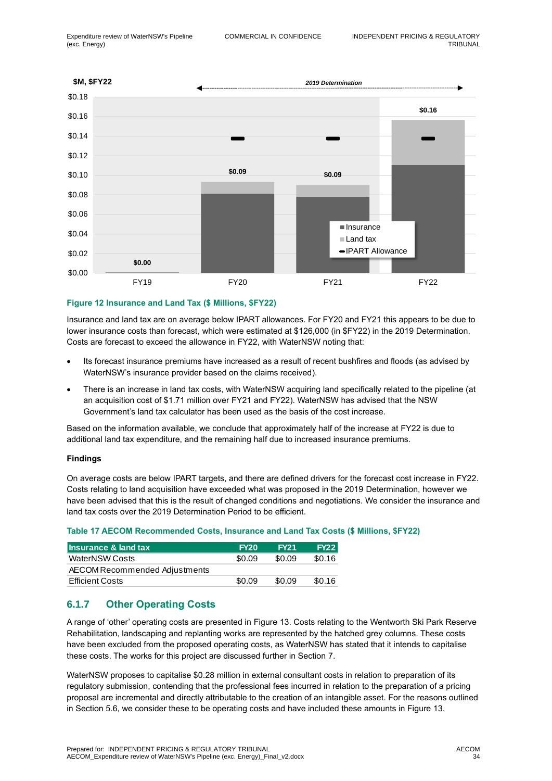

## <span id="page-33-0"></span>**Figure 12 Insurance and Land Tax (\$ Millions, \$FY22)**

Insurance and land tax are on average below IPART allowances. For FY20 and FY21 this appears to be due to lower insurance costs than forecast, which were estimated at \$126,000 (in \$FY22) in the 2019 Determination. Costs are forecast to exceed the allowance in FY22, with WaterNSW noting that:

- Its forecast insurance premiums have increased as a result of recent bushfires and floods (as advised by WaterNSW's insurance provider based on the claims received).
- There is an increase in land tax costs, with WaterNSW acquiring land specifically related to the pipeline (at an acquisition cost of \$1.71 million over FY21 and FY22). WaterNSW has advised that the NSW Government's land tax calculator has been used as the basis of the cost increase.

Based on the information available, we conclude that approximately half of the increase at FY22 is due to additional land tax expenditure, and the remaining half due to increased insurance premiums.

## **Findings**

On average costs are below IPART targets, and there are defined drivers for the forecast cost increase in FY22. Costs relating to land acquisition have exceeded what was proposed in the 2019 Determination, however we have been advised that this is the result of changed conditions and negotiations. We consider the insurance and land tax costs over the 2019 Determination Period to be efficient.

## **Table 17 AECOM Recommended Costs, Insurance and Land Tax Costs (\$ Millions, \$FY22)**

| <b>Insurance &amp; land tax</b> | <b>FY20</b> | <b>FY21</b> | FY22   |
|---------------------------------|-------------|-------------|--------|
| WaterNSW Costs                  | \$0.09      | \$0.09      | \$0.16 |
| AECOM Recommended Adjustments   |             |             |        |
| <b>Efficient Costs</b>          | \$0.09      | \$0.09      | \$0.16 |

## <span id="page-33-1"></span>**6.1.7 Other Operating Costs**

A range of 'other' operating costs are presented i[n Figure 13.](#page-34-0) Costs relating to the Wentworth Ski Park Reserve Rehabilitation, landscaping and replanting works are represented by the hatched grey columns. These costs have been excluded from the proposed operating costs, as WaterNSW has stated that it intends to capitalise these costs. The works for this project are discussed further in Section [7.](#page-50-0)

WaterNSW proposes to capitalise \$0.28 million in external consultant costs in relation to preparation of its regulatory submission, contending that the professional fees incurred in relation to the preparation of a pricing proposal are incremental and directly attributable to the creation of an intangible asset. For the reasons outlined in Section [5.6,](#page-26-0) we consider these to be operating costs and have included these amounts in [Figure 13.](#page-34-0)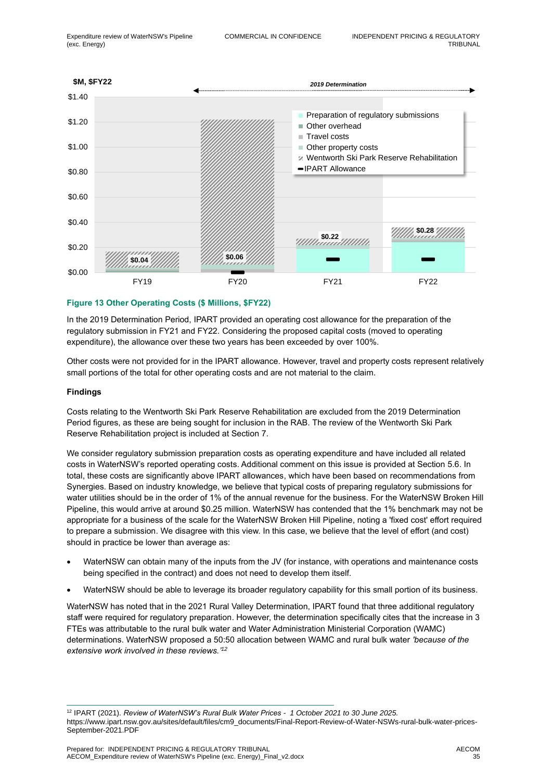

#### <span id="page-34-0"></span>**Figure 13 Other Operating Costs (\$ Millions, \$FY22)**

In the 2019 Determination Period, IPART provided an operating cost allowance for the preparation of the regulatory submission in FY21 and FY22. Considering the proposed capital costs (moved to operating expenditure), the allowance over these two years has been exceeded by over 100%.

Other costs were not provided for in the IPART allowance. However, travel and property costs represent relatively small portions of the total for other operating costs and are not material to the claim.

#### **Findings**

Costs relating to the Wentworth Ski Park Reserve Rehabilitation are excluded from the 2019 Determination Period figures, as these are being sought for inclusion in the RAB. The review of the Wentworth Ski Park Reserve Rehabilitation project is included at Section [7.](#page-50-0)

We consider regulatory submission preparation costs as operating expenditure and have included all related costs in WaterNSW's reported operating costs. Additional comment on this issue is provided at Section [5.6.](#page-26-0) In total, these costs are significantly above IPART allowances, which have been based on recommendations from Synergies. Based on industry knowledge, we believe that typical costs of preparing regulatory submissions for water utilities should be in the order of 1% of the annual revenue for the business. For the WaterNSW Broken Hill Pipeline, this would arrive at around \$0.25 million. WaterNSW has contended that the 1% benchmark may not be appropriate for a business of the scale for the WaterNSW Broken Hill Pipeline, noting a 'fixed cost' effort required to prepare a submission. We disagree with this view. In this case, we believe that the level of effort (and cost) should in practice be lower than average as:

- WaterNSW can obtain many of the inputs from the JV (for instance, with operations and maintenance costs being specified in the contract) and does not need to develop them itself.
- WaterNSW should be able to leverage its broader regulatory capability for this small portion of its business.

WaterNSW has noted that in the 2021 Rural Valley Determination, IPART found that three additional regulatory staff were required for regulatory preparation. However, the determination specifically cites that the increase in 3 FTEs was attributable to the rural bulk water and Water Administration Ministerial Corporation (WAMC) determinations. WaterNSW proposed a 50:50 allocation between WAMC and rural bulk water *'because of the extensive work involved in these reviews.' 12*

<sup>12</sup> IPART (2021). *Review of WaterNSW's Rural Bulk Water Prices - 1 October 2021 to 30 June 2025.* https://www.ipart.nsw.gov.au/sites/default/files/cm9\_documents/Final-Report-Review-of-Water-NSWs-rural-bulk-water-prices-September-2021.PDF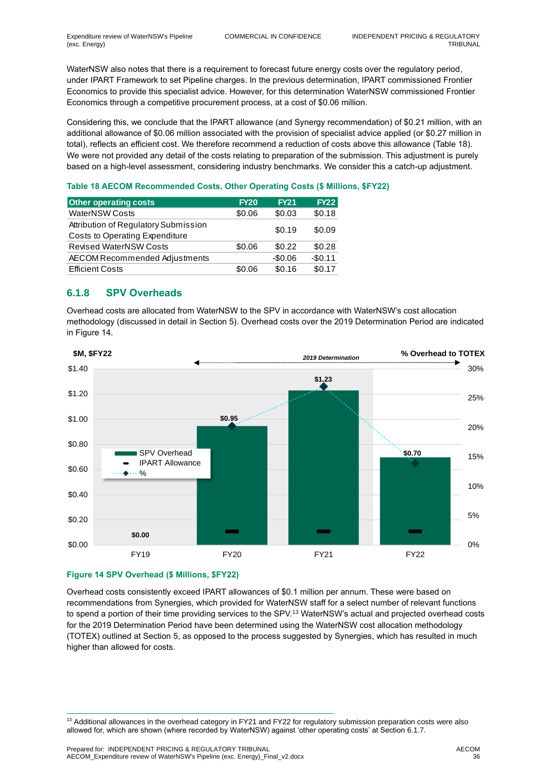WaterNSW also notes that there is a requirement to forecast future energy costs over the regulatory period, under IPART Framework to set Pipeline charges. In the previous determination, IPART commissioned Frontier Economics to provide this specialist advice. However, for this determination WaterNSW commissioned Frontier Economics through a competitive procurement process, at a cost of \$0.06 million.

Considering this, we conclude that the IPART allowance (and Synergy recommendation) of \$0.21 million, with an additional allowance of \$0.06 million associated with the provision of specialist advice applied (or \$0.27 million in total), reflects an efficient cost. We therefore recommend a reduction of costs above this allowance [\(Table 18\)](#page-35-1). We were not provided any detail of the costs relating to preparation of the submission. This adjustment is purely based on a high-level assessment, considering industry benchmarks. We consider this a catch-up adjustment.

## <span id="page-35-1"></span>**Table 18 AECOM Recommended Costs, Other Operating Costs (\$ Millions, \$FY22)**

| <b>Other operating costs</b>                                                  | <b>FY20</b> | <b>FY21</b> | <b>FY22</b> |
|-------------------------------------------------------------------------------|-------------|-------------|-------------|
| <b>WaterNSW Costs</b>                                                         | \$0.06      | \$0.03      | \$0.18      |
| Attribution of Regulatory Submission<br><b>Costs to Operating Expenditure</b> |             | \$0.19      | \$0.09      |
| <b>Revised WaterNSW Costs</b>                                                 | \$0.06      | \$0.22      | \$0.28      |
| <b>AECOM Recommended Adjustments</b>                                          |             | $-$0.06$    | $-$0.11$    |
| <b>Efficient Costs</b>                                                        | \$0.06      | \$0.16      | \$0.17      |

## <span id="page-35-0"></span>**6.1.8 SPV Overheads**

Overhead costs are allocated from WaterNSW to the SPV in accordance with WaterNSW's cost allocation methodology (discussed in detail in Section [5\)](#page-24-0). Overhead costs over the 2019 Determination Period are indicated in [Figure 14.](#page-35-2)



## <span id="page-35-2"></span>**Figure 14 SPV Overhead (\$ Millions, \$FY22)**

Overhead costs consistently exceed IPART allowances of \$0.1 million per annum. These were based on recommendations from Synergies, which provided for WaterNSW staff for a select number of relevant functions to spend a portion of their time providing services to the SPV.<sup>13</sup> WaterNSW's actual and projected overhead costs for the 2019 Determination Period have been determined using the WaterNSW cost allocation methodology (TOTEX) outlined at Section [5,](#page-24-0) as opposed to the process suggested by Synergies, which has resulted in much higher than allowed for costs.

<sup>&</sup>lt;sup>13</sup> Additional allowances in the overhead category in FY21 and FY22 for regulatory submission preparation costs were also allowed for, which are shown (where recorded by WaterNSW) against 'other operating costs' at Section [6.1.7.](#page-33-1)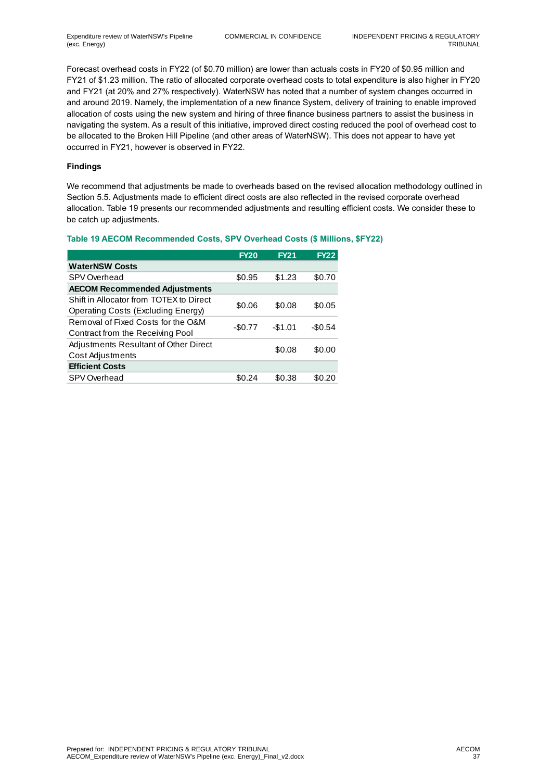Forecast overhead costs in FY22 (of \$0.70 million) are lower than actuals costs in FY20 of \$0.95 million and FY21 of \$1.23 million. The ratio of allocated corporate overhead costs to total expenditure is also higher in FY20 and FY21 (at 20% and 27% respectively). WaterNSW has noted that a number of system changes occurred in and around 2019. Namely, the implementation of a new finance System, delivery of training to enable improved allocation of costs using the new system and hiring of three finance business partners to assist the business in navigating the system. As a result of this initiative, improved direct costing reduced the pool of overhead cost to be allocated to the Broken Hill Pipeline (and other areas of WaterNSW). This does not appear to have yet occurred in FY21, however is observed in FY22.

## **Findings**

We recommend that adjustments be made to overheads based on the revised allocation methodology outlined in Sectio[n 5.5.](#page-26-1) Adjustments made to efficient direct costs are also reflected in the revised corporate overhead allocation. [Table 19](#page-36-0) presents our recommended adjustments and resulting efficient costs. We consider these to be catch up adjustments.

|                                         | <b>FY20</b> | <b>FY21</b> | <b>FY22</b> |
|-----------------------------------------|-------------|-------------|-------------|
| <b>WaterNSW Costs</b>                   |             |             |             |
| SPV Overhead                            | \$0.95      | \$1.23      | \$0.70      |
| <b>AECOM Recommended Adjustments</b>    |             |             |             |
| Shift in Allocator from TOTEX to Direct | \$0.06      | \$0.08      | \$0.05      |
| Operating Costs (Excluding Energy)      |             |             |             |
| Removal of Fixed Costs for the O&M      | $-$0.77$    | $-$1.01$    | $-$0.54$    |
| Contract from the Receiving Pool        |             |             |             |
| Adjustments Resultant of Other Direct   |             | \$0.08      | \$0.00      |
| Cost Adjustments                        |             |             |             |
| <b>Efficient Costs</b>                  |             |             |             |
| SPV Overhead                            | \$0.24      | \$0.38      | \$0.20      |

## <span id="page-36-0"></span>**Table 19 AECOM Recommended Costs, SPV Overhead Costs (\$ Millions, \$FY22)**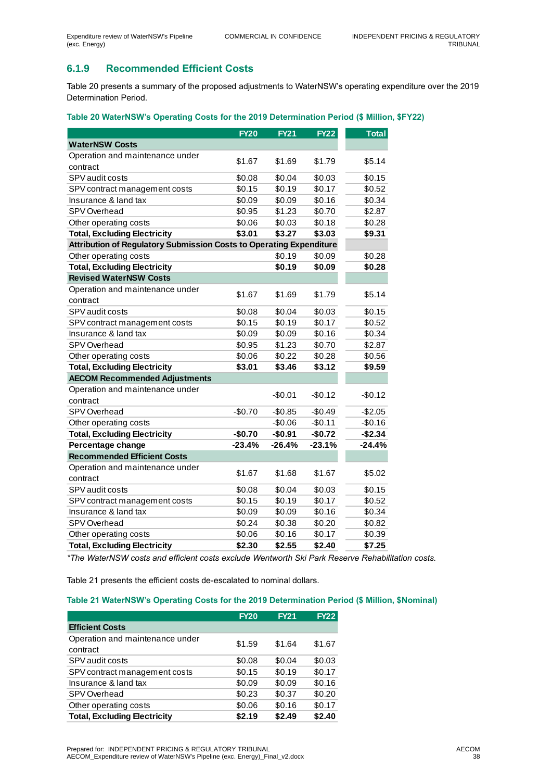## **6.1.9 Recommended Efficient Costs**

[Table 20](#page-37-0) presents a summary of the proposed adjustments to WaterNSW's operating expenditure over the 2019 Determination Period.

<span id="page-37-0"></span>

|  | Table 20 WaterNSW's Operating Costs for the 2019 Determination Period (\$ Million, \$FY22) |  |
|--|--------------------------------------------------------------------------------------------|--|
|--|--------------------------------------------------------------------------------------------|--|

|                                                                     | <b>FY20</b> | <b>FY21</b> | <b>FY22</b> | <b>Total</b> |
|---------------------------------------------------------------------|-------------|-------------|-------------|--------------|
| <b>WaterNSW Costs</b>                                               |             |             |             |              |
| Operation and maintenance under                                     |             |             |             |              |
| contract                                                            | \$1.67      | \$1.69      | \$1.79      | \$5.14       |
| SPV audit costs                                                     | \$0.08      | \$0.04      | \$0.03      | \$0.15       |
| SPV contract management costs                                       | \$0.15      | \$0.19      | \$0.17      | \$0.52       |
| Insurance & land tax                                                | \$0.09      | \$0.09      | \$0.16      | \$0.34       |
| SPV Overhead                                                        | \$0.95      | \$1.23      | \$0.70      | \$2.87       |
| Other operating costs                                               | \$0.06      | \$0.03      | \$0.18      | \$0.28       |
| <b>Total, Excluding Electricity</b>                                 | \$3.01      | \$3.27      | \$3.03      | \$9.31       |
| Attribution of Regulatory Submission Costs to Operating Expenditure |             |             |             |              |
| Other operating costs                                               |             | \$0.19      | \$0.09      | \$0.28       |
| <b>Total, Excluding Electricity</b>                                 |             | \$0.19      | \$0.09      | \$0.28       |
| <b>Revised WaterNSW Costs</b>                                       |             |             |             |              |
| Operation and maintenance under                                     | \$1.67      | \$1.69      | \$1.79      | \$5.14       |
| contract                                                            |             |             |             |              |
| SPV audit costs                                                     | \$0.08      | \$0.04      | \$0.03      | \$0.15       |
| SPV contract management costs                                       | \$0.15      | \$0.19      | \$0.17      | \$0.52       |
| Insurance & land tax                                                | \$0.09      | \$0.09      | \$0.16      | \$0.34       |
| SPV Overhead                                                        | \$0.95      | \$1.23      | \$0.70      | \$2.87       |
| Other operating costs                                               | \$0.06      | \$0.22      | \$0.28      | \$0.56       |
| <b>Total, Excluding Electricity</b>                                 | \$3.01      | \$3.46      | \$3.12      | \$9.59       |
| <b>AECOM Recommended Adjustments</b>                                |             |             |             |              |
| Operation and maintenance under                                     |             | $-$0.01$    | $-$0.12$    | $-$0.12$     |
| contract                                                            |             |             |             |              |
| SPV Overhead                                                        | $-$0.70$    | $-$0.85$    | $-$0.49$    | $-$2.05$     |
| Other operating costs                                               |             | $-$0.06$    | $-$0.11$    | $-$0.16$     |
| <b>Total, Excluding Electricity</b>                                 | $-$0.70$    | $-$0.91$    | $-$0.72$    | $-$2.34$     |
| Percentage change                                                   | $-23.4%$    | $-26.4%$    | $-23.1%$    | $-24.4%$     |
| <b>Recommended Efficient Costs</b>                                  |             |             |             |              |
| Operation and maintenance under                                     | \$1.67      | \$1.68      | \$1.67      | \$5.02       |
| contract                                                            |             |             |             |              |
| SPV audit costs                                                     | \$0.08      | \$0.04      | \$0.03      | \$0.15       |
| SPV contract management costs                                       | \$0.15      | \$0.19      | \$0.17      | \$0.52       |
| Insurance & land tax                                                | \$0.09      | \$0.09      | \$0.16      | \$0.34       |
| SPV Overhead                                                        | \$0.24      | \$0.38      | \$0.20      | \$0.82       |
| Other operating costs                                               | \$0.06      | \$0.16      | \$0.17      | \$0.39       |
| <b>Total, Excluding Electricity</b>                                 | \$2.30      | \$2.55      | \$2.40      | \$7.25       |

*\*The WaterNSW costs and efficient costs exclude Wentworth Ski Park Reserve Rehabilitation costs.*

[Table 21](#page-37-1) presents the efficient costs de-escalated to nominal dollars.

## <span id="page-37-1"></span>**Table 21 WaterNSW's Operating Costs for the 2019 Determination Period (\$ Million, \$Nominal)**

|                                             | <b>FY20</b> | <b>FY21</b> | <b>FY22</b> |
|---------------------------------------------|-------------|-------------|-------------|
| <b>Efficient Costs</b>                      |             |             |             |
| Operation and maintenance under<br>contract | \$1.59      | \$1.64      | \$1.67      |
| SPV audit costs                             | \$0.08      | \$0.04      | \$0.03      |
| SPV contract management costs               | \$0.15      | \$0.19      | \$0.17      |
| Insurance & land tax                        | \$0.09      | \$0.09      | \$0.16      |
| SPV Overhead                                | \$0.23      | \$0.37      | \$0.20      |
| Other operating costs                       | \$0.06      | \$0.16      | \$0.17      |
| <b>Total, Excluding Electricity</b>         | \$2.19      | \$2.49      | \$2.40      |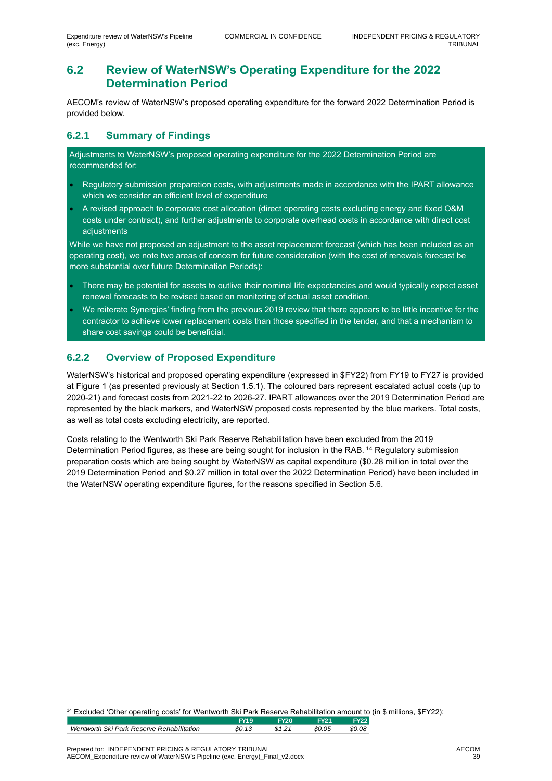# **6.2 Review of WaterNSW's Operating Expenditure for the 2022 Determination Period**

AECOM's review of WaterNSW's proposed operating expenditure for the forward 2022 Determination Period is provided below.

# **6.2.1 Summary of Findings**

Adjustments to WaterNSW's proposed operating expenditure for the 2022 Determination Period are recommended for:

- Regulatory submission preparation costs, with adjustments made in accordance with the IPART allowance which we consider an efficient level of expenditure
- A revised approach to corporate cost allocation (direct operating costs excluding energy and fixed O&M costs under contract), and further adjustments to corporate overhead costs in accordance with direct cost adjustments

While we have not proposed an adjustment to the asset replacement forecast (which has been included as an operating cost), we note two areas of concern for future consideration (with the cost of renewals forecast be more substantial over future Determination Periods):

- There may be potential for assets to outlive their nominal life expectancies and would typically expect asset renewal forecasts to be revised based on monitoring of actual asset condition.
- We reiterate Synergies' finding from the previous 2019 review that there appears to be little incentive for the contractor to achieve lower replacement costs than those specified in the tender, and that a mechanism to share cost savings could be beneficial.

# **6.2.2 Overview of Proposed Expenditure**

WaterNSW's historical and proposed operating expenditure (expressed in \$FY22) from FY19 to FY27 is provided at [Figure 1](#page-13-0) (as presented previously at Sectio[n 1.5.1\)](#page-12-1). The coloured bars represent escalated actual costs (up to 2020-21) and forecast costs from 2021-22 to 2026-27. IPART allowances over the 2019 Determination Period are represented by the black markers, and WaterNSW proposed costs represented by the blue markers. Total costs, as well as total costs excluding electricity, are reported.

Costs relating to the Wentworth Ski Park Reserve Rehabilitation have been excluded from the 2019 Determination Period figures, as these are being sought for inclusion in the RAB. <sup>14</sup> Regulatory submission preparation costs which are being sought by WaterNSW as capital expenditure (\$0.28 million in total over the 2019 Determination Period and \$0.27 million in total over the 2022 Determination Period) have been included in the WaterNSW operating expenditure figures, for the reasons specified in Section [5.6.](#page-26-0)

| <sup>14</sup> Excluded 'Other operating costs' for Wentworth Ski Park Reserve Rehabilitation amount to (in \$ millions, \$FY22): |                  |             |             |        |  |
|----------------------------------------------------------------------------------------------------------------------------------|------------------|-------------|-------------|--------|--|
|                                                                                                                                  | FY <sub>19</sub> | <b>EY20</b> | <b>FY21</b> | FY22   |  |
| Wentworth Ski Park Reserve Rehabilitation                                                                                        | \$0.13           | \$1.21      | \$0.05      | \$0.08 |  |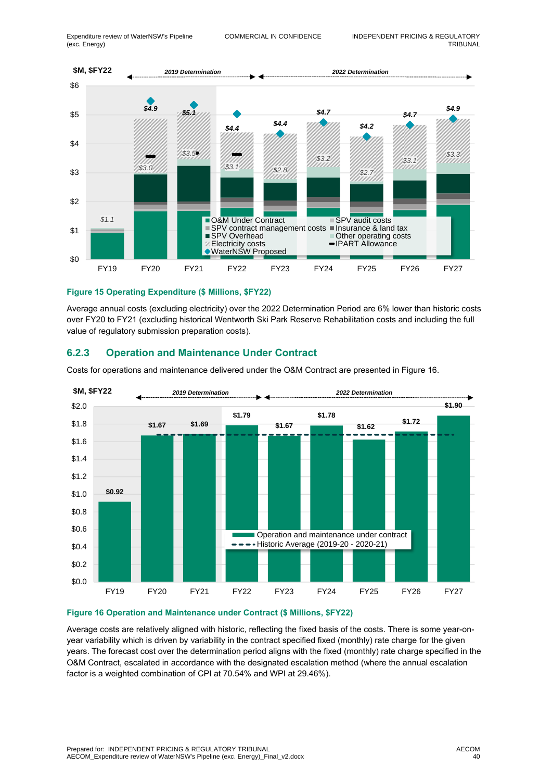

#### <span id="page-39-1"></span>**Figure 15 Operating Expenditure (\$ Millions, \$FY22)**

Average annual costs (excluding electricity) over the 2022 Determination Period are 6% lower than historic costs over FY20 to FY21 (excluding historical Wentworth Ski Park Reserve Rehabilitation costs and including the full value of regulatory submission preparation costs).

## **6.2.3 Operation and Maintenance Under Contract**

Costs for operations and maintenance delivered under the O&M Contract are presented in [Figure 16.](#page-39-0)



## <span id="page-39-0"></span>**Figure 16 Operation and Maintenance under Contract (\$ Millions, \$FY22)**

Average costs are relatively aligned with historic, reflecting the fixed basis of the costs. There is some year-onyear variability which is driven by variability in the contract specified fixed (monthly) rate charge for the given years. The forecast cost over the determination period aligns with the fixed (monthly) rate charge specified in the O&M Contract, escalated in accordance with the designated escalation method (where the annual escalation factor is a weighted combination of CPI at 70.54% and WPI at 29.46%).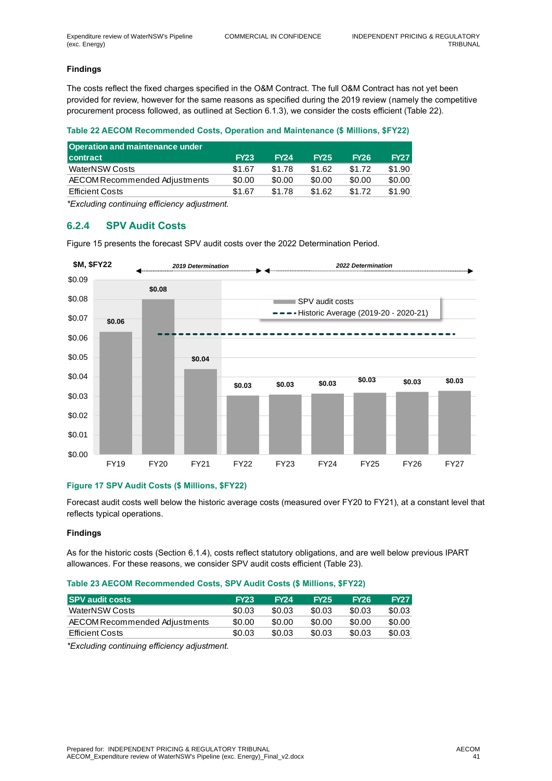## **Findings**

The costs reflect the fixed charges specified in the O&M Contract. The full O&M Contract has not yet been provided for review, however for the same reasons as specified during the 2019 review (namely the competitive procurement process followed, as outlined at Sectio[n 6.1.3\)](#page-29-2), we consider the costs efficient [\(Table 22\)](#page-40-0).

<span id="page-40-0"></span>**Table 22 AECOM Recommended Costs, Operation and Maintenance (\$ Millions, \$FY22)**

| <b>Operation and maintenance under</b> |             |             |             |             |             |
|----------------------------------------|-------------|-------------|-------------|-------------|-------------|
| contract                               | <b>FY23</b> | <b>FY24</b> | <b>FY25</b> | <b>FY26</b> | <b>FY27</b> |
| <b>WaterNSW Costs</b>                  | \$1.67      | \$1.78      | \$1.62      | \$1.72      | \$1.90      |
| AECOM Recommended Adjustments          | \$0.00      | \$0.00      | \$0.00      | \$0.00      | \$0.00      |
| <b>Efficient Costs</b>                 | \$1.67      | \$1.78      | \$1.62      | \$1.72      | \$1.90      |

*\*Excluding continuing efficiency adjustment.* 

## **6.2.4 SPV Audit Costs**

[Figure 15](#page-39-1) presents the forecast SPV audit costs over the 2022 Determination Period.



#### **Figure 17 SPV Audit Costs (\$ Millions, \$FY22)**

Forecast audit costs well below the historic average costs (measured over FY20 to FY21), at a constant level that reflects typical operations.

#### **Findings**

As for the historic costs (Section [6.1.4\)](#page-31-3), costs reflect statutory obligations, and are well below previous IPART allowances. For these reasons, we consider SPV audit costs efficient [\(Table 23\)](#page-40-1).

#### <span id="page-40-1"></span>**Table 23 AECOM Recommended Costs, SPV Audit Costs (\$ Millions, \$FY22)**

| <b>SPV audit costs</b>        | <b>FY23</b> | <b>FY24</b> | <b>FY25</b> | <b>FY26</b> | <b>FY27</b> |
|-------------------------------|-------------|-------------|-------------|-------------|-------------|
| WaterNSW Costs                | \$0.03      | \$0.03      | \$0.03      | \$0.03      | \$0.03      |
| AECOM Recommended Adjustments | \$0.00      | \$0.00      | \$0.00      | \$0.00      | \$0.00      |
| <b>Efficient Costs</b>        | \$0.03      | \$0.03      | \$0.03      | \$0.03      | \$0.03      |

*\*Excluding continuing efficiency adjustment.*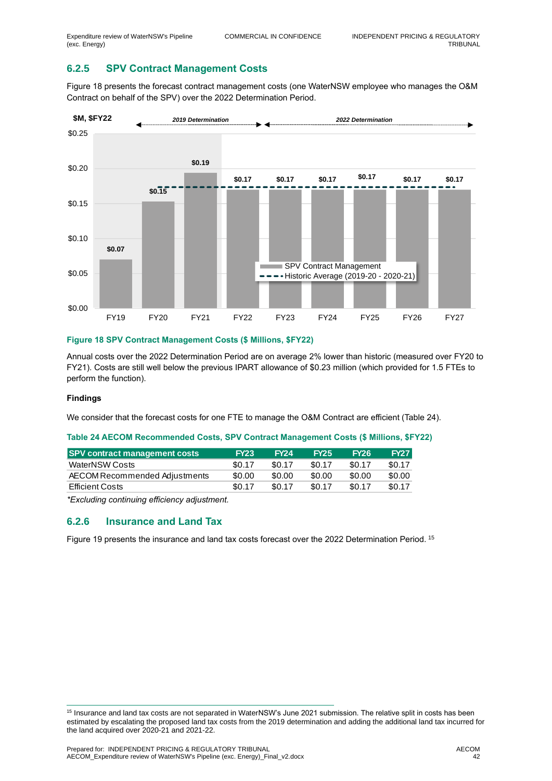## **6.2.5 SPV Contract Management Costs**

[Figure 18](#page-41-0) presents the forecast contract management costs (one WaterNSW employee who manages the O&M Contract on behalf of the SPV) over the 2022 Determination Period.



#### <span id="page-41-0"></span>**Figure 18 SPV Contract Management Costs (\$ Millions, \$FY22)**

Annual costs over the 2022 Determination Period are on average 2% lower than historic (measured over FY20 to FY21). Costs are still well below the previous IPART allowance of \$0.23 million (which provided for 1.5 FTEs to perform the function).

## **Findings**

We consider that the forecast costs for one FTE to manage the O&M Contract are efficient [\(Table 24\)](#page-41-1).

#### <span id="page-41-1"></span>**Table 24 AECOM Recommended Costs, SPV Contract Management Costs (\$ Millions, \$FY22)**

| <b>SPV contract management costs</b> | <b>FY23</b> | <b>FY24</b> | <b>FY25</b> | <b>FY26</b> | <b>FY27</b> |
|--------------------------------------|-------------|-------------|-------------|-------------|-------------|
| <b>WaterNSW Costs</b>                | \$0.17      | \$0.17      | \$0.17      | \$0.17      | \$0.17      |
| AECOM Recommended Adjustments        | \$0.00      | \$0.00      | \$0.00      | \$0.00      | \$0.00      |
| <b>Efficient Costs</b>               | \$0.17      | \$0.17      | \$0.17      | \$0.17      | \$0.17      |

*\*Excluding continuing efficiency adjustment.*

## **6.2.6 Insurance and Land Tax**

[Figure 19](#page-42-0) presents the insurance and land tax costs forecast over the 2022 Determination Period. <sup>15</sup>

<sup>&</sup>lt;sup>15</sup> Insurance and land tax costs are not separated in WaterNSW's June 2021 submission. The relative split in costs has been estimated by escalating the proposed land tax costs from the 2019 determination and adding the additional land tax incurred for the land acquired over 2020-21 and 2021-22.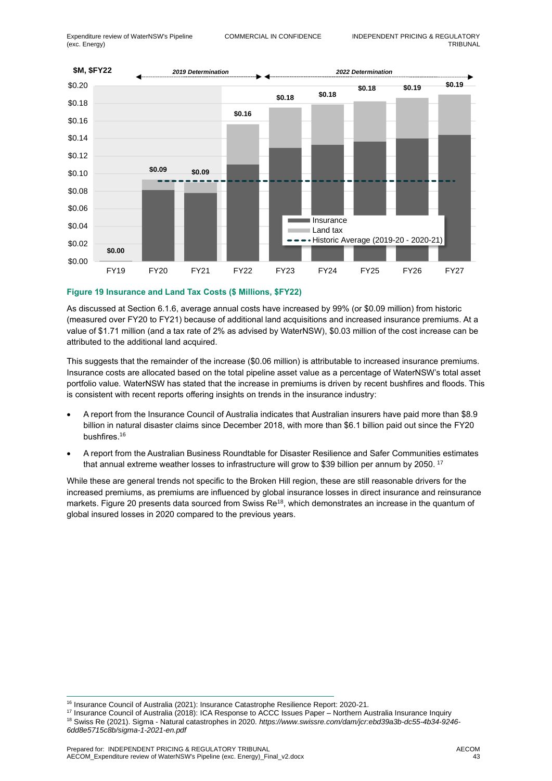

#### <span id="page-42-0"></span>**Figure 19 Insurance and Land Tax Costs (\$ Millions, \$FY22)**

As discussed at Section [6.1.6,](#page-32-2) average annual costs have increased by 99% (or \$0.09 million) from historic (measured over FY20 to FY21) because of additional land acquisitions and increased insurance premiums. At a value of \$1.71 million (and a tax rate of 2% as advised by WaterNSW), \$0.03 million of the cost increase can be attributed to the additional land acquired.

This suggests that the remainder of the increase (\$0.06 million) is attributable to increased insurance premiums. Insurance costs are allocated based on the total pipeline asset value as a percentage of WaterNSW's total asset portfolio value. WaterNSW has stated that the increase in premiums is driven by recent bushfires and floods. This is consistent with recent reports offering insights on trends in the insurance industry:

- A report from the Insurance Council of Australia indicates that Australian insurers have paid more than \$8.9 billion in natural disaster claims since December 2018, with more than \$6.1 billion paid out since the FY20 bushfires.<sup>16</sup>
- A report from the Australian Business Roundtable for Disaster Resilience and Safer Communities estimates that annual extreme weather losses to infrastructure will grow to \$39 billion per annum by 2050. <sup>17</sup>

While these are general trends not specific to the Broken Hill region, these are still reasonable drivers for the increased premiums, as premiums are influenced by global insurance losses in direct insurance and reinsurance markets. [Figure 20](#page-43-0) presents data sourced from Swiss Re<sup>18</sup>, which demonstrates an increase in the quantum of global insured losses in 2020 compared to the previous years.

<sup>17</sup> Insurance Council of Australia (2018): ICA Response to ACCC Issues Paper – Northern Australia Insurance Inquiry

<sup>18</sup> Swiss Re (2021). Sigma - Natural catastrophes in 2020. *https://www.swissre.com/dam/jcr:ebd39a3b-dc55-4b34-9246- 6dd8e5715c8b/sigma-1-2021-en.pdf*

<sup>&</sup>lt;sup>16</sup> Insurance Council of Australia (2021): Insurance Catastrophe Resilience Report: 2020-21.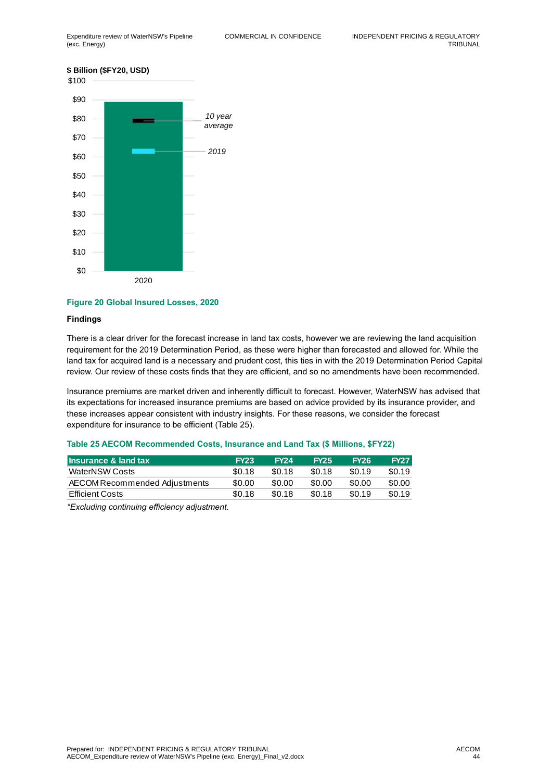## **\$ Billion (\$FY20, USD)**



#### <span id="page-43-0"></span>**Figure 20 Global Insured Losses, 2020**

#### **Findings**

There is a clear driver for the forecast increase in land tax costs, however we are reviewing the land acquisition requirement for the 2019 Determination Period, as these were higher than forecasted and allowed for. While the land tax for acquired land is a necessary and prudent cost, this ties in with the 2019 Determination Period Capital review. Our review of these costs finds that they are efficient, and so no amendments have been recommended.

Insurance premiums are market driven and inherently difficult to forecast. However, WaterNSW has advised that its expectations for increased insurance premiums are based on advice provided by its insurance provider, and these increases appear consistent with industry insights. For these reasons, we consider the forecast expenditure for insurance to be efficient [\(Table 25\)](#page-43-1).

#### <span id="page-43-1"></span>**Table 25 AECOM Recommended Costs, Insurance and Land Tax (\$ Millions, \$FY22)**

| Insurance & land tax          | <b>FY23</b> | <b>FY24</b> | <b>FY25</b> | <b>FY26</b> | <b>FY27</b> |
|-------------------------------|-------------|-------------|-------------|-------------|-------------|
| WaterNSW Costs                | \$0.18      | \$0.18      | \$0.18      | \$0.19      | \$0.19      |
| AECOM Recommended Adjustments | \$0.00      | \$0.00      | \$0.00      | \$0.00      | \$0.00      |
| <b>Efficient Costs</b>        | \$0.18      | \$0.18      | \$0.18      | \$0.19      | \$0.19      |

*\*Excluding continuing efficiency adjustment.*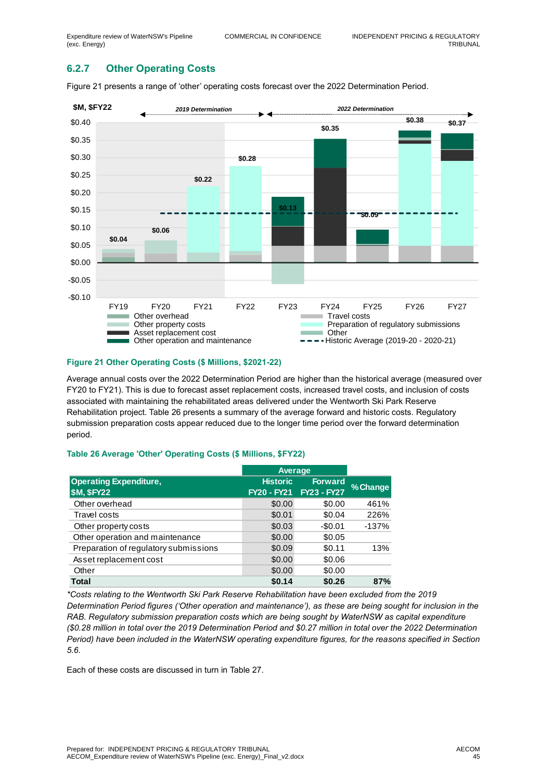# **6.2.7 Other Operating Costs**

[Figure 21](#page-44-0) presents a range of 'other' operating costs forecast over the 2022 Determination Period.



## <span id="page-44-0"></span>**Figure 21 Other Operating Costs (\$ Millions, \$2021-22)**

Average annual costs over the 2022 Determination Period are higher than the historical average (measured over FY20 to FY21). This is due to forecast asset replacement costs, increased travel costs, and inclusion of costs associated with maintaining the rehabilitated areas delivered under the Wentworth Ski Park Reserve Rehabilitation project. [Table 26](#page-44-1) presents a summary of the average forward and historic costs. Regulatory submission preparation costs appear reduced due to the longer time period over the forward determination period.

## <span id="page-44-1"></span>**Table 26 Average 'Other' Operating Costs (\$ Millions, \$FY22)**

|                                                     | Average                               |                                      |         |
|-----------------------------------------------------|---------------------------------------|--------------------------------------|---------|
| <b>Operating Expenditure,</b><br><b>\$M, \$FY22</b> | <b>Historic</b><br><b>FY20 - FY21</b> | <b>Forward</b><br><b>FY23 - FY27</b> | %Change |
|                                                     |                                       |                                      |         |
| Other overhead                                      | \$0.00                                | \$0.00                               | 461%    |
| Travel costs                                        | \$0.01                                | \$0.04                               | 226%    |
| Other property costs                                | \$0.03                                | $-$0.01$                             | $-137%$ |
| Other operation and maintenance                     | \$0.00                                | \$0.05                               |         |
| Preparation of regulatory submissions               | \$0.09                                | \$0.11                               | 13%     |
| Asset replacement cost                              | \$0.00                                | \$0.06                               |         |
| Other                                               | \$0.00                                | \$0.00                               |         |
| <b>Total</b>                                        | \$0.14                                | \$0.26                               | 87%     |

*\*Costs relating to the Wentworth Ski Park Reserve Rehabilitation have been excluded from the 2019 Determination Period figures ('Other operation and maintenance'), as these are being sought for inclusion in the RAB. Regulatory submission preparation costs which are being sought by WaterNSW as capital expenditure (\$0.28 million in total over the 2019 Determination Period and \$0.27 million in total over the 2022 Determination Period) have been included in the WaterNSW operating expenditure figures, for the reasons specified in Section [5.6.](#page-26-0)*

Each of these costs are discussed in turn in [Table 27.](#page-45-0)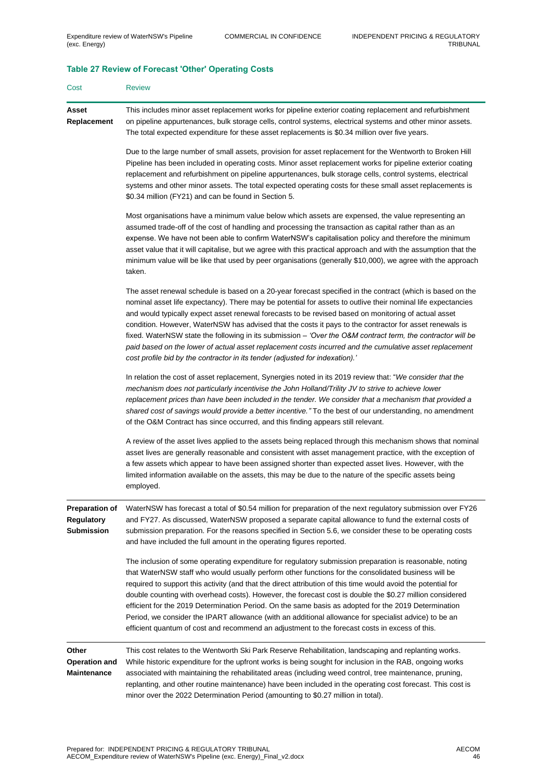## <span id="page-45-0"></span>**Table 27 Review of Forecast 'Other' Operating Costs**

| Cost                                                     | <b>Review</b>                                                                                                                                                                                                                                                                                                                                                                                                                                                                                                                                                                                                                                                                                                                                                  |
|----------------------------------------------------------|----------------------------------------------------------------------------------------------------------------------------------------------------------------------------------------------------------------------------------------------------------------------------------------------------------------------------------------------------------------------------------------------------------------------------------------------------------------------------------------------------------------------------------------------------------------------------------------------------------------------------------------------------------------------------------------------------------------------------------------------------------------|
| Asset<br>Replacement                                     | This includes minor asset replacement works for pipeline exterior coating replacement and refurbishment<br>on pipeline appurtenances, bulk storage cells, control systems, electrical systems and other minor assets.<br>The total expected expenditure for these asset replacements is \$0.34 million over five years.                                                                                                                                                                                                                                                                                                                                                                                                                                        |
|                                                          | Due to the large number of small assets, provision for asset replacement for the Wentworth to Broken Hill<br>Pipeline has been included in operating costs. Minor asset replacement works for pipeline exterior coating<br>replacement and refurbishment on pipeline appurtenances, bulk storage cells, control systems, electrical<br>systems and other minor assets. The total expected operating costs for these small asset replacements is<br>\$0.34 million (FY21) and can be found in Section 5.                                                                                                                                                                                                                                                        |
|                                                          | Most organisations have a minimum value below which assets are expensed, the value representing an<br>assumed trade-off of the cost of handling and processing the transaction as capital rather than as an<br>expense. We have not been able to confirm WaterNSW's capitalisation policy and therefore the minimum<br>asset value that it will capitalise, but we agree with this practical approach and with the assumption that the<br>minimum value will be like that used by peer organisations (generally \$10,000), we agree with the approach<br>taken.                                                                                                                                                                                                |
|                                                          | The asset renewal schedule is based on a 20-year forecast specified in the contract (which is based on the<br>nominal asset life expectancy). There may be potential for assets to outlive their nominal life expectancies<br>and would typically expect asset renewal forecasts to be revised based on monitoring of actual asset<br>condition. However, WaterNSW has advised that the costs it pays to the contractor for asset renewals is<br>fixed. WaterNSW state the following in its submission – 'Over the O&M contract term, the contractor will be<br>paid based on the lower of actual asset replacement costs incurred and the cumulative asset replacement<br>cost profile bid by the contractor in its tender (adjusted for indexation).'        |
|                                                          | In relation the cost of asset replacement, Synergies noted in its 2019 review that: "We consider that the<br>mechanism does not particularly incentivise the John Holland/Trility JV to strive to achieve lower<br>replacement prices than have been included in the tender. We consider that a mechanism that provided a<br>shared cost of savings would provide a better incentive." To the best of our understanding, no amendment<br>of the O&M Contract has since occurred, and this finding appears still relevant.                                                                                                                                                                                                                                      |
|                                                          | A review of the asset lives applied to the assets being replaced through this mechanism shows that nominal<br>asset lives are generally reasonable and consistent with asset management practice, with the exception of<br>a few assets which appear to have been assigned shorter than expected asset lives. However, with the<br>limited information available on the assets, this may be due to the nature of the specific assets being<br>employed.                                                                                                                                                                                                                                                                                                        |
| <b>Preparation of</b><br>Regulatory<br><b>Submission</b> | WaterNSW has forecast a total of \$0.54 million for preparation of the next regulatory submission over FY26<br>and FY27. As discussed, WaterNSW proposed a separate capital allowance to fund the external costs of<br>submission preparation. For the reasons specified in Section 5.6, we consider these to be operating costs<br>and have included the full amount in the operating figures reported.                                                                                                                                                                                                                                                                                                                                                       |
|                                                          | The inclusion of some operating expenditure for regulatory submission preparation is reasonable, noting<br>that WaterNSW staff who would usually perform other functions for the consolidated business will be<br>required to support this activity (and that the direct attribution of this time would avoid the potential for<br>double counting with overhead costs). However, the forecast cost is double the \$0.27 million considered<br>efficient for the 2019 Determination Period. On the same basis as adopted for the 2019 Determination<br>Period, we consider the IPART allowance (with an additional allowance for specialist advice) to be an<br>efficient quantum of cost and recommend an adjustment to the forecast costs in excess of this. |
| Other<br><b>Operation and</b><br>Maintenance             | This cost relates to the Wentworth Ski Park Reserve Rehabilitation, landscaping and replanting works.<br>While historic expenditure for the upfront works is being sought for inclusion in the RAB, ongoing works<br>associated with maintaining the rehabilitated areas (including weed control, tree maintenance, pruning,<br>replanting, and other routine maintenance) have been included in the operating cost forecast. This cost is<br>minor over the 2022 Determination Period (amounting to \$0.27 million in total).                                                                                                                                                                                                                                 |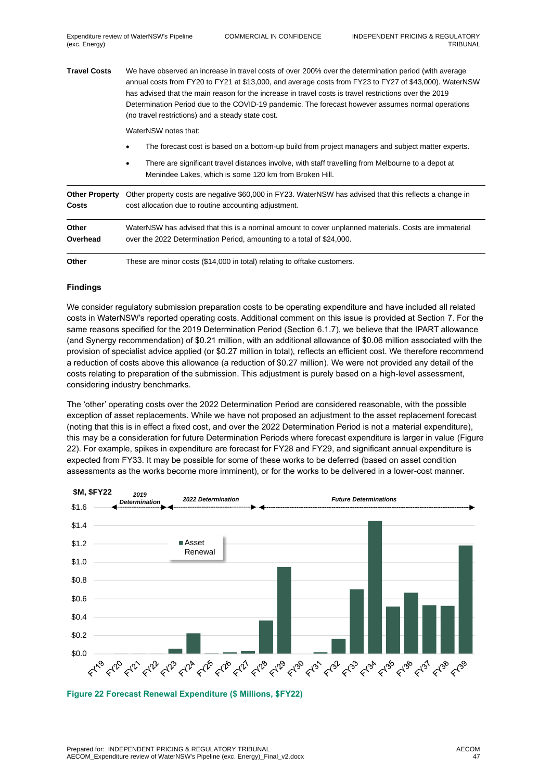**Travel Costs** We have observed an increase in travel costs of over 200% over the determination period (with average annual costs from FY20 to FY21 at \$13,000, and average costs from FY23 to FY27 of \$43,000). WaterNSW has advised that the main reason for the increase in travel costs is travel restrictions over the 2019 Determination Period due to the COVID-19 pandemic. The forecast however assumes normal operations (no travel restrictions) and a steady state cost.

WaterNSW notes that:

- The forecast cost is based on a bottom-up build from project managers and subject matter experts.
- There are significant travel distances involve, with staff travelling from Melbourne to a depot at Menindee Lakes, which is some 120 km from Broken Hill.

| <b>Other Property</b> | Other property costs are negative \$60,000 in FY23. WaterNSW has advised that this reflects a change in |
|-----------------------|---------------------------------------------------------------------------------------------------------|
| Costs                 | cost allocation due to routine accounting adjustment.                                                   |
| Other                 | WaterNSW has advised that this is a nominal amount to cover unplanned materials. Costs are immaterial   |
| Overhead              | over the 2022 Determination Period, amounting to a total of \$24,000.                                   |
| Other                 | These are minor costs (\$14,000 in total) relating to offtake customers.                                |

## **Findings**

We consider regulatory submission preparation costs to be operating expenditure and have included all related costs in WaterNSW's reported operating costs. Additional comment on this issue is provided at Section [7.](#page-50-0) For the same reasons specified for the 2019 Determination Period (Section [6.1.7\)](#page-33-1), we believe that the IPART allowance (and Synergy recommendation) of \$0.21 million, with an additional allowance of \$0.06 million associated with the provision of specialist advice applied (or \$0.27 million in total), reflects an efficient cost. We therefore recommend a reduction of costs above this allowance (a reduction of \$0.27 million). We were not provided any detail of the costs relating to preparation of the submission. This adjustment is purely based on a high-level assessment, considering industry benchmarks.

The 'other' operating costs over the 2022 Determination Period are considered reasonable, with the possible exception of asset replacements. While we have not proposed an adjustment to the asset replacement forecast (noting that this is in effect a fixed cost, and over the 2022 Determination Period is not a material expenditure), this may be a consideration for future Determination Periods where forecast expenditure is larger in value [\(Figure](#page-46-0)  [22\)](#page-46-0). For example, spikes in expenditure are forecast for FY28 and FY29, and significant annual expenditure is expected from FY33. It may be possible for some of these works to be deferred (based on asset condition assessments as the works become more imminent), or for the works to be delivered in a lower-cost manner.



<span id="page-46-0"></span>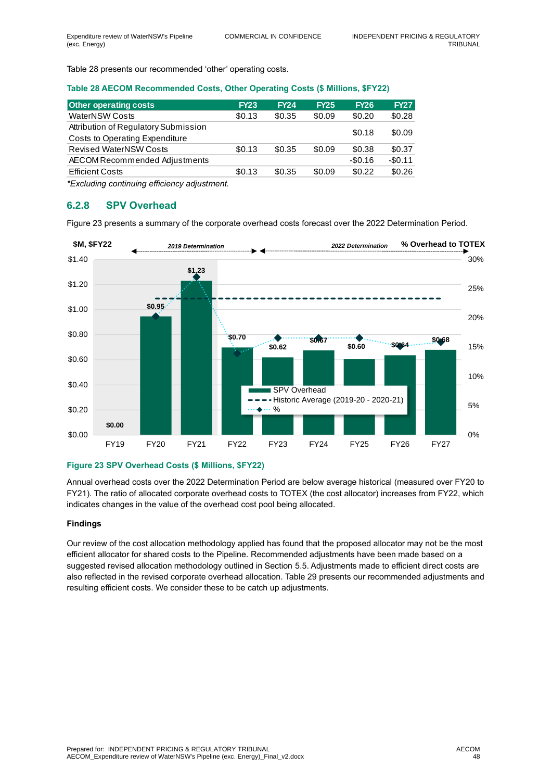[Table 28](#page-47-0) presents our recommended 'other' operating costs.

#### <span id="page-47-0"></span>**Table 28 AECOM Recommended Costs, Other Operating Costs (\$ Millions, \$FY22)**

| <b>Other operating costs</b>                                           | <b>FY23</b> | <b>FY24</b> | <b>FY25</b> | <b>FY26</b> | <b>FY27</b> |
|------------------------------------------------------------------------|-------------|-------------|-------------|-------------|-------------|
| <b>WaterNSW Costs</b>                                                  | \$0.13      | \$0.35      | \$0.09      | \$0.20      | \$0.28      |
| Attribution of Regulatory Submission<br>Costs to Operating Expenditure |             |             |             | \$0.18      | \$0.09      |
| <b>Revised WaterNSW Costs</b>                                          | \$0.13      | \$0.35      | \$0.09      | \$0.38      | \$0.37      |
| AECOM Recommended Adjustments                                          |             |             |             | $-$0.16$    | $-$0.11$    |
| <b>Efficient Costs</b>                                                 | \$0.13      | \$0.35      | \$0.09      | \$0.22      | \$0.26      |

*\*Excluding continuing efficiency adjustment.*

## **6.2.8 SPV Overhead**

[Figure 23](#page-47-1) presents a summary of the corporate overhead costs forecast over the 2022 Determination Period.



## <span id="page-47-1"></span>**Figure 23 SPV Overhead Costs (\$ Millions, \$FY22)**

Annual overhead costs over the 2022 Determination Period are below average historical (measured over FY20 to FY21). The ratio of allocated corporate overhead costs to TOTEX (the cost allocator) increases from FY22, which indicates changes in the value of the overhead cost pool being allocated.

## **Findings**

Our review of the cost allocation methodology applied has found that the proposed allocator may not be the most efficient allocator for shared costs to the Pipeline. Recommended adjustments have been made based on a suggested revised allocation methodology outlined in Section [5.5.](#page-26-1) Adjustments made to efficient direct costs are also reflected in the revised corporate overhead allocation. [Table 29](#page-48-0) presents our recommended adjustments and resulting efficient costs. We consider these to be catch up adjustments.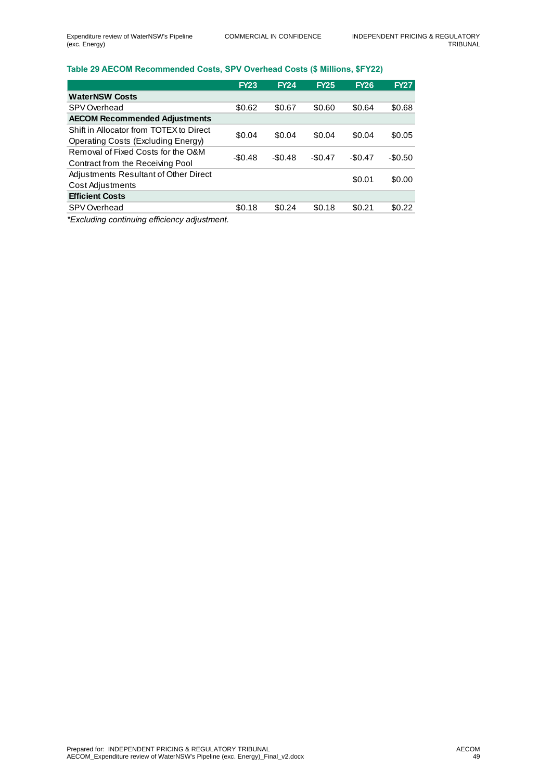## <span id="page-48-0"></span>**Table 29 AECOM Recommended Costs, SPV Overhead Costs (\$ Millions, \$FY22)**

|                                                                        | <b>FY23</b> | <b>FY24</b> | <b>FY25</b> | <b>FY26</b> | <b>FY27</b> |
|------------------------------------------------------------------------|-------------|-------------|-------------|-------------|-------------|
| <b>WaterNSW Costs</b>                                                  |             |             |             |             |             |
| SPV Overhead                                                           | \$0.62      | \$0.67      | \$0.60      | \$0.64      | \$0.68      |
| <b>AECOM Recommended Adjustments</b>                                   |             |             |             |             |             |
| Shift in Allocator from TOTEX to Direct                                | \$0.04      | \$0.04      | \$0.04      | \$0.04      | \$0.05      |
| Operating Costs (Excluding Energy)                                     |             |             |             |             |             |
| Removal of Fixed Costs for the O&M<br>Contract from the Receiving Pool | $-$0.48$    | $-$0.48$    | $-$0.47$    | $-$0.47$    | $-$0.50$    |
| Adjustments Resultant of Other Direct<br>Cost Adjustments              |             |             |             | \$0.01      | \$0.00      |
| <b>Efficient Costs</b>                                                 |             |             |             |             |             |
| SPV Overhead<br>.                                                      | \$0.18      | \$0.24      | \$0.18      | \$0.21      | \$0.22      |

*\*Excluding continuing efficiency adjustment.*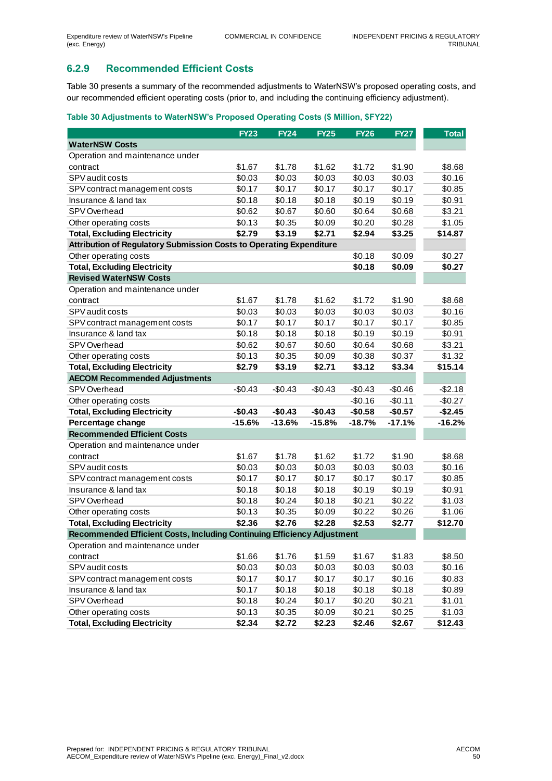## **6.2.9 Recommended Efficient Costs**

[Table 30](#page-49-0) presents a summary of the recommended adjustments to WaterNSW's proposed operating costs, and our recommended efficient operating costs (prior to, and including the continuing efficiency adjustment).

## <span id="page-49-0"></span>**Table 30 Adjustments to WaterNSW's Proposed Operating Costs (\$ Million, \$FY22)**

|                                                                         | <b>FY23</b> | <b>FY24</b> | <b>FY25</b> | <b>FY26</b> | <b>FY27</b> | <b>Total</b> |
|-------------------------------------------------------------------------|-------------|-------------|-------------|-------------|-------------|--------------|
| <b>WaterNSW Costs</b>                                                   |             |             |             |             |             |              |
| Operation and maintenance under                                         |             |             |             |             |             |              |
| contract                                                                | \$1.67      | \$1.78      | \$1.62      | \$1.72      | \$1.90      | \$8.68       |
| SPV audit costs                                                         | \$0.03      | \$0.03      | \$0.03      | \$0.03      | \$0.03      | \$0.16       |
| SPV contract management costs                                           | \$0.17      | \$0.17      | \$0.17      | \$0.17      | \$0.17      | \$0.85       |
| Insurance & land tax                                                    | \$0.18      | \$0.18      | \$0.18      | \$0.19      | \$0.19      | \$0.91       |
| SPV Overhead                                                            | \$0.62      | \$0.67      | \$0.60      | \$0.64      | \$0.68      | \$3.21       |
| Other operating costs                                                   | \$0.13      | \$0.35      | \$0.09      | \$0.20      | \$0.28      | \$1.05       |
| <b>Total, Excluding Electricity</b>                                     | \$2.79      | \$3.19      | \$2.71      | \$2.94      | \$3.25      | \$14.87      |
| Attribution of Regulatory Submission Costs to Operating Expenditure     |             |             |             |             |             |              |
| Other operating costs                                                   |             |             |             | \$0.18      | \$0.09      | \$0.27       |
| <b>Total, Excluding Electricity</b>                                     |             |             |             | \$0.18      | \$0.09      | \$0.27       |
| <b>Revised WaterNSW Costs</b>                                           |             |             |             |             |             |              |
| Operation and maintenance under                                         |             |             |             |             |             |              |
| contract                                                                | \$1.67      | \$1.78      | \$1.62      | \$1.72      | \$1.90      | \$8.68       |
| SPV audit costs                                                         | \$0.03      | \$0.03      | \$0.03      | \$0.03      | \$0.03      | \$0.16       |
| SPV contract management costs                                           | \$0.17      | \$0.17      | \$0.17      | \$0.17      | \$0.17      | \$0.85       |
| Insurance & land tax                                                    | \$0.18      | \$0.18      | \$0.18      | \$0.19      | \$0.19      | \$0.91       |
| SPV Overhead                                                            | \$0.62      | \$0.67      | \$0.60      | \$0.64      | \$0.68      | \$3.21       |
| Other operating costs                                                   | \$0.13      | \$0.35      | \$0.09      | \$0.38      | \$0.37      | \$1.32       |
| <b>Total, Excluding Electricity</b>                                     | \$2.79      | \$3.19      | \$2.71      | \$3.12      | \$3.34      | \$15.14      |
| <b>AECOM Recommended Adjustments</b>                                    |             |             |             |             |             |              |
| SPV Overhead                                                            | $-$0.43$    | $-$0.43$    | $-$0.43$    | $-$0.43$    | $-$0.46$    | $-$2.18$     |
| Other operating costs                                                   |             |             |             | $-$0.16$    | $-$0.11$    | $-$0.27$     |
| <b>Total, Excluding Electricity</b>                                     | $-$0.43$    | $-$0.43$    | $-$0.43$    | $-$0.58$    | $-$0.57$    | $-$2.45$     |
| Percentage change                                                       | $-15.6%$    | $-13.6%$    | $-15.8%$    | $-18.7%$    | $-17.1%$    | $-16.2%$     |
| <b>Recommended Efficient Costs</b>                                      |             |             |             |             |             |              |
| Operation and maintenance under                                         |             |             |             |             |             |              |
| contract                                                                | \$1.67      | \$1.78      | \$1.62      | \$1.72      | \$1.90      | \$8.68       |
| SPV audit costs                                                         | \$0.03      | \$0.03      | \$0.03      | \$0.03      | \$0.03      | \$0.16       |
| SPV contract management costs                                           | \$0.17      | \$0.17      | \$0.17      | \$0.17      | \$0.17      | \$0.85       |
| Insurance & land tax                                                    | \$0.18      | \$0.18      | \$0.18      | \$0.19      | \$0.19      | \$0.91       |
| SPV Overhead                                                            | \$0.18      | \$0.24      | \$0.18      | \$0.21      | \$0.22      | \$1.03       |
| Other operating costs                                                   | \$0.13      | \$0.35      | \$0.09      | \$0.22      | \$0.26      | \$1.06       |
| <b>Total, Excluding Electricity</b>                                     | \$2.36      | \$2.76      | \$2.28      | \$2.53      | \$2.77      | \$12.70      |
| Recommended Efficient Costs, Including Continuing Efficiency Adjustment |             |             |             |             |             |              |
| Operation and maintenance under                                         |             |             |             |             |             |              |
| contract                                                                | \$1.66      | \$1.76      | \$1.59      | \$1.67      | \$1.83      | \$8.50       |
| SPV audit costs                                                         | \$0.03      | \$0.03      | \$0.03      | \$0.03      | \$0.03      | \$0.16       |
| SPV contract management costs                                           | \$0.17      | \$0.17      | \$0.17      | \$0.17      | \$0.16      | \$0.83       |
| Insurance & land tax                                                    | \$0.17      | \$0.18      | \$0.18      | \$0.18      | \$0.18      | \$0.89       |
| SPV Overhead                                                            | \$0.18      | \$0.24      | \$0.17      | \$0.20      | \$0.21      | \$1.01       |
| Other operating costs                                                   | \$0.13      | \$0.35      | \$0.09      | \$0.21      | \$0.25      | \$1.03       |
| <b>Total, Excluding Electricity</b>                                     | \$2.34      | \$2.72      | \$2.23      | \$2.46      | \$2.67      | \$12.43      |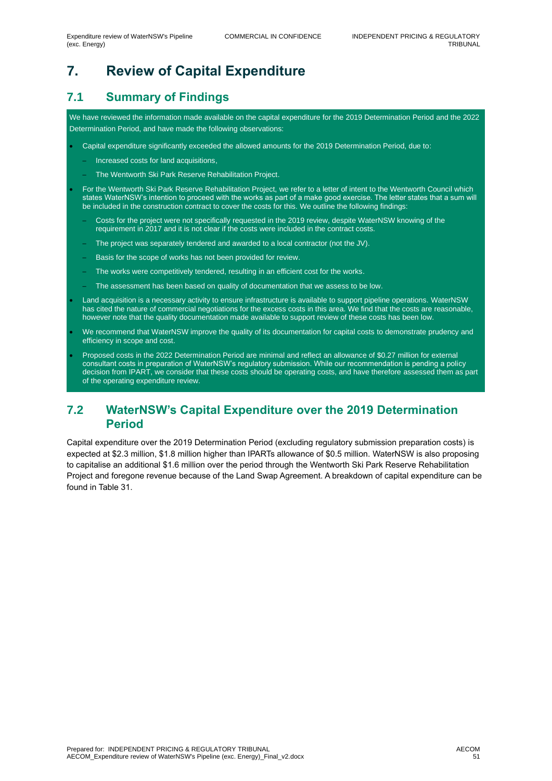# <span id="page-50-0"></span>**7. Review of Capital Expenditure**

# **7.1 Summary of Findings**

We have reviewed the information made available on the capital expenditure for the 2019 Determination Period and the 2022 Determination Period, and have made the following observations:

- Capital expenditure significantly exceeded the allowed amounts for the 2019 Determination Period, due to:
	- Increased costs for land acquisitions.
	- The Wentworth Ski Park Reserve Rehabilitation Project.
- For the Wentworth Ski Park Reserve Rehabilitation Project, we refer to a letter of intent to the Wentworth Council which states WaterNSW's intention to proceed with the works as part of a make good exercise. The letter states that a sum will be included in the construction contract to cover the costs for this. We outline the following findings:
	- Costs for the project were not specifically requested in the 2019 review, despite WaterNSW knowing of the requirement in 2017 and it is not clear if the costs were included in the contract costs.
	- The project was separately tendered and awarded to a local contractor (not the JV).
	- Basis for the scope of works has not been provided for review.
	- The works were competitively tendered, resulting in an efficient cost for the works.
	- The assessment has been based on quality of documentation that we assess to be low.
- Land acquisition is a necessary activity to ensure infrastructure is available to support pipeline operations. WaterNSW has cited the nature of commercial negotiations for the excess costs in this area. We find that the costs are reasonable, however note that the quality documentation made available to support review of these costs has been low.
- We recommend that WaterNSW improve the quality of its documentation for capital costs to demonstrate prudency and efficiency in scope and cost.
- Proposed costs in the 2022 Determination Period are minimal and reflect an allowance of \$0.27 million for external consultant costs in preparation of WaterNSW's regulatory submission. While our recommendation is pending a policy decision from IPART, we consider that these costs should be operating costs, and have therefore assessed them as part of the operating expenditure review.

# **7.2 WaterNSW's Capital Expenditure over the 2019 Determination Period**

Capital expenditure over the 2019 Determination Period (excluding regulatory submission preparation costs) is expected at \$2.3 million, \$1.8 million higher than IPARTs allowance of \$0.5 million. WaterNSW is also proposing to capitalise an additional \$1.6 million over the period through the Wentworth Ski Park Reserve Rehabilitation Project and foregone revenue because of the Land Swap Agreement. A breakdown of capital expenditure can be found i[n Table 31.](#page-51-0)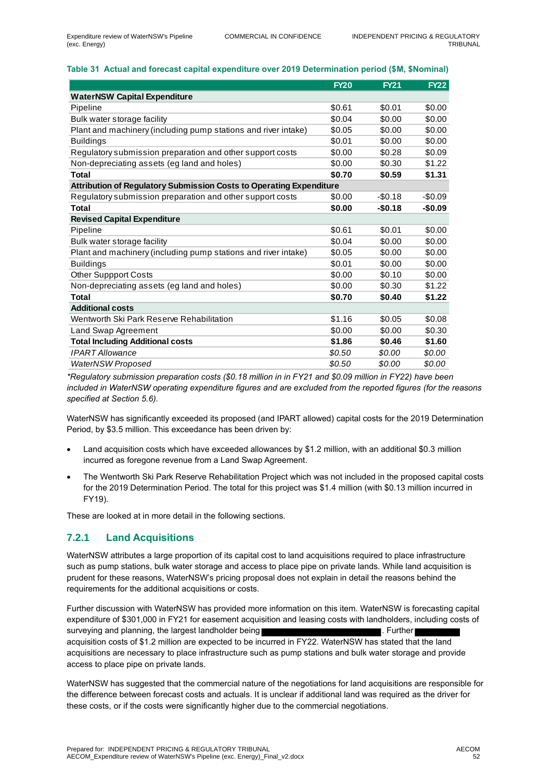#### <span id="page-51-0"></span>**Table 31 Actual and forecast capital expenditure over 2019 Determination period (\$M, \$Nominal)**

|                                                                     | <b>FY20</b> | <b>FY21</b> | <b>FY22</b> |
|---------------------------------------------------------------------|-------------|-------------|-------------|
| <b>WaterNSW Capital Expenditure</b>                                 |             |             |             |
| Pipeline                                                            | \$0.61      | \$0.01      | \$0.00      |
| Bulk water storage facility                                         | \$0.04      | \$0.00      | \$0.00      |
| Plant and machinery (including pump stations and river intake)      | \$0.05      | \$0.00      | \$0.00      |
| <b>Buildings</b>                                                    | \$0.01      | \$0.00      | \$0.00      |
| Regulatory submission preparation and other support costs           | \$0.00      | \$0.28      | \$0.09      |
| Non-depreciating assets (eg land and holes)                         | \$0.00      | \$0.30      | \$1.22      |
| <b>Total</b>                                                        | \$0.70      | \$0.59      | \$1.31      |
| Attribution of Regulatory Submission Costs to Operating Expenditure |             |             |             |
| Regulatory submission preparation and other support costs           | \$0.00      | $-$0.18$    | $-$0.09$    |
| <b>Total</b>                                                        | \$0.00      | $-$0.18$    | -\$0.09     |
| <b>Revised Capital Expenditure</b>                                  |             |             |             |
| Pipeline                                                            | \$0.61      | \$0.01      | \$0.00      |
| Bulk water storage facility                                         | \$0.04      | \$0.00      | \$0.00      |
| Plant and machinery (including pump stations and river intake)      | \$0.05      | \$0.00      | \$0.00      |
| <b>Buildings</b>                                                    | \$0.01      | \$0.00      | \$0.00      |
| <b>Other Suppport Costs</b>                                         | \$0.00      | \$0.10      | \$0.00      |
| Non-depreciating assets (eg land and holes)                         | \$0.00      | \$0.30      | \$1.22      |
| Total                                                               | \$0.70      | \$0.40      | \$1.22      |
| <b>Additional costs</b>                                             |             |             |             |
| Wentworth Ski Park Reserve Rehabilitation                           | \$1.16      | \$0.05      | \$0.08      |
| Land Swap Agreement                                                 | \$0.00      | \$0.00      | \$0.30      |
| <b>Total Including Additional costs</b>                             | \$1.86      | \$0.46      | \$1.60      |
| <b>IPART Allowance</b>                                              | \$0.50      | \$0.00      | \$0.00      |
| WaterNSW Proposed                                                   | \$0.50      | \$0.00      | \$0.00      |

*\*Regulatory submission preparation costs (\$0.18 million in in FY21 and \$0.09 million in FY22) have been included in WaterNSW operating expenditure figures and are excluded from the reported figures (for the reasons specified at Sectio[n 5.6\)](#page-26-0).*

WaterNSW has significantly exceeded its proposed (and IPART allowed) capital costs for the 2019 Determination Period, by \$3.5 million. This exceedance has been driven by:

- Land acquisition costs which have exceeded allowances by \$1.2 million, with an additional \$0.3 million incurred as foregone revenue from a Land Swap Agreement.
- The Wentworth Ski Park Reserve Rehabilitation Project which was not included in the proposed capital costs for the 2019 Determination Period. The total for this project was \$1.4 million (with \$0.13 million incurred in FY19).

These are looked at in more detail in the following sections.

## **7.2.1 Land Acquisitions**

WaterNSW attributes a large proportion of its capital cost to land acquisitions required to place infrastructure such as pump stations, bulk water storage and access to place pipe on private lands. While land acquisition is prudent for these reasons, WaterNSW's pricing proposal does not explain in detail the reasons behind the requirements for the additional acquisitions or costs.

Further discussion with WaterNSW has provided more information on this item. WaterNSW is forecasting capital expenditure of \$301,000 in FY21 for easement acquisition and leasing costs with landholders, including costs of surveying and planning, the largest landholder being **. Further in the land of the land of the land of the land of the land of the land of the land of the land of the land of the land of the land of the land of the land of** acquisition costs of \$1.2 million are expected to be incurred in FY22. WaterNSW has stated that the land acquisitions are necessary to place infrastructure such as pump stations and bulk water storage and provide access to place pipe on private lands.

WaterNSW has suggested that the commercial nature of the negotiations for land acquisitions are responsible for the difference between forecast costs and actuals. It is unclear if additional land was required as the driver for these costs, or if the costs were significantly higher due to the commercial negotiations.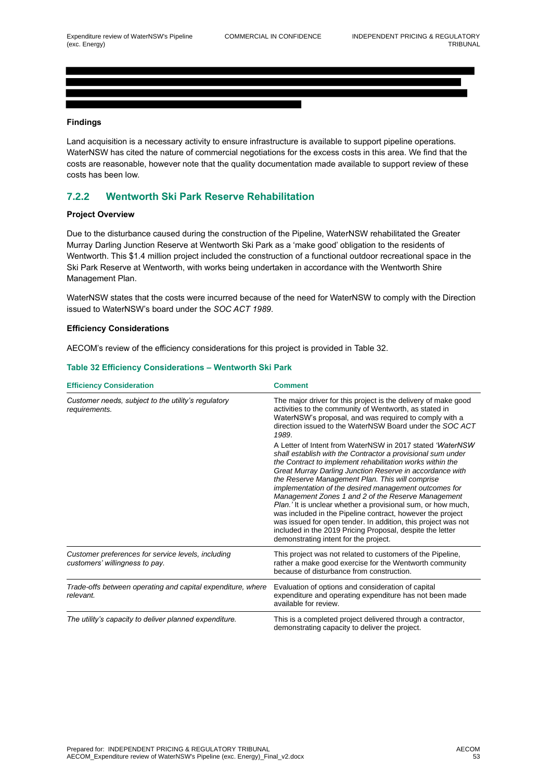#### **Findings**

Land acquisition is a necessary activity to ensure infrastructure is available to support pipeline operations. WaterNSW has cited the nature of commercial negotiations for the excess costs in this area. We find that the costs are reasonable, however note that the quality documentation made available to support review of these costs has been low.

## **7.2.2 Wentworth Ski Park Reserve Rehabilitation**

#### **Project Overview**

Due to the disturbance caused during the construction of the Pipeline, WaterNSW rehabilitated the Greater Murray Darling Junction Reserve at Wentworth Ski Park as a 'make good' obligation to the residents of Wentworth. This \$1.4 million project included the construction of a functional outdoor recreational space in the Ski Park Reserve at Wentworth, with works being undertaken in accordance with the Wentworth Shire Management Plan.

WaterNSW states that the costs were incurred because of the need for WaterNSW to comply with the Direction issued to WaterNSW's board under the *SOC ACT 1989*.

#### **Efficiency Considerations**

AECOM's review of the efficiency considerations for this project is provided in [Table 32.](#page-52-0)

#### <span id="page-52-0"></span>**Table 32 Efficiency Considerations – Wentworth Ski Park**

| <b>Efficiency Consideration</b>                                                      | <b>Comment</b>                                                                                                                                                                                                                                                                                                                                                                                                                                                                                                                                                                                                                                                                                                           |  |  |  |
|--------------------------------------------------------------------------------------|--------------------------------------------------------------------------------------------------------------------------------------------------------------------------------------------------------------------------------------------------------------------------------------------------------------------------------------------------------------------------------------------------------------------------------------------------------------------------------------------------------------------------------------------------------------------------------------------------------------------------------------------------------------------------------------------------------------------------|--|--|--|
| Customer needs, subject to the utility's regulatory<br>requirements.                 | The major driver for this project is the delivery of make good<br>activities to the community of Wentworth, as stated in<br>WaterNSW's proposal, and was required to comply with a<br>direction issued to the WaterNSW Board under the SOC ACT<br>1989.                                                                                                                                                                                                                                                                                                                                                                                                                                                                  |  |  |  |
|                                                                                      | A Letter of Intent from WaterNSW in 2017 stated 'WaterNSW<br>shall establish with the Contractor a provisional sum under<br>the Contract to implement rehabilitation works within the<br>Great Murray Darling Junction Reserve in accordance with<br>the Reserve Management Plan. This will comprise<br>implementation of the desired management outcomes for<br>Management Zones 1 and 2 of the Reserve Management<br>Plan.' It is unclear whether a provisional sum, or how much,<br>was included in the Pipeline contract, however the project<br>was issued for open tender. In addition, this project was not<br>included in the 2019 Pricing Proposal, despite the letter<br>demonstrating intent for the project. |  |  |  |
| Customer preferences for service levels, including<br>customers' willingness to pay. | This project was not related to customers of the Pipeline,<br>rather a make good exercise for the Wentworth community<br>because of disturbance from construction.                                                                                                                                                                                                                                                                                                                                                                                                                                                                                                                                                       |  |  |  |
| Trade-offs between operating and capital expenditure, where<br>relevant.             | Evaluation of options and consideration of capital<br>expenditure and operating expenditure has not been made<br>available for review.                                                                                                                                                                                                                                                                                                                                                                                                                                                                                                                                                                                   |  |  |  |
| The utility's capacity to deliver planned expenditure.                               | This is a completed project delivered through a contractor,<br>demonstrating capacity to deliver the project.                                                                                                                                                                                                                                                                                                                                                                                                                                                                                                                                                                                                            |  |  |  |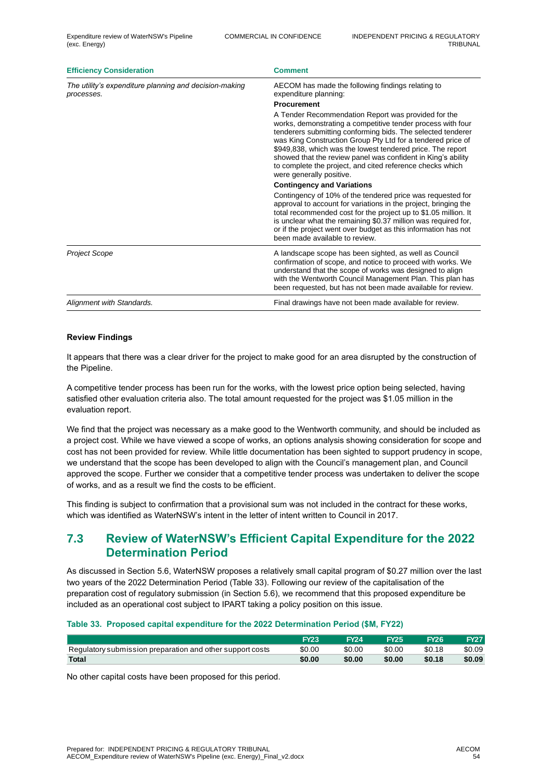| <b>Efficiency Consideration</b>                                      | <b>Comment</b>                                                                                                                                                                                                                                                                                                                                                                                                                                                          |
|----------------------------------------------------------------------|-------------------------------------------------------------------------------------------------------------------------------------------------------------------------------------------------------------------------------------------------------------------------------------------------------------------------------------------------------------------------------------------------------------------------------------------------------------------------|
| The utility's expenditure planning and decision-making<br>processes. | AECOM has made the following findings relating to<br>expenditure planning:                                                                                                                                                                                                                                                                                                                                                                                              |
|                                                                      | <b>Procurement</b>                                                                                                                                                                                                                                                                                                                                                                                                                                                      |
|                                                                      | A Tender Recommendation Report was provided for the<br>works, demonstrating a competitive tender process with four<br>tenderers submitting conforming bids. The selected tenderer<br>was King Construction Group Pty Ltd for a tendered price of<br>\$949,838, which was the lowest tendered price. The report<br>showed that the review panel was confident in King's ability<br>to complete the project, and cited reference checks which<br>were generally positive. |
|                                                                      | <b>Contingency and Variations</b>                                                                                                                                                                                                                                                                                                                                                                                                                                       |
|                                                                      | Contingency of 10% of the tendered price was requested for<br>approval to account for variations in the project, bringing the<br>total recommended cost for the project up to \$1.05 million. It<br>is unclear what the remaining \$0.37 million was required for,<br>or if the project went over budget as this information has not<br>been made available to review.                                                                                                  |
| <b>Project Scope</b>                                                 | A landscape scope has been sighted, as well as Council<br>confirmation of scope, and notice to proceed with works. We<br>understand that the scope of works was designed to align<br>with the Wentworth Council Management Plan. This plan has<br>been requested, but has not been made available for review.                                                                                                                                                           |
| Alignment with Standards.                                            | Final drawings have not been made available for review.                                                                                                                                                                                                                                                                                                                                                                                                                 |

#### **Review Findings**

It appears that there was a clear driver for the project to make good for an area disrupted by the construction of the Pipeline.

A competitive tender process has been run for the works, with the lowest price option being selected, having satisfied other evaluation criteria also. The total amount requested for the project was \$1.05 million in the evaluation report.

We find that the project was necessary as a make good to the Wentworth community, and should be included as a project cost. While we have viewed a scope of works, an options analysis showing consideration for scope and cost has not been provided for review. While little documentation has been sighted to support prudency in scope, we understand that the scope has been developed to align with the Council's management plan, and Council approved the scope. Further we consider that a competitive tender process was undertaken to deliver the scope of works, and as a result we find the costs to be efficient.

This finding is subject to confirmation that a provisional sum was not included in the contract for these works, which was identified as WaterNSW's intent in the letter of intent written to Council in 2017.

# <span id="page-53-0"></span>**7.3 Review of WaterNSW's Efficient Capital Expenditure for the 2022 Determination Period**

As discussed in Sectio[n 5.6,](#page-26-0) WaterNSW proposes a relatively small capital program of \$0.27 million over the last two years of the 2022 Determination Period [\(Table 33\)](#page-53-1). Following our review of the capitalisation of the preparation cost of regulatory submission (in Section [5.6\)](#page-26-0), we recommend that this proposed expenditure be included as an operational cost subject to IPART taking a policy position on this issue.

#### <span id="page-53-1"></span>**Table 33. Proposed capital expenditure for the 2022 Determination Period (\$M, FY22)**

|                                                           | <b>FY23</b> | <b>FY24</b> | <b>FY25</b> | <b>FY26</b> | <b>FY27</b> |
|-----------------------------------------------------------|-------------|-------------|-------------|-------------|-------------|
| Regulatory submission preparation and other support costs | \$0.00      | \$0.00      | \$0.00      | \$0.18      | \$0.09      |
| <b>Total</b>                                              | \$0.00      | \$0.00      | \$0.00      | \$0.18      | \$0.09      |

No other capital costs have been proposed for this period.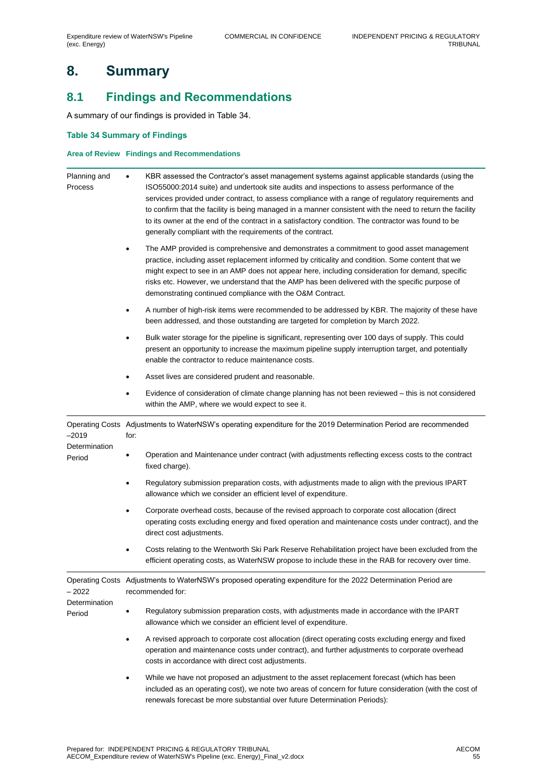# **8. Summary**

# **8.1 Findings and Recommendations**

A summary of our findings is provided in [Table 34.](#page-54-0)

## <span id="page-54-0"></span>**Table 34 Summary of Findings**

#### **Area of Review Findings and Recommendations**

| Planning and<br>Process          | KBR assessed the Contractor's asset management systems against applicable standards (using the<br>ISO55000:2014 suite) and undertook site audits and inspections to assess performance of the<br>services provided under contract, to assess compliance with a range of regulatory requirements and<br>to confirm that the facility is being managed in a manner consistent with the need to return the facility<br>to its owner at the end of the contract in a satisfactory condition. The contractor was found to be<br>generally compliant with the requirements of the contract. |  |  |  |  |  |
|----------------------------------|---------------------------------------------------------------------------------------------------------------------------------------------------------------------------------------------------------------------------------------------------------------------------------------------------------------------------------------------------------------------------------------------------------------------------------------------------------------------------------------------------------------------------------------------------------------------------------------|--|--|--|--|--|
|                                  | The AMP provided is comprehensive and demonstrates a commitment to good asset management<br>practice, including asset replacement informed by criticality and condition. Some content that we<br>might expect to see in an AMP does not appear here, including consideration for demand, specific<br>risks etc. However, we understand that the AMP has been delivered with the specific purpose of<br>demonstrating continued compliance with the O&M Contract.                                                                                                                      |  |  |  |  |  |
|                                  | A number of high-risk items were recommended to be addressed by KBR. The majority of these have<br>been addressed, and those outstanding are targeted for completion by March 2022.                                                                                                                                                                                                                                                                                                                                                                                                   |  |  |  |  |  |
|                                  | Bulk water storage for the pipeline is significant, representing over 100 days of supply. This could<br>present an opportunity to increase the maximum pipeline supply interruption target, and potentially<br>enable the contractor to reduce maintenance costs.                                                                                                                                                                                                                                                                                                                     |  |  |  |  |  |
|                                  | Asset lives are considered prudent and reasonable.                                                                                                                                                                                                                                                                                                                                                                                                                                                                                                                                    |  |  |  |  |  |
|                                  | Evidence of consideration of climate change planning has not been reviewed – this is not considered<br>within the AMP, where we would expect to see it.                                                                                                                                                                                                                                                                                                                                                                                                                               |  |  |  |  |  |
| –2019<br>Determination<br>Period | Operating Costs Adjustments to WaterNSW's operating expenditure for the 2019 Determination Period are recommended<br>for:                                                                                                                                                                                                                                                                                                                                                                                                                                                             |  |  |  |  |  |
|                                  | Operation and Maintenance under contract (with adjustments reflecting excess costs to the contract<br>fixed charge).                                                                                                                                                                                                                                                                                                                                                                                                                                                                  |  |  |  |  |  |
|                                  | Regulatory submission preparation costs, with adjustments made to align with the previous IPART<br>allowance which we consider an efficient level of expenditure.                                                                                                                                                                                                                                                                                                                                                                                                                     |  |  |  |  |  |
|                                  | Corporate overhead costs, because of the revised approach to corporate cost allocation (direct<br>operating costs excluding energy and fixed operation and maintenance costs under contract), and the<br>direct cost adjustments.                                                                                                                                                                                                                                                                                                                                                     |  |  |  |  |  |
|                                  | Costs relating to the Wentworth Ski Park Reserve Rehabilitation project have been excluded from the<br>efficient operating costs, as WaterNSW propose to include these in the RAB for recovery over time.                                                                                                                                                                                                                                                                                                                                                                             |  |  |  |  |  |
| $-2022$                          | Operating Costs Adjustments to WaterNSW's proposed operating expenditure for the 2022 Determination Period are<br>recommended for:                                                                                                                                                                                                                                                                                                                                                                                                                                                    |  |  |  |  |  |
| Determination<br>Period          | Regulatory submission preparation costs, with adjustments made in accordance with the IPART<br>allowance which we consider an efficient level of expenditure.                                                                                                                                                                                                                                                                                                                                                                                                                         |  |  |  |  |  |
|                                  | A revised approach to corporate cost allocation (direct operating costs excluding energy and fixed<br>operation and maintenance costs under contract), and further adjustments to corporate overhead<br>costs in accordance with direct cost adjustments.                                                                                                                                                                                                                                                                                                                             |  |  |  |  |  |
|                                  | While we have not proposed an adjustment to the asset replacement forecast (which has been<br>included as an operating cost), we note two areas of concern for future consideration (with the cost of<br>renewals forecast be more substantial over future Determination Periods):                                                                                                                                                                                                                                                                                                    |  |  |  |  |  |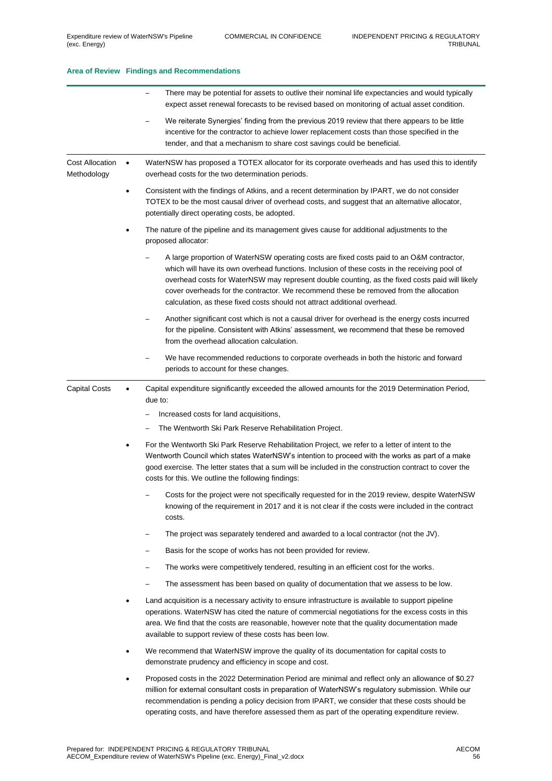## **Area of Review Findings and Recommendations**

|                                     |           | There may be potential for assets to outlive their nominal life expectancies and would typically<br>expect asset renewal forecasts to be revised based on monitoring of actual asset condition.                                                                                                                                                                                                                                                                    |
|-------------------------------------|-----------|--------------------------------------------------------------------------------------------------------------------------------------------------------------------------------------------------------------------------------------------------------------------------------------------------------------------------------------------------------------------------------------------------------------------------------------------------------------------|
|                                     |           | We reiterate Synergies' finding from the previous 2019 review that there appears to be little<br>incentive for the contractor to achieve lower replacement costs than those specified in the<br>tender, and that a mechanism to share cost savings could be beneficial.                                                                                                                                                                                            |
| <b>Cost Allocation</b>              |           | WaterNSW has proposed a TOTEX allocator for its corporate overheads and has used this to identify<br>overhead costs for the two determination periods.                                                                                                                                                                                                                                                                                                             |
|                                     | $\bullet$ | Consistent with the findings of Atkins, and a recent determination by IPART, we do not consider<br>TOTEX to be the most causal driver of overhead costs, and suggest that an alternative allocator,<br>potentially direct operating costs, be adopted.                                                                                                                                                                                                             |
|                                     |           | The nature of the pipeline and its management gives cause for additional adjustments to the<br>proposed allocator:                                                                                                                                                                                                                                                                                                                                                 |
|                                     |           | A large proportion of WaterNSW operating costs are fixed costs paid to an O&M contractor,<br>which will have its own overhead functions. Inclusion of these costs in the receiving pool of<br>overhead costs for WaterNSW may represent double counting, as the fixed costs paid will likely<br>cover overheads for the contractor. We recommend these be removed from the allocation<br>calculation, as these fixed costs should not attract additional overhead. |
|                                     |           | Another significant cost which is not a causal driver for overhead is the energy costs incurred<br>for the pipeline. Consistent with Atkins' assessment, we recommend that these be removed<br>from the overhead allocation calculation.                                                                                                                                                                                                                           |
|                                     |           | We have recommended reductions to corporate overheads in both the historic and forward<br>periods to account for these changes.                                                                                                                                                                                                                                                                                                                                    |
| Methodology<br><b>Capital Costs</b> |           | Capital expenditure significantly exceeded the allowed amounts for the 2019 Determination Period,<br>due to:                                                                                                                                                                                                                                                                                                                                                       |
|                                     |           | Increased costs for land acquisitions,                                                                                                                                                                                                                                                                                                                                                                                                                             |
|                                     |           | The Wentworth Ski Park Reserve Rehabilitation Project.                                                                                                                                                                                                                                                                                                                                                                                                             |
|                                     |           | For the Wentworth Ski Park Reserve Rehabilitation Project, we refer to a letter of intent to the<br>Wentworth Council which states WaterNSW's intention to proceed with the works as part of a make<br>good exercise. The letter states that a sum will be included in the construction contract to cover the<br>costs for this. We outline the following findings:                                                                                                |
|                                     |           | Costs for the project were not specifically requested for in the 2019 review, despite WaterNSW<br>knowing of the requirement in 2017 and it is not clear if the costs were included in the contract<br>costs.                                                                                                                                                                                                                                                      |
|                                     |           | The project was separately tendered and awarded to a local contractor (not the JV).                                                                                                                                                                                                                                                                                                                                                                                |
|                                     |           | Basis for the scope of works has not been provided for review.                                                                                                                                                                                                                                                                                                                                                                                                     |
|                                     |           | The works were competitively tendered, resulting in an efficient cost for the works.                                                                                                                                                                                                                                                                                                                                                                               |
|                                     |           | The assessment has been based on quality of documentation that we assess to be low.                                                                                                                                                                                                                                                                                                                                                                                |
|                                     |           | Land acquisition is a necessary activity to ensure infrastructure is available to support pipeline<br>operations. WaterNSW has cited the nature of commercial negotiations for the excess costs in this<br>area. We find that the costs are reasonable, however note that the quality documentation made<br>available to support review of these costs has been low.                                                                                               |
|                                     | ٠         | We recommend that WaterNSW improve the quality of its documentation for capital costs to<br>demonstrate prudency and efficiency in scope and cost.                                                                                                                                                                                                                                                                                                                 |
|                                     |           | Proposed costs in the 2022 Determination Period are minimal and reflect only an allowance of \$0.27<br>million for external consultant costs in preparation of WaterNSW's regulatory submission. While our<br>recommendation is pending a policy decision from IPART, we consider that these costs should be<br>operating costs, and have therefore assessed them as part of the operating expenditure review.                                                     |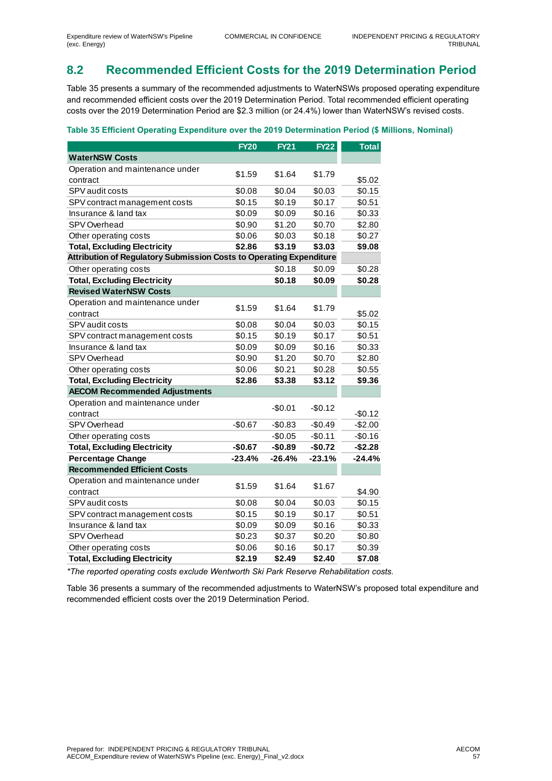# **8.2 Recommended Efficient Costs for the 2019 Determination Period**

[Table 35](#page-56-0) presents a summary of the recommended adjustments to WaterNSWs proposed operating expenditure and recommended efficient costs over the 2019 Determination Period. Total recommended efficient operating costs over the 2019 Determination Period are \$2.3 million (or 24.4%) lower than WaterNSW's revised costs.

#### <span id="page-56-0"></span>**Table 35 Efficient Operating Expenditure over the 2019 Determination Period (\$ Millions, Nominal)**

|                                                                     | <b>FY20</b> | <b>FY21</b> | <b>FY22</b> | <b>Total</b> |  |  |  |  |  |
|---------------------------------------------------------------------|-------------|-------------|-------------|--------------|--|--|--|--|--|
| <b>WaterNSW Costs</b>                                               |             |             |             |              |  |  |  |  |  |
| Operation and maintenance under                                     | \$1.59      | \$1.64      | \$1.79      |              |  |  |  |  |  |
| contract                                                            |             |             |             | \$5.02       |  |  |  |  |  |
| SPV audit costs                                                     | \$0.08      | \$0.04      | \$0.03      | \$0.15       |  |  |  |  |  |
| SPV contract management costs                                       | \$0.15      | \$0.19      | \$0.17      | \$0.51       |  |  |  |  |  |
| Insurance & land tax                                                | \$0.09      | \$0.09      | \$0.16      | \$0.33       |  |  |  |  |  |
| SPV Overhead                                                        | \$0.90      | \$1.20      | \$0.70      | \$2.80       |  |  |  |  |  |
| Other operating costs                                               | \$0.06      | \$0.03      | \$0.18      | \$0.27       |  |  |  |  |  |
| <b>Total, Excluding Electricity</b>                                 | \$2.86      | \$3.19      | \$3.03      | \$9.08       |  |  |  |  |  |
| Attribution of Regulatory Submission Costs to Operating Expenditure |             |             |             |              |  |  |  |  |  |
| Other operating costs                                               |             | \$0.18      | \$0.09      | \$0.28       |  |  |  |  |  |
| <b>Total, Excluding Electricity</b>                                 |             | \$0.18      | \$0.09      | \$0.28       |  |  |  |  |  |
| <b>Revised WaterNSW Costs</b>                                       |             |             |             |              |  |  |  |  |  |
| Operation and maintenance under                                     | \$1.59      | \$1.64      | \$1.79      |              |  |  |  |  |  |
| contract                                                            |             |             |             | \$5.02       |  |  |  |  |  |
| SPV audit costs                                                     | \$0.08      | \$0.04      | \$0.03      | \$0.15       |  |  |  |  |  |
| SPV contract management costs                                       | \$0.15      | \$0.19      | \$0.17      | \$0.51       |  |  |  |  |  |
| Insurance & land tax                                                | \$0.09      | \$0.09      | \$0.16      | \$0.33       |  |  |  |  |  |
| SPV Overhead                                                        | \$0.90      | \$1.20      | \$0.70      | \$2.80       |  |  |  |  |  |
| Other operating costs                                               | \$0.06      | \$0.21      | \$0.28      | \$0.55       |  |  |  |  |  |
| <b>Total, Excluding Electricity</b>                                 | \$2.86      | \$3.38      | \$3.12      | \$9.36       |  |  |  |  |  |
| <b>AECOM Recommended Adjustments</b>                                |             |             |             |              |  |  |  |  |  |
| Operation and maintenance under                                     |             | $-$0.01$    | $-$0.12$    |              |  |  |  |  |  |
| contract                                                            |             |             |             | $-$0.12$     |  |  |  |  |  |
| SPV Overhead                                                        | $-$0.67$    | $-$0.83$    | $-$0.49$    | $-$2.00$     |  |  |  |  |  |
| Other operating costs                                               |             | $-$0.05$    | $-$0.11$    | $-$0.16$     |  |  |  |  |  |
| <b>Total, Excluding Electricity</b>                                 | $-$0.67$    | $-$0.89$    | $-$0.72$    | $-$2.28$     |  |  |  |  |  |
| <b>Percentage Change</b>                                            | -23.4%      | $-26.4%$    | $-23.1%$    | $-24.4%$     |  |  |  |  |  |
| <b>Recommended Efficient Costs</b>                                  |             |             |             |              |  |  |  |  |  |
| Operation and maintenance under                                     | \$1.59      | \$1.64      | \$1.67      |              |  |  |  |  |  |
| contract                                                            |             |             |             | \$4.90       |  |  |  |  |  |
| SPV audit costs                                                     | \$0.08      | \$0.04      | \$0.03      | \$0.15       |  |  |  |  |  |
| SPV contract management costs                                       | \$0.15      | \$0.19      | \$0.17      | \$0.51       |  |  |  |  |  |
| Insurance & land tax                                                | \$0.09      | \$0.09      | \$0.16      | \$0.33       |  |  |  |  |  |
| SPV Overhead                                                        | \$0.23      | \$0.37      | \$0.20      | \$0.80       |  |  |  |  |  |
| Other operating costs                                               | \$0.06      | \$0.16      | \$0.17      | \$0.39       |  |  |  |  |  |
| <b>Total, Excluding Electricity</b>                                 | \$2.19      | \$2.49      | \$2.40      | \$7.08       |  |  |  |  |  |

*\*The reported operating costs exclude Wentworth Ski Park Reserve Rehabilitation costs.* 

[Table 36](#page-57-0) presents a summary of the recommended adjustments to WaterNSW's proposed total expenditure and recommended efficient costs over the 2019 Determination Period.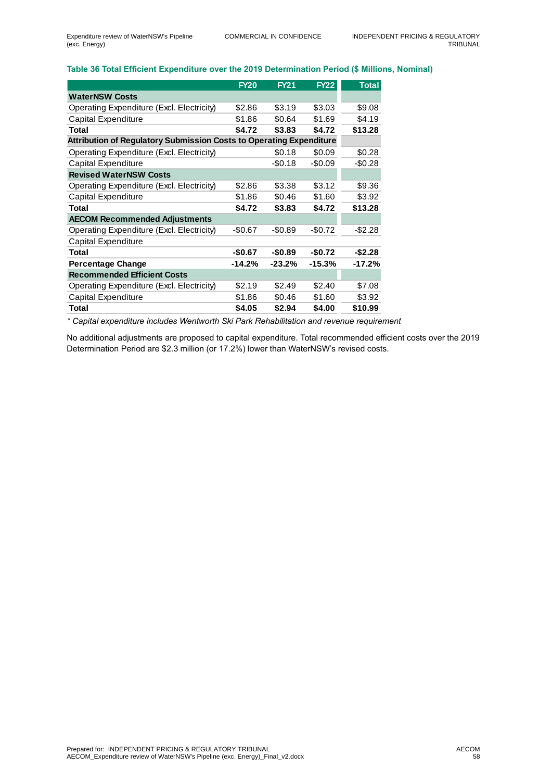#### <span id="page-57-0"></span>**Table 36 Total Efficient Expenditure over the 2019 Determination Period (\$ Millions, Nominal)**

|                                                                            | <b>FY20</b> | <b>FY21</b> | <b>FY22</b> | <b>Total</b> |  |  |  |  |
|----------------------------------------------------------------------------|-------------|-------------|-------------|--------------|--|--|--|--|
| <b>WaterNSW Costs</b>                                                      |             |             |             |              |  |  |  |  |
| Operating Expenditure (Excl. Electricity)                                  | \$2.86      | \$3.19      | \$3.03      | \$9.08       |  |  |  |  |
| Capital Expenditure                                                        | \$1.86      | \$0.64      | \$1.69      | \$4.19       |  |  |  |  |
| Total                                                                      | \$4.72      | \$3.83      | \$4.72      | \$13.28      |  |  |  |  |
| <b>Attribution of Regulatory Submission Costs to Operating Expenditure</b> |             |             |             |              |  |  |  |  |
| Operating Expenditure (Excl. Electricity)                                  |             | \$0.18      | \$0.09      | \$0.28       |  |  |  |  |
| Capital Expenditure                                                        |             | $-$0.18$    | $-$0.09$    | $-$0.28$     |  |  |  |  |
| <b>Revised WaterNSW Costs</b>                                              |             |             |             |              |  |  |  |  |
| Operating Expenditure (Excl. Electricity)                                  | \$2.86      | \$3.38      | \$3.12      | \$9.36       |  |  |  |  |
| Capital Expenditure                                                        | \$1.86      | \$0.46      | \$1.60      | \$3.92       |  |  |  |  |
| Total                                                                      | \$4.72      | \$3.83      | \$4.72      | \$13.28      |  |  |  |  |
| <b>AECOM Recommended Adjustments</b>                                       |             |             |             |              |  |  |  |  |
| Operating Expenditure (Excl. Electricity)                                  | $-$0.67$    | $-$0.89$    | $-$0.72$    | $-$2.28$     |  |  |  |  |
| Capital Expenditure                                                        |             |             |             |              |  |  |  |  |
| Total                                                                      | $-$0.67$    | -\$0.89     | $-$0.72$    | $-$2.28$     |  |  |  |  |
| <b>Percentage Change</b>                                                   | $-14.2%$    | $-23.2\%$   | $-15.3%$    | $-17.2%$     |  |  |  |  |
| <b>Recommended Efficient Costs</b>                                         |             |             |             |              |  |  |  |  |
| Operating Expenditure (Excl. Electricity)                                  | \$2.19      | \$2.49      | \$2.40      | \$7.08       |  |  |  |  |
| Capital Expenditure                                                        | \$1.86      | \$0.46      | \$1.60      | \$3.92       |  |  |  |  |
| Total                                                                      | \$4.05      | \$2.94      | \$4.00      | \$10.99      |  |  |  |  |

*\* Capital expenditure includes Wentworth Ski Park Rehabilitation and revenue requirement* 

No additional adjustments are proposed to capital expenditure. Total recommended efficient costs over the 2019 Determination Period are \$2.3 million (or 17.2%) lower than WaterNSW's revised costs.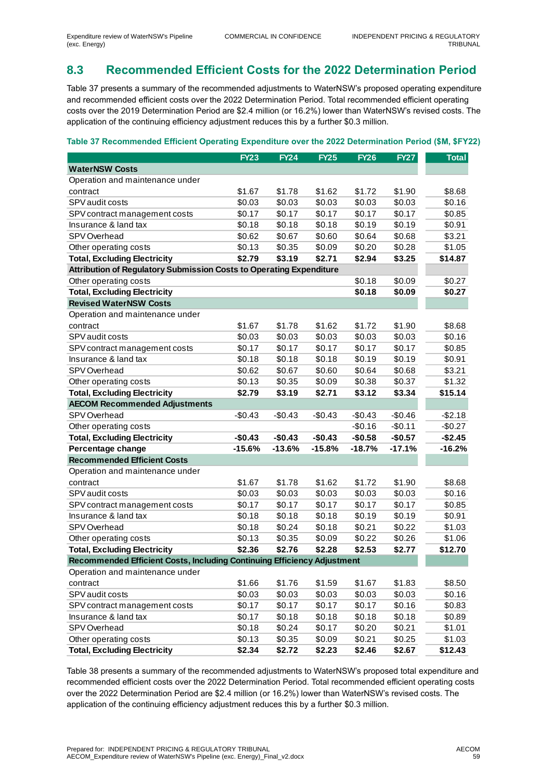# **8.3 Recommended Efficient Costs for the 2022 Determination Period**

[Table 37](#page-58-0) presents a summary of the recommended adjustments to WaterNSW's proposed operating expenditure and recommended efficient costs over the 2022 Determination Period. Total recommended efficient operating costs over the 2019 Determination Period are \$2.4 million (or 16.2%) lower than WaterNSW's revised costs. The application of the continuing efficiency adjustment reduces this by a further \$0.3 million.

## <span id="page-58-0"></span>**Table 37 Recommended Efficient Operating Expenditure over the 2022 Determination Period (\$M, \$FY22)**

|                                                                         | <b>FY23</b>                                                         | <b>FY24</b> | <b>FY25</b> | <b>FY26</b> | <b>FY27</b> | <b>Total</b> |  |  |  |
|-------------------------------------------------------------------------|---------------------------------------------------------------------|-------------|-------------|-------------|-------------|--------------|--|--|--|
| <b>WaterNSW Costs</b>                                                   |                                                                     |             |             |             |             |              |  |  |  |
| Operation and maintenance under                                         |                                                                     |             |             |             |             |              |  |  |  |
| contract                                                                | \$1.67                                                              | \$1.78      | \$1.62      | \$1.72      | \$1.90      | \$8.68       |  |  |  |
| SPV audit costs                                                         | \$0.03                                                              | \$0.03      | \$0.03      | \$0.03      | \$0.03      | \$0.16       |  |  |  |
| SPV contract management costs                                           | \$0.17                                                              | \$0.17      | \$0.17      | \$0.17      | \$0.17      | \$0.85       |  |  |  |
| Insurance & land tax                                                    | \$0.18                                                              | \$0.18      | \$0.18      | \$0.19      | \$0.19      | \$0.91       |  |  |  |
| SPV Overhead                                                            | \$0.62                                                              | \$0.67      | \$0.60      | \$0.64      | \$0.68      | \$3.21       |  |  |  |
| Other operating costs                                                   | \$0.13                                                              | \$0.35      | \$0.09      | \$0.20      | \$0.28      | \$1.05       |  |  |  |
| <b>Total, Excluding Electricity</b>                                     | \$2.79                                                              | \$3.19      | \$2.71      | \$2.94      | \$3.25      | \$14.87      |  |  |  |
|                                                                         | Attribution of Regulatory Submission Costs to Operating Expenditure |             |             |             |             |              |  |  |  |
| Other operating costs                                                   |                                                                     |             |             | \$0.18      | \$0.09      | \$0.27       |  |  |  |
| <b>Total, Excluding Electricity</b>                                     |                                                                     |             |             | \$0.18      | \$0.09      | \$0.27       |  |  |  |
| <b>Revised WaterNSW Costs</b>                                           |                                                                     |             |             |             |             |              |  |  |  |
| Operation and maintenance under                                         |                                                                     |             |             |             |             |              |  |  |  |
| contract                                                                | \$1.67                                                              | \$1.78      | \$1.62      | \$1.72      | \$1.90      | \$8.68       |  |  |  |
| SPV audit costs                                                         | \$0.03                                                              | \$0.03      | \$0.03      | \$0.03      | \$0.03      | \$0.16       |  |  |  |
| SPV contract management costs                                           | \$0.17                                                              | \$0.17      | \$0.17      | \$0.17      | \$0.17      | \$0.85       |  |  |  |
| Insurance & land tax                                                    | \$0.18                                                              | \$0.18      | \$0.18      | \$0.19      | \$0.19      | \$0.91       |  |  |  |
| SPV Overhead                                                            | \$0.62                                                              | \$0.67      | \$0.60      | \$0.64      | \$0.68      | \$3.21       |  |  |  |
| Other operating costs                                                   | \$0.13                                                              | \$0.35      | \$0.09      | \$0.38      | \$0.37      | \$1.32       |  |  |  |
| <b>Total, Excluding Electricity</b>                                     | \$2.79                                                              | \$3.19      | \$2.71      | \$3.12      | \$3.34      | \$15.14      |  |  |  |
| <b>AECOM Recommended Adjustments</b>                                    |                                                                     |             |             |             |             |              |  |  |  |
| SPV Overhead                                                            | $-$0.43$                                                            | $-$0.43$    | $-$0.43$    | $-$0.43$    | $-$0.46$    | $-$2.18$     |  |  |  |
| Other operating costs                                                   |                                                                     |             |             | $-$0.16$    | $-$0.11$    | $-$0.27$     |  |  |  |
| <b>Total, Excluding Electricity</b>                                     | $-$0.43$                                                            | $-$0.43$    | $-$0.43$    | $-$0.58$    | $-$0.57$    | $-$2.45$     |  |  |  |
| Percentage change                                                       | $-15.6%$                                                            | $-13.6%$    | $-15.8%$    | $-18.7%$    | $-17.1%$    | $-16.2%$     |  |  |  |
| <b>Recommended Efficient Costs</b>                                      |                                                                     |             |             |             |             |              |  |  |  |
| Operation and maintenance under                                         |                                                                     |             |             |             |             |              |  |  |  |
| contract                                                                | \$1.67                                                              | \$1.78      | \$1.62      | \$1.72      | \$1.90      | \$8.68       |  |  |  |
| SPV audit costs                                                         | \$0.03                                                              | \$0.03      | \$0.03      | \$0.03      | \$0.03      | \$0.16       |  |  |  |
| SPV contract management costs                                           | \$0.17                                                              | \$0.17      | \$0.17      | \$0.17      | \$0.17      | \$0.85       |  |  |  |
| Insurance & land tax                                                    | \$0.18                                                              | \$0.18      | \$0.18      | \$0.19      | \$0.19      | \$0.91       |  |  |  |
| SPV Overhead                                                            | \$0.18                                                              | \$0.24      | \$0.18      | \$0.21      | \$0.22      | \$1.03       |  |  |  |
| Other operating costs                                                   | \$0.13                                                              | \$0.35      | \$0.09      | \$0.22      | \$0.26      | \$1.06       |  |  |  |
| <b>Total, Excluding Electricity</b>                                     | \$2.36                                                              | \$2.76      | \$2.28      | \$2.53      | \$2.77      | \$12.70      |  |  |  |
| Recommended Efficient Costs, Including Continuing Efficiency Adjustment |                                                                     |             |             |             |             |              |  |  |  |
| Operation and maintenance under                                         |                                                                     |             |             |             |             |              |  |  |  |
| contract                                                                | \$1.66                                                              | \$1.76      | \$1.59      | \$1.67      | \$1.83      | \$8.50       |  |  |  |
| SPV audit costs                                                         | \$0.03                                                              | \$0.03      | \$0.03      | \$0.03      | \$0.03      | \$0.16       |  |  |  |
| SPV contract management costs                                           | \$0.17                                                              | \$0.17      | \$0.17      | \$0.17      | \$0.16      | \$0.83       |  |  |  |
| Insurance & land tax                                                    | \$0.17                                                              | \$0.18      | \$0.18      | \$0.18      | \$0.18      | \$0.89       |  |  |  |
| SPV Overhead                                                            | \$0.18                                                              | \$0.24      | \$0.17      | \$0.20      | \$0.21      | \$1.01       |  |  |  |
| Other operating costs                                                   | \$0.13                                                              | \$0.35      | \$0.09      | \$0.21      | \$0.25      | \$1.03       |  |  |  |
| <b>Total, Excluding Electricity</b>                                     | \$2.34                                                              | \$2.72      | \$2.23      | \$2.46      | \$2.67      | \$12.43      |  |  |  |

[Table 38](#page-59-0) presents a summary of the recommended adjustments to WaterNSW's proposed total expenditure and recommended efficient costs over the 2022 Determination Period. Total recommended efficient operating costs over the 2022 Determination Period are \$2.4 million (or 16.2%) lower than WaterNSW's revised costs. The application of the continuing efficiency adjustment reduces this by a further \$0.3 million.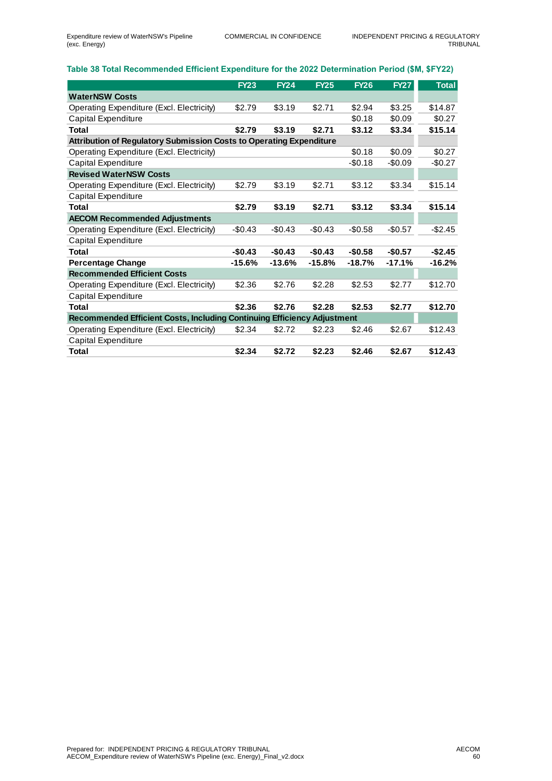## <span id="page-59-0"></span>**Table 38 Total Recommended Efficient Expenditure for the 2022 Determination Period (\$M, \$FY22)**

|                                                                            | <b>FY23</b> | <b>FY24</b> | <b>FY25</b> | <b>FY26</b> | <b>FY27</b> | <b>Total</b> |  |
|----------------------------------------------------------------------------|-------------|-------------|-------------|-------------|-------------|--------------|--|
| <b>WaterNSW Costs</b>                                                      |             |             |             |             |             |              |  |
| Operating Expenditure (Excl. Electricity)                                  | \$2.79      | \$3.19      | \$2.71      | \$2.94      | \$3.25      | \$14.87      |  |
| Capital Expenditure                                                        |             |             |             | \$0.18      | \$0.09      | \$0.27       |  |
| Total                                                                      | \$2.79      | \$3.19      | \$2.71      | \$3.12      | \$3.34      | \$15.14      |  |
| <b>Attribution of Regulatory Submission Costs to Operating Expenditure</b> |             |             |             |             |             |              |  |
| Operating Expenditure (Excl. Electricity)                                  |             |             |             | \$0.18      | \$0.09      | \$0.27       |  |
| Capital Expenditure                                                        |             |             |             | $-$0.18$    | $-$0.09$    | $-$0.27$     |  |
| <b>Revised WaterNSW Costs</b>                                              |             |             |             |             |             |              |  |
| Operating Expenditure (Excl. Electricity)                                  | \$2.79      | \$3.19      | \$2.71      | \$3.12      | \$3.34      | \$15.14      |  |
| Capital Expenditure                                                        |             |             |             |             |             |              |  |
| <b>Total</b>                                                               | \$2.79      | \$3.19      | \$2.71      | \$3.12      | \$3.34      | \$15.14      |  |
| <b>AECOM Recommended Adjustments</b>                                       |             |             |             |             |             |              |  |
| Operating Expenditure (Excl. Electricity)                                  | -\$0.43     | $-$0.43$    | $-$0.43$    | $-$0.58$    | $-$0.57$    | $-$2.45$     |  |
| Capital Expenditure                                                        |             |             |             |             |             |              |  |
| <b>Total</b>                                                               | $-$0.43$    | $-$0.43$    | -\$0.43     | $-$0.58$    | $-$0.57$    | $-$2.45$     |  |
| <b>Percentage Change</b>                                                   | $-15.6%$    | $-13.6%$    | $-15.8%$    | $-18.7%$    | $-17.1%$    | $-16.2%$     |  |
| <b>Recommended Efficient Costs</b>                                         |             |             |             |             |             |              |  |
| Operating Expenditure (Excl. Electricity)                                  | \$2.36      | \$2.76      | \$2.28      | \$2.53      | \$2.77      | \$12.70      |  |
| <b>Capital Expenditure</b>                                                 |             |             |             |             |             |              |  |
| Total                                                                      | \$2.36      | \$2.76      | \$2.28      | \$2.53      | \$2.77      | \$12.70      |  |
| Recommended Efficient Costs, Including Continuing Efficiency Adjustment    |             |             |             |             |             |              |  |
| Operating Expenditure (Excl. Electricity)                                  | \$2.34      | \$2.72      | \$2.23      | \$2.46      | \$2.67      | \$12.43      |  |
| Capital Expenditure                                                        |             |             |             |             |             |              |  |
| Total                                                                      | \$2.34      | \$2.72      | \$2.23      | \$2.46      | \$2.67      | \$12.43      |  |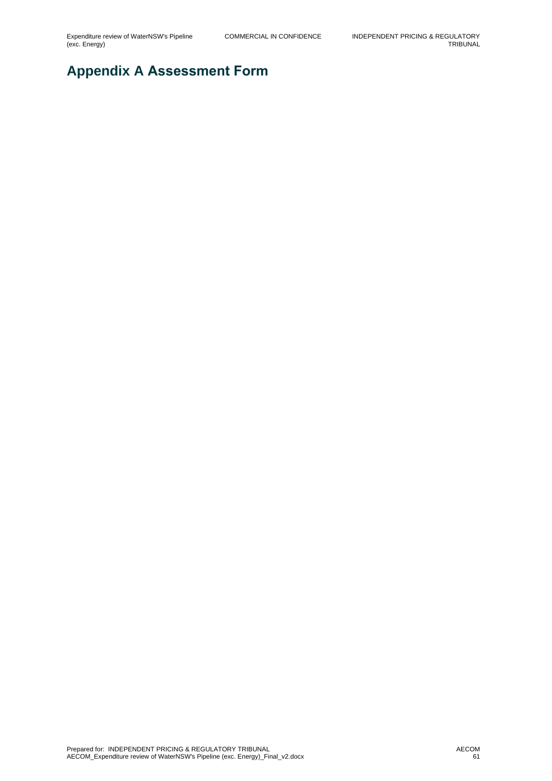# **Appendix A Assessment Form**